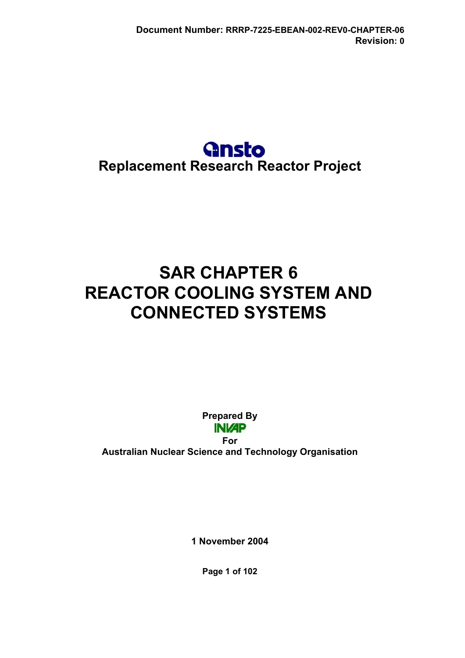## **Gnsto Replacement Research Reactor Project**

# **SAR CHAPTER 6 REACTOR COOLING SYSTEM AND CONNECTED SYSTEMS**

**Prepared By INVAP** 

**For Australian Nuclear Science and Technology Organisation** 

**1 November 2004** 

**Page 1 of 102**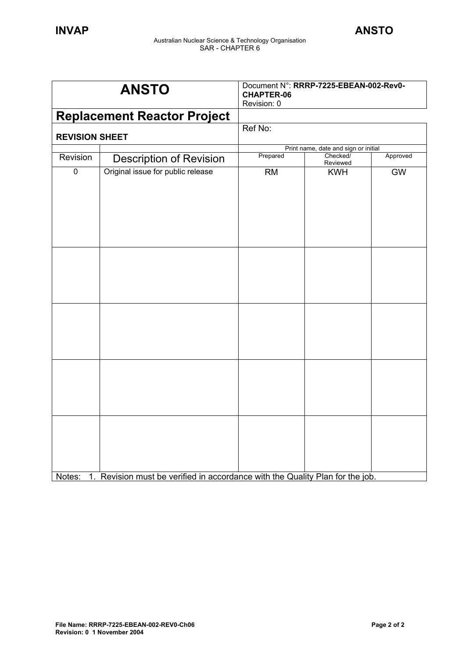| <b>ANSTO</b>   |                                                                               | Document N°: RRRP-7225-EBEAN-002-Rev0-<br><b>CHAPTER-06</b><br>Revision: 0 |                                      |           |
|----------------|-------------------------------------------------------------------------------|----------------------------------------------------------------------------|--------------------------------------|-----------|
|                | <b>Replacement Reactor Project</b>                                            |                                                                            |                                      |           |
|                | <b>REVISION SHEET</b>                                                         |                                                                            |                                      |           |
|                |                                                                               |                                                                            | Print name, date and sign or initial |           |
| Revision       | <b>Description of Revision</b>                                                | Prepared                                                                   | Checked/<br>Reviewed                 | Approved  |
| $\overline{0}$ | Original issue for public release                                             | RM                                                                         | <b>KWH</b>                           | <b>GW</b> |
|                |                                                                               |                                                                            |                                      |           |
|                |                                                                               |                                                                            |                                      |           |
| Notes:         | 1. Revision must be verified in accordance with the Quality Plan for the job. |                                                                            |                                      |           |

Notes: 1. Revision must be verified in accordance with the Quality Plan for the job.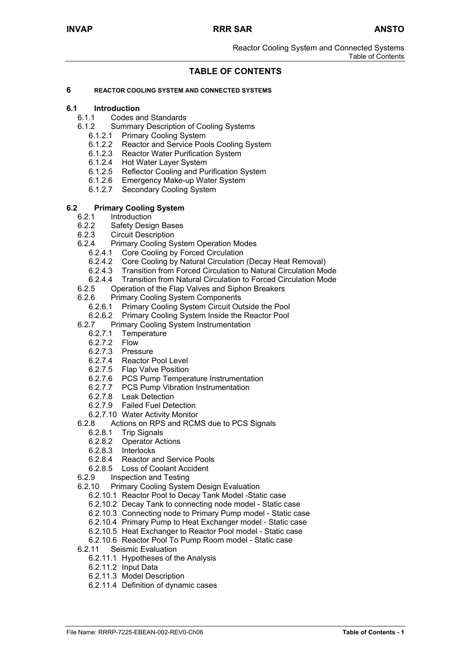Reactor Cooling System and Connected Systems Table of Contents

## **TABLE OF CONTENTS**

#### **6 REACTOR COOLING SYSTEM AND CONNECTED SYSTEMS**

## **6.1 Introduction**

- 6.1.1 Codes and Standards
- 6.1.2 Summary Description of Cooling Systems<br>6.1.2.1 Primary Cooling System
	- **Primary Cooling System**
	- 6.1.2.2 Reactor and Service Pools Cooling System
	- 6.1.2.3 Reactor Water Purification System
	- 6.1.2.4 Hot Water Layer System
	- 6.1.2.5 Reflector Cooling and Purification System
	- 6.1.2.6 Emergency Make-up Water System
	- 6.1.2.7 Secondary Cooling System

#### **6.2 Primary Cooling System**

- 6.2.1 Introduction
- 6.2.2 Safety Design Bases
- 6.2.3 Circuit Description
- 6.2.4 Primary Cooling System Operation Modes
	- 6.2.4.1 Core Cooling by Forced Circulation
	- 6.2.4.2 Core Cooling by Natural Circulation (Decay Heat Removal)
	-
	- 6.2.4.3 Transition from Forced Circulation to Natural Circulation Mode<br>6.2.4.4 Transition from Natural Circulation to Forced Circulation Mode 6.2.4.4 Transition from Natural Circulation to Forced Circulation Mode
- 6.2.5 Operation of the Flap Valves and Siphon Breakers
- 6.2.6 Primary Cooling System Components
	- 6.2.6.1 Primary Cooling System Circuit Outside the Pool
	- 6.2.6.2 Primary Cooling System Inside the Reactor Pool
- 6.2.7 Primary Cooling System Instrumentation
	- 6.2.7.1 Temperature
	- 6.2.7.2 Flow
	- 6.2.7.3 Pressure
	- 6.2.7.4 Reactor Pool Level
	- 6.2.7.5 Flap Valve Position
	- 6.2.7.6 PCS Pump Temperature Instrumentation
	- 6.2.7.7 PCS Pump Vibration Instrumentation
	- 6.2.7.8 Leak Detection
	- 6.2.7.9 Failed Fuel Detection
- 6.2.7.10 Water Activity Monitor<br>6.2.8 Actions on RPS and RCM
- Actions on RPS and RCMS due to PCS Signals
- 6.2.8.1 Trip Signals
- 6.2.8.2 Operator Actions
- 6.2.8.3 Interlocks<br>6.2.8.4 Reactor a
- Reactor and Service Pools
- 6.2.8.5 Loss of Coolant Accident<br>6.2.9 Inspection and Testing
- 6.2.9 Inspection and Testing
- 6.2.10 Primary Cooling System Design Evaluation
	- 6.2.10.1 Reactor Pool to Decay Tank Model -Static case
	- 6.2.10.2 Decay Tank to connecting node model Static case
	- 6.2.10.3 Connecting node to Primary Pump model Static case
	- 6.2.10.4 Primary Pump to Heat Exchanger model Static case
	- 6.2.10.5 Heat Exchanger to Reactor Pool model Static case
	- 6.2.10.6 Reactor Pool To Pump Room model Static case
- 6.2.11 Seismic Evaluation
- 6.2.11.1 Hypotheses of the Analysis
	- 6.2.11.2 Input Data
	- 6.2.11.3 Model Description
	- 6.2.11.4 Definition of dynamic cases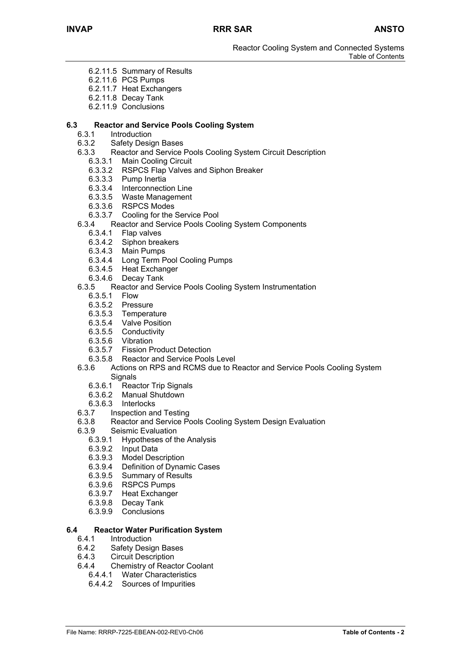- 6.2.11.5 Summary of Results
- 6.2.11.6 PCS Pumps
- 6.2.11.7 Heat Exchangers
- 6.2.11.8 Decay Tank
- 6.2.11.9 Conclusions

## **6.3 Reactor and Service Pools Cooling System**

- **Introduction**
- 6.3.2 Safety Design Bases
- 6.3.3 Reactor and Service Pools Cooling System Circuit Description
	- 6.3.3.1 Main Cooling Circuit
	- 6.3.3.2 RSPCS Flap Valves and Siphon Breaker
	- 6.3.3.3 Pump Inertia
	- 6.3.3.4 Interconnection Line
	- 6.3.3.5 Waste Management
	- 6.3.3.6 RSPCS Modes
	- 6.3.3.7 Cooling for the Service Pool
- 6.3.4 Reactor and Service Pools Cooling System Components
	- 6.3.4.1 Flap valves
	- 6.3.4.2 Siphon breakers
	- 6.3.4.3 Main Pumps
	- 6.3.4.4 Long Term Pool Cooling Pumps
	- 6.3.4.5 Heat Exchanger
	- 6.3.4.6 Decay Tank

#### 6.3.5 Reactor and Service Pools Cooling System Instrumentation

- 6.3.5.1 Flow
- 6.3.5.2 Pressure
- 6.3.5.3 Temperature
- 6.3.5.4 Valve Position
- 6.3.5.5 Conductivity
- 6.3.5.6 Vibration
- 6.3.5.7 Fission Product Detection
- 6.3.5.8 Reactor and Service Pools Level
- 6.3.6 Actions on RPS and RCMS due to Reactor and Service Pools Cooling System **Signals** 
	- 6.3.6.1 Reactor Trip Signals
	- 6.3.6.2 Manual Shutdown
	- 6.3.6.3 Interlocks
- 6.3.7 Inspection and Testing
- 6.3.8 Reactor and Service Pools Cooling System Design Evaluation
- 6.3.9 Seismic Evaluation
	- 6.3.9.1 Hypotheses of the Analysis
	- 6.3.9.2 Input Data
	- 6.3.9.3 Model Description
	- 6.3.9.4 Definition of Dynamic Cases
	- 6.3.9.5 Summary of Results
	- 6.3.9.6 RSPCS Pumps
	- 6.3.9.7 Heat Exchanger
	- 6.3.9.8 Decay Tank
	- 6.3.9.9 Conclusions

#### **6.4 Reactor Water Purification System**

- 6.4.1 Introduction
- 6.4.2 Safety Design Bases
- 6.4.3 Circuit Description
- 6.4.4 Chemistry of Reactor Coolant
	- 6.4.4.1 Water Characteristics
	- 6.4.4.2 Sources of Impurities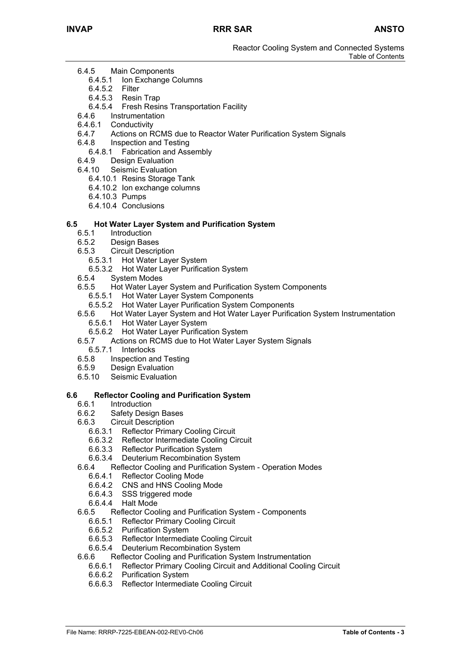- 6.4.5 Main Components
	- 6.4.5.1 Ion Exchange Columns
	- 6.4.5.2 Filter
	- 6.4.5.3 Resin Trap
	- 6.4.5.4 Fresh Resins Transportation Facility
- 6.4.6 Instrumentation
- 6.4.6.1 Conductivity
- 6.4.7 Actions on RCMS due to Reactor Water Purification System Signals
- 6.4.8 Inspection and Testing
	- 6.4.8.1 Fabrication and Assembly
- 6.4.9 Design Evaluation
- 6.4.10 Seismic Evaluation
	- 6.4.10.1 Resins Storage Tank
	- 6.4.10.2 Ion exchange columns
	- 6.4.10.3 Pumps
	- 6.4.10.4 Conclusions

#### **6.5 Hot Water Layer System and Purification System**

- 6.5.1 Introduction
- 6.5.2 Design Bases
- 6.5.3 Circuit Description
	- 6.5.3.1 Hot Water Layer System
	- 6.5.3.2 Hot Water Layer Purification System
- 6.5.4 System Modes
- 6.5.5 Hot Water Layer System and Purification System Components
	- 6.5.5.1 Hot Water Layer System Components
	- 6.5.5.2 Hot Water Layer Purification System Components
- 6.5.6 Hot Water Layer System and Hot Water Layer Purification System Instrumentation 6.5.6.1 Hot Water Layer System
	- 6.5.6.2 Hot Water Layer Purification System
- 6.5.7 Actions on RCMS due to Hot Water Layer System Signals
- 6.5.7.1 Interlocks
- 6.5.8 Inspection and Testing
- 6.5.9 Design Evaluation
- 6.5.10 Seismic Evaluation

#### **6.6 Reflector Cooling and Purification System**

- 6.6.1 Introduction
- 6.6.2 Safety Design Bases
- 6.6.3 Circuit Description
	- 6.6.3.1 Reflector Primary Cooling Circuit
	- 6.6.3.2 Reflector Intermediate Cooling Circuit
	- 6.6.3.3 Reflector Purification System
	- 6.6.3.4 Deuterium Recombination System
- 6.6.4 Reflector Cooling and Purification System Operation Modes
	- 6.6.4.1 Reflector Cooling Mode
	- 6.6.4.2 CNS and HNS Cooling Mode
	- 6.6.4.3 SSS triggered mode
	- 6.6.4.4 Halt Mode
- 6.6.5 Reflector Cooling and Purification System Components
	- 6.6.5.1 Reflector Primary Cooling Circuit
	- 6.6.5.2 Purification System
	- 6.6.5.3 Reflector Intermediate Cooling Circuit
	- 6.6.5.4 Deuterium Recombination System
- 6.6.6 Reflector Cooling and Purification System Instrumentation
	- 6.6.6.1 Reflector Primary Cooling Circuit and Additional Cooling Circuit
	- 6.6.6.2 Purification System
	- 6.6.6.3 Reflector Intermediate Cooling Circuit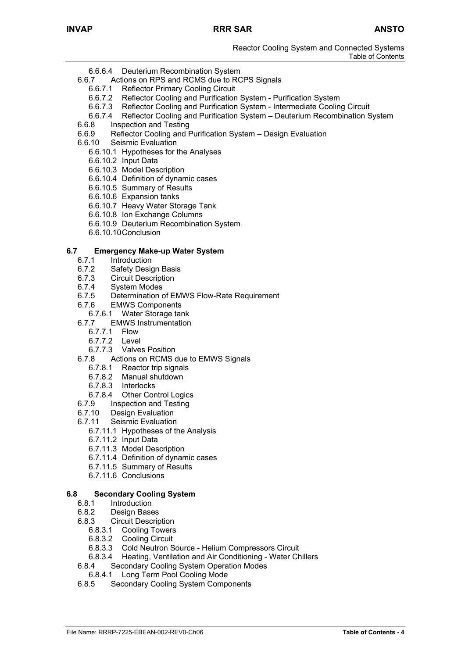- 6.6.6.4 Deuterium Recombination System
- 6.6.7 Actions on RPS and RCMS due to RCPS Signals
	- 6.6.7.1 Reflector Primary Cooling Circuit
		- 6.6.7.2 Reflector Cooling and Purification System Purification System
	- 6.6.7.3 Reflector Cooling and Purification System Intermediate Cooling Circuit
	- 6.6.7.4 Reflector Cooling and Purification System Deuterium Recombination System
- 6.6.8 Inspection and Testing
- 6.6.9 Reflector Cooling and Purification System Design Evaluation
- 6.6.10 Seismic Evaluation
	- 6.6.10.1 Hypotheses for the Analyses
	- 6.6.10.2 Input Data
	- 6.6.10.3 Model Description
	- 6.6.10.4 Definition of dynamic cases
	- 6.6.10.5 Summary of Results
	- 6.6.10.6 Expansion tanks
	- 6.6.10.7 Heavy Water Storage Tank
	- 6.6.10.8 Ion Exchange Columns
	- 6.6.10.9 Deuterium Recombination System
	- 6.6.10.10Conclusion

#### **6.7 Emergency Make-up Water System**

- 6.7.1 Introduction
- 6.7.2 Safety Design Basis
- 6.7.3 Circuit Description
- 6.7.4 System Modes
- 6.7.5 Determination of EMWS Flow-Rate Requirement
- 6.7.6 EMWS Components
- 6.7.6.1 Water Storage tank
- 6.7.7 EMWS Instrumentation
	- 6.7.7.1 Flow
	- 6.7.7.2 Level
	- 6.7.7.3 Valves Position
- 6.7.8 Actions on RCMS due to EMWS Signals
	- 6.7.8.1 Reactor trip signals
	- 6.7.8.2 Manual shutdown
	- 6.7.8.3 Interlocks
	- 6.7.8.4 Other Control Logics
- 6.7.9 Inspection and Testing
- 6.7.10 Design Evaluation
- 6.7.11 Seismic Evaluation
	- 6.7.11.1 Hypotheses of the Analysis
	- 6.7.11.2 Input Data
	- 6.7.11.3 Model Description
	- 6.7.11.4 Definition of dynamic cases
	- 6.7.11.5 Summary of Results
	- 6.7.11.6 Conclusions

#### **6.8 Secondary Cooling System**

- 6.8.1 Introduction
- 6.8.2 Design Bases
- 6.8.3 Circuit Description
	- 6.8.3.1 Cooling Towers
		- 6.8.3.2 Cooling Circuit
		- 6.8.3.3 Cold Neutron Source Helium Compressors Circuit
		- 6.8.3.4 Heating, Ventilation and Air Conditioning Water Chillers
- 6.8.4 Secondary Cooling System Operation Modes
- 6.8.4.1 Long Term Pool Cooling Mode
- 6.8.5 Secondary Cooling System Components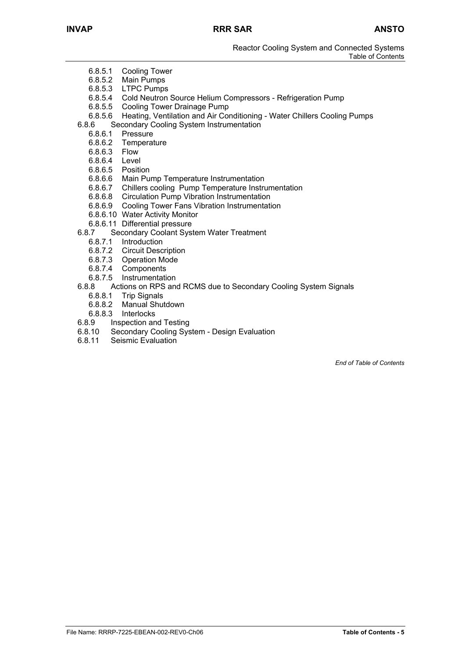- 6.8.5.1 Cooling Tower
- 6.8.5.2 Main Pumps
- 6.8.5.3 LTPC Pumps
- 6.8.5.4 Cold Neutron Source Helium Compressors Refrigeration Pump
- 6.8.5.5 Cooling Tower Drainage Pump
- 6.8.5.6 Heating, Ventilation and Air Conditioning Water Chillers Cooling Pumps
- 6.8.6 Secondary Cooling System Instrumentation
	- 6.8.6.1 Pressure
	- 6.8.6.2 Temperature
	- 6.8.6.3 Flow
	- 6.8.6.4 Level
	- 6.8.6.5 Position
	-
	- 6.8.6.6 Main Pump Temperature Instrumentation<br>6.8.6.7 Chillers cooling Pump Temperature Instru 6.8.6.7 Chillers cooling Pump Temperature Instrumentation
	- 6.8.6.8 Circulation Pump Vibration Instrumentation
	- 6.8.6.9 Cooling Tower Fans Vibration Instrumentation
	- 6.8.6.10 Water Activity Monitor
	- 6.8.6.11 Differential pressure
- 6.8.7 Secondary Coolant System Water Treatment
	- 6.8.7.1 Introduction
		- 6.8.7.2 Circuit Description
		- 6.8.7.3 Operation Mode
		- 6.8.7.4 Components
		- 6.8.7.5 Instrumentation
- 6.8.8 Actions on RPS and RCMS due to Secondary Cooling System Signals
	- 6.8.8.1 Trip Signals
	- 6.8.8.2 Manual Shutdown
	- 6.8.8.3 Interlocks
- 6.8.9 Inspection and Testing
- 6.8.10 Secondary Cooling System Design Evaluation
- Seismic Evaluation

*End of Table of Contents*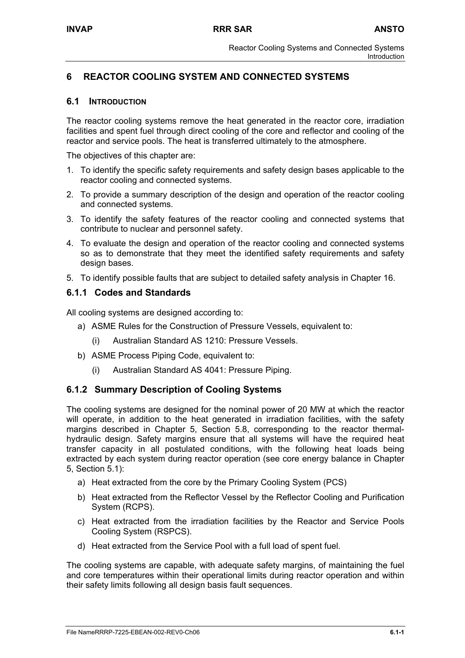## **6 REACTOR COOLING SYSTEM AND CONNECTED SYSTEMS**

## **6.1 INTRODUCTION**

The reactor cooling systems remove the heat generated in the reactor core, irradiation facilities and spent fuel through direct cooling of the core and reflector and cooling of the reactor and service pools. The heat is transferred ultimately to the atmosphere.

The objectives of this chapter are:

- 1. To identify the specific safety requirements and safety design bases applicable to the reactor cooling and connected systems.
- 2. To provide a summary description of the design and operation of the reactor cooling and connected systems.
- 3. To identify the safety features of the reactor cooling and connected systems that contribute to nuclear and personnel safety.
- 4. To evaluate the design and operation of the reactor cooling and connected systems so as to demonstrate that they meet the identified safety requirements and safety design bases.
- 5. To identify possible faults that are subject to detailed safety analysis in Chapter 16.

## **6.1.1 Codes and Standards**

All cooling systems are designed according to:

- a) ASME Rules for the Construction of Pressure Vessels, equivalent to:
	- (i) Australian Standard AS 1210: Pressure Vessels.
- b) ASME Process Piping Code, equivalent to:
	- (i) Australian Standard AS 4041: Pressure Piping.

## **6.1.2 Summary Description of Cooling Systems**

The cooling systems are designed for the nominal power of 20 MW at which the reactor will operate, in addition to the heat generated in irradiation facilities, with the safety margins described in Chapter 5, Section 5.8, corresponding to the reactor thermalhydraulic design. Safety margins ensure that all systems will have the required heat transfer capacity in all postulated conditions, with the following heat loads being extracted by each system during reactor operation (see core energy balance in Chapter 5, Section 5.1):

- a) Heat extracted from the core by the Primary Cooling System (PCS)
- b) Heat extracted from the Reflector Vessel by the Reflector Cooling and Purification System (RCPS).
- c) Heat extracted from the irradiation facilities by the Reactor and Service Pools Cooling System (RSPCS).
- d) Heat extracted from the Service Pool with a full load of spent fuel.

The cooling systems are capable, with adequate safety margins, of maintaining the fuel and core temperatures within their operational limits during reactor operation and within their safety limits following all design basis fault sequences.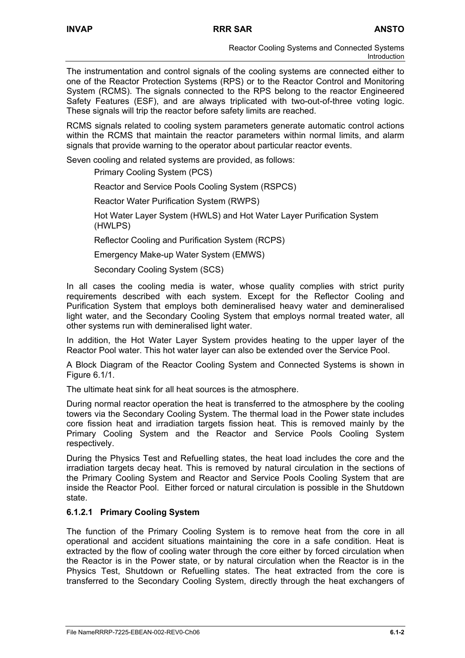The instrumentation and control signals of the cooling systems are connected either to one of the Reactor Protection Systems (RPS) or to the Reactor Control and Monitoring System (RCMS). The signals connected to the RPS belong to the reactor Engineered Safety Features (ESF), and are always triplicated with two-out-of-three voting logic. These signals will trip the reactor before safety limits are reached.

RCMS signals related to cooling system parameters generate automatic control actions within the RCMS that maintain the reactor parameters within normal limits, and alarm signals that provide warning to the operator about particular reactor events.

Seven cooling and related systems are provided, as follows:

Primary Cooling System (PCS)

Reactor and Service Pools Cooling System (RSPCS)

Reactor Water Purification System (RWPS)

Hot Water Layer System (HWLS) and Hot Water Layer Purification System (HWLPS)

Reflector Cooling and Purification System (RCPS)

Emergency Make-up Water System (EMWS)

Secondary Cooling System (SCS)

In all cases the cooling media is water, whose quality complies with strict purity requirements described with each system. Except for the Reflector Cooling and Purification System that employs both demineralised heavy water and demineralised light water, and the Secondary Cooling System that employs normal treated water, all other systems run with demineralised light water.

In addition, the Hot Water Layer System provides heating to the upper layer of the Reactor Pool water. This hot water layer can also be extended over the Service Pool.

A Block Diagram of the Reactor Cooling System and Connected Systems is shown in Figure 6.1/1.

The ultimate heat sink for all heat sources is the atmosphere.

During normal reactor operation the heat is transferred to the atmosphere by the cooling towers via the Secondary Cooling System. The thermal load in the Power state includes core fission heat and irradiation targets fission heat. This is removed mainly by the Primary Cooling System and the Reactor and Service Pools Cooling System respectively.

During the Physics Test and Refuelling states, the heat load includes the core and the irradiation targets decay heat. This is removed by natural circulation in the sections of the Primary Cooling System and Reactor and Service Pools Cooling System that are inside the Reactor Pool. Either forced or natural circulation is possible in the Shutdown state.

## **6.1.2.1 Primary Cooling System**

The function of the Primary Cooling System is to remove heat from the core in all operational and accident situations maintaining the core in a safe condition. Heat is extracted by the flow of cooling water through the core either by forced circulation when the Reactor is in the Power state, or by natural circulation when the Reactor is in the Physics Test, Shutdown or Refuelling states. The heat extracted from the core is transferred to the Secondary Cooling System, directly through the heat exchangers of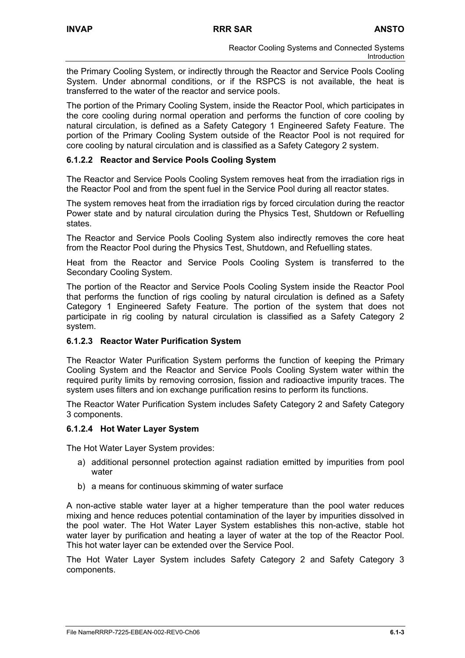the Primary Cooling System, or indirectly through the Reactor and Service Pools Cooling System. Under abnormal conditions, or if the RSPCS is not available, the heat is transferred to the water of the reactor and service pools.

The portion of the Primary Cooling System, inside the Reactor Pool, which participates in the core cooling during normal operation and performs the function of core cooling by natural circulation, is defined as a Safety Category 1 Engineered Safety Feature. The portion of the Primary Cooling System outside of the Reactor Pool is not required for core cooling by natural circulation and is classified as a Safety Category 2 system.

## **6.1.2.2 Reactor and Service Pools Cooling System**

The Reactor and Service Pools Cooling System removes heat from the irradiation rigs in the Reactor Pool and from the spent fuel in the Service Pool during all reactor states.

The system removes heat from the irradiation rigs by forced circulation during the reactor Power state and by natural circulation during the Physics Test, Shutdown or Refuelling states.

The Reactor and Service Pools Cooling System also indirectly removes the core heat from the Reactor Pool during the Physics Test, Shutdown, and Refuelling states.

Heat from the Reactor and Service Pools Cooling System is transferred to the Secondary Cooling System.

The portion of the Reactor and Service Pools Cooling System inside the Reactor Pool that performs the function of rigs cooling by natural circulation is defined as a Safety Category 1 Engineered Safety Feature. The portion of the system that does not participate in rig cooling by natural circulation is classified as a Safety Category 2 system.

## **6.1.2.3 Reactor Water Purification System**

The Reactor Water Purification System performs the function of keeping the Primary Cooling System and the Reactor and Service Pools Cooling System water within the required purity limits by removing corrosion, fission and radioactive impurity traces. The system uses filters and ion exchange purification resins to perform its functions.

The Reactor Water Purification System includes Safety Category 2 and Safety Category 3 components.

## **6.1.2.4 Hot Water Layer System**

The Hot Water Layer System provides:

- a) additional personnel protection against radiation emitted by impurities from pool water
- b) a means for continuous skimming of water surface

A non-active stable water layer at a higher temperature than the pool water reduces mixing and hence reduces potential contamination of the layer by impurities dissolved in the pool water. The Hot Water Layer System establishes this non-active, stable hot water layer by purification and heating a layer of water at the top of the Reactor Pool. This hot water layer can be extended over the Service Pool.

The Hot Water Layer System includes Safety Category 2 and Safety Category 3 components.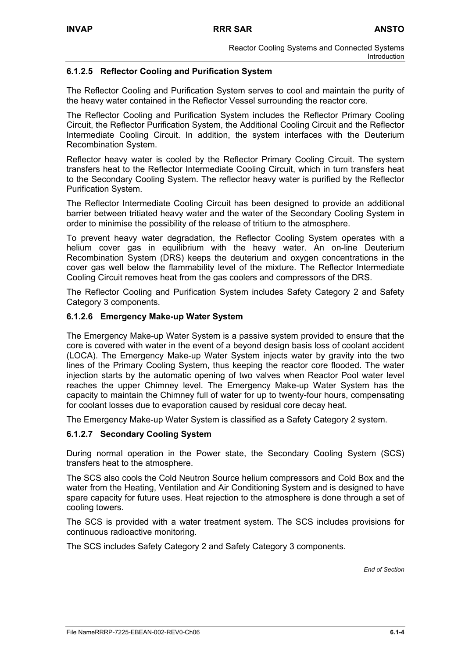## **6.1.2.5 Reflector Cooling and Purification System**

The Reflector Cooling and Purification System serves to cool and maintain the purity of the heavy water contained in the Reflector Vessel surrounding the reactor core.

The Reflector Cooling and Purification System includes the Reflector Primary Cooling Circuit, the Reflector Purification System, the Additional Cooling Circuit and the Reflector Intermediate Cooling Circuit. In addition, the system interfaces with the Deuterium Recombination System.

Reflector heavy water is cooled by the Reflector Primary Cooling Circuit. The system transfers heat to the Reflector Intermediate Cooling Circuit, which in turn transfers heat to the Secondary Cooling System. The reflector heavy water is purified by the Reflector Purification System.

The Reflector Intermediate Cooling Circuit has been designed to provide an additional barrier between tritiated heavy water and the water of the Secondary Cooling System in order to minimise the possibility of the release of tritium to the atmosphere.

To prevent heavy water degradation, the Reflector Cooling System operates with a helium cover gas in equilibrium with the heavy water. An on-line Deuterium Recombination System (DRS) keeps the deuterium and oxygen concentrations in the cover gas well below the flammability level of the mixture. The Reflector Intermediate Cooling Circuit removes heat from the gas coolers and compressors of the DRS.

The Reflector Cooling and Purification System includes Safety Category 2 and Safety Category 3 components.

#### **6.1.2.6 Emergency Make-up Water System**

The Emergency Make-up Water System is a passive system provided to ensure that the core is covered with water in the event of a beyond design basis loss of coolant accident (LOCA). The Emergency Make-up Water System injects water by gravity into the two lines of the Primary Cooling System, thus keeping the reactor core flooded. The water injection starts by the automatic opening of two valves when Reactor Pool water level reaches the upper Chimney level. The Emergency Make-up Water System has the capacity to maintain the Chimney full of water for up to twenty-four hours, compensating for coolant losses due to evaporation caused by residual core decay heat.

The Emergency Make-up Water System is classified as a Safety Category 2 system.

#### **6.1.2.7 Secondary Cooling System**

During normal operation in the Power state, the Secondary Cooling System (SCS) transfers heat to the atmosphere.

The SCS also cools the Cold Neutron Source helium compressors and Cold Box and the water from the Heating, Ventilation and Air Conditioning System and is designed to have spare capacity for future uses. Heat rejection to the atmosphere is done through a set of cooling towers.

The SCS is provided with a water treatment system. The SCS includes provisions for continuous radioactive monitoring.

The SCS includes Safety Category 2 and Safety Category 3 components.

*End of Section*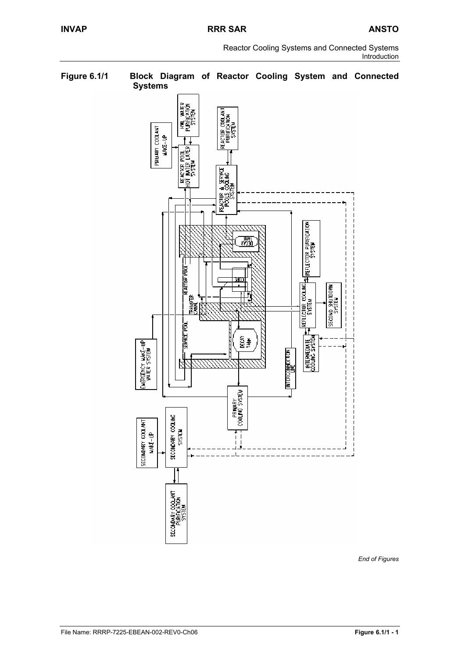Reactor Cooling Systems and Connected Systems Introduction



*End of Figures*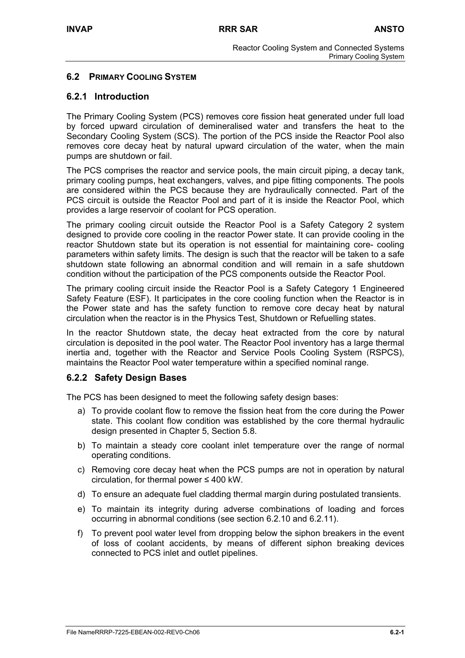## **6.2 PRIMARY COOLING SYSTEM**

## **6.2.1 Introduction**

The Primary Cooling System (PCS) removes core fission heat generated under full load by forced upward circulation of demineralised water and transfers the heat to the Secondary Cooling System (SCS). The portion of the PCS inside the Reactor Pool also removes core decay heat by natural upward circulation of the water, when the main pumps are shutdown or fail.

The PCS comprises the reactor and service pools, the main circuit piping, a decay tank, primary cooling pumps, heat exchangers, valves, and pipe fitting components. The pools are considered within the PCS because they are hydraulically connected. Part of the PCS circuit is outside the Reactor Pool and part of it is inside the Reactor Pool, which provides a large reservoir of coolant for PCS operation.

The primary cooling circuit outside the Reactor Pool is a Safety Category 2 system designed to provide core cooling in the reactor Power state. It can provide cooling in the reactor Shutdown state but its operation is not essential for maintaining core- cooling parameters within safety limits. The design is such that the reactor will be taken to a safe shutdown state following an abnormal condition and will remain in a safe shutdown condition without the participation of the PCS components outside the Reactor Pool.

The primary cooling circuit inside the Reactor Pool is a Safety Category 1 Engineered Safety Feature (ESF). It participates in the core cooling function when the Reactor is in the Power state and has the safety function to remove core decay heat by natural circulation when the reactor is in the Physics Test, Shutdown or Refuelling states.

In the reactor Shutdown state, the decay heat extracted from the core by natural circulation is deposited in the pool water. The Reactor Pool inventory has a large thermal inertia and, together with the Reactor and Service Pools Cooling System (RSPCS), maintains the Reactor Pool water temperature within a specified nominal range.

## **6.2.2 Safety Design Bases**

The PCS has been designed to meet the following safety design bases:

- a) To provide coolant flow to remove the fission heat from the core during the Power state. This coolant flow condition was established by the core thermal hydraulic design presented in Chapter 5, Section 5.8.
- b) To maintain a steady core coolant inlet temperature over the range of normal operating conditions.
- c) Removing core decay heat when the PCS pumps are not in operation by natural circulation, for thermal power ≤ 400 kW.
- d) To ensure an adequate fuel cladding thermal margin during postulated transients.
- e) To maintain its integrity during adverse combinations of loading and forces occurring in abnormal conditions (see section 6.2.10 and 6.2.11).
- f) To prevent pool water level from dropping below the siphon breakers in the event of loss of coolant accidents, by means of different siphon breaking devices connected to PCS inlet and outlet pipelines.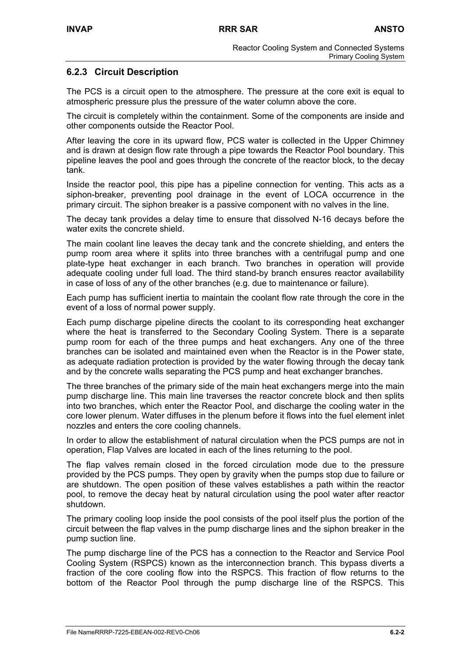## **6.2.3 Circuit Description**

The PCS is a circuit open to the atmosphere. The pressure at the core exit is equal to atmospheric pressure plus the pressure of the water column above the core.

The circuit is completely within the containment. Some of the components are inside and other components outside the Reactor Pool.

After leaving the core in its upward flow, PCS water is collected in the Upper Chimney and is drawn at design flow rate through a pipe towards the Reactor Pool boundary. This pipeline leaves the pool and goes through the concrete of the reactor block, to the decay tank.

Inside the reactor pool, this pipe has a pipeline connection for venting. This acts as a siphon-breaker, preventing pool drainage in the event of LOCA occurrence in the primary circuit. The siphon breaker is a passive component with no valves in the line.

The decay tank provides a delay time to ensure that dissolved N-16 decays before the water exits the concrete shield.

The main coolant line leaves the decay tank and the concrete shielding, and enters the pump room area where it splits into three branches with a centrifugal pump and one plate-type heat exchanger in each branch. Two branches in operation will provide adequate cooling under full load. The third stand-by branch ensures reactor availability in case of loss of any of the other branches (e.g. due to maintenance or failure).

Each pump has sufficient inertia to maintain the coolant flow rate through the core in the event of a loss of normal power supply.

Each pump discharge pipeline directs the coolant to its corresponding heat exchanger where the heat is transferred to the Secondary Cooling System. There is a separate pump room for each of the three pumps and heat exchangers. Any one of the three branches can be isolated and maintained even when the Reactor is in the Power state, as adequate radiation protection is provided by the water flowing through the decay tank and by the concrete walls separating the PCS pump and heat exchanger branches.

The three branches of the primary side of the main heat exchangers merge into the main pump discharge line. This main line traverses the reactor concrete block and then splits into two branches, which enter the Reactor Pool, and discharge the cooling water in the core lower plenum. Water diffuses in the plenum before it flows into the fuel element inlet nozzles and enters the core cooling channels.

In order to allow the establishment of natural circulation when the PCS pumps are not in operation, Flap Valves are located in each of the lines returning to the pool.

The flap valves remain closed in the forced circulation mode due to the pressure provided by the PCS pumps. They open by gravity when the pumps stop due to failure or are shutdown. The open position of these valves establishes a path within the reactor pool, to remove the decay heat by natural circulation using the pool water after reactor shutdown.

The primary cooling loop inside the pool consists of the pool itself plus the portion of the circuit between the flap valves in the pump discharge lines and the siphon breaker in the pump suction line.

The pump discharge line of the PCS has a connection to the Reactor and Service Pool Cooling System (RSPCS) known as the interconnection branch. This bypass diverts a fraction of the core cooling flow into the RSPCS. This fraction of flow returns to the bottom of the Reactor Pool through the pump discharge line of the RSPCS. This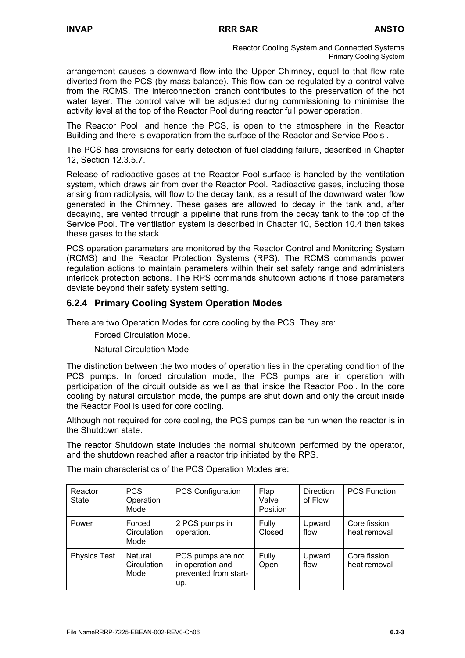arrangement causes a downward flow into the Upper Chimney, equal to that flow rate diverted from the PCS (by mass balance). This flow can be regulated by a control valve from the RCMS. The interconnection branch contributes to the preservation of the hot water layer. The control valve will be adjusted during commissioning to minimise the activity level at the top of the Reactor Pool during reactor full power operation.

The Reactor Pool, and hence the PCS, is open to the atmosphere in the Reactor Building and there is evaporation from the surface of the Reactor and Service Pools .

The PCS has provisions for early detection of fuel cladding failure, described in Chapter 12, Section 12.3.5.7.

Release of radioactive gases at the Reactor Pool surface is handled by the ventilation system, which draws air from over the Reactor Pool. Radioactive gases, including those arising from radiolysis, will flow to the decay tank, as a result of the downward water flow generated in the Chimney. These gases are allowed to decay in the tank and, after decaying, are vented through a pipeline that runs from the decay tank to the top of the Service Pool. The ventilation system is described in Chapter 10, Section 10.4 then takes these gases to the stack.

PCS operation parameters are monitored by the Reactor Control and Monitoring System (RCMS) and the Reactor Protection Systems (RPS). The RCMS commands power regulation actions to maintain parameters within their set safety range and administers interlock protection actions. The RPS commands shutdown actions if those parameters deviate beyond their safety system setting.

## **6.2.4 Primary Cooling System Operation Modes**

There are two Operation Modes for core cooling by the PCS. They are:

Forced Circulation Mode.

Natural Circulation Mode.

The distinction between the two modes of operation lies in the operating condition of the PCS pumps. In forced circulation mode, the PCS pumps are in operation with participation of the circuit outside as well as that inside the Reactor Pool. In the core cooling by natural circulation mode, the pumps are shut down and only the circuit inside the Reactor Pool is used for core cooling.

Although not required for core cooling, the PCS pumps can be run when the reactor is in the Shutdown state.

The reactor Shutdown state includes the normal shutdown performed by the operator, and the shutdown reached after a reactor trip initiated by the RPS.

| Reactor<br><b>State</b> | <b>PCS</b><br>Operation<br>Mode | <b>PCS Configuration</b>                                              | Flap<br>Valve<br>Position | <b>Direction</b><br>of Flow | <b>PCS Function</b>          |
|-------------------------|---------------------------------|-----------------------------------------------------------------------|---------------------------|-----------------------------|------------------------------|
| Power                   | Forced<br>Circulation<br>Mode   | 2 PCS pumps in<br>operation.                                          | Fully<br>Closed           | Upward<br>flow              | Core fission<br>heat removal |
| <b>Physics Test</b>     | Natural<br>Circulation<br>Mode  | PCS pumps are not<br>in operation and<br>prevented from start-<br>up. | Fully<br>Open             | Upward<br>flow              | Core fission<br>heat removal |

The main characteristics of the PCS Operation Modes are: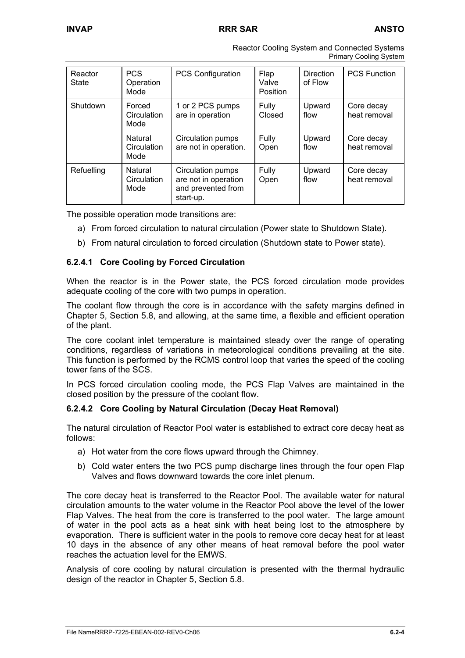| Reactor Cooling System and Connected Systems |  |
|----------------------------------------------|--|
| <b>Primary Cooling System</b>                |  |

| Reactor<br><b>State</b> | <b>PCS</b><br>Operation<br>Mode | <b>PCS Configuration</b>                                                     | Flap<br>Valve<br><b>Position</b> | <b>Direction</b><br>of Flow | <b>PCS Function</b>        |
|-------------------------|---------------------------------|------------------------------------------------------------------------------|----------------------------------|-----------------------------|----------------------------|
| Shutdown                | Forced<br>Circulation<br>Mode   | 1 or 2 PCS pumps<br>are in operation                                         | Fully<br>Closed                  | Upward<br>flow              | Core decay<br>heat removal |
|                         | Natural<br>Circulation<br>Mode  | Circulation pumps<br>are not in operation.                                   | Fully<br>Open                    | Upward<br>flow              | Core decay<br>heat removal |
| Refuelling              | Natural<br>Circulation<br>Mode  | Circulation pumps<br>are not in operation<br>and prevented from<br>start-up. | Fully<br>Open                    | Upward<br>flow              | Core decay<br>heat removal |

The possible operation mode transitions are:

- a) From forced circulation to natural circulation (Power state to Shutdown State).
- b) From natural circulation to forced circulation (Shutdown state to Power state).

## **6.2.4.1 Core Cooling by Forced Circulation**

When the reactor is in the Power state, the PCS forced circulation mode provides adequate cooling of the core with two pumps in operation.

The coolant flow through the core is in accordance with the safety margins defined in Chapter 5, Section 5.8, and allowing, at the same time, a flexible and efficient operation of the plant.

The core coolant inlet temperature is maintained steady over the range of operating conditions, regardless of variations in meteorological conditions prevailing at the site. This function is performed by the RCMS control loop that varies the speed of the cooling tower fans of the SCS.

In PCS forced circulation cooling mode, the PCS Flap Valves are maintained in the closed position by the pressure of the coolant flow.

## **6.2.4.2 Core Cooling by Natural Circulation (Decay Heat Removal)**

The natural circulation of Reactor Pool water is established to extract core decay heat as follows:

- a) Hot water from the core flows upward through the Chimney.
- b) Cold water enters the two PCS pump discharge lines through the four open Flap Valves and flows downward towards the core inlet plenum.

The core decay heat is transferred to the Reactor Pool. The available water for natural circulation amounts to the water volume in the Reactor Pool above the level of the lower Flap Valves. The heat from the core is transferred to the pool water. The large amount of water in the pool acts as a heat sink with heat being lost to the atmosphere by evaporation. There is sufficient water in the pools to remove core decay heat for at least 10 days in the absence of any other means of heat removal before the pool water reaches the actuation level for the EMWS.

Analysis of core cooling by natural circulation is presented with the thermal hydraulic design of the reactor in Chapter 5, Section 5.8.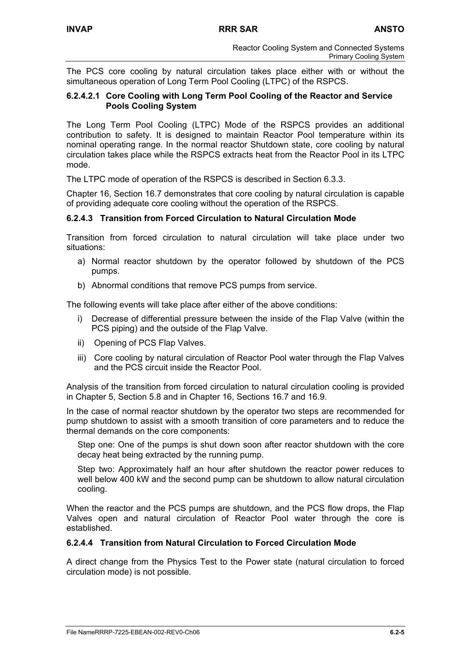The PCS core cooling by natural circulation takes place either with or without the simultaneous operation of Long Term Pool Cooling (LTPC) of the RSPCS.

## **6.2.4.2.1 Core Cooling with Long Term Pool Cooling of the Reactor and Service Pools Cooling System**

The Long Term Pool Cooling (LTPC) Mode of the RSPCS provides an additional contribution to safety. It is designed to maintain Reactor Pool temperature within its nominal operating range. In the normal reactor Shutdown state, core cooling by natural circulation takes place while the RSPCS extracts heat from the Reactor Pool in its LTPC mode.

The LTPC mode of operation of the RSPCS is described in Section 6.3.3.

Chapter 16, Section 16.7 demonstrates that core cooling by natural circulation is capable of providing adequate core cooling without the operation of the RSPCS.

## **6.2.4.3 Transition from Forced Circulation to Natural Circulation Mode**

Transition from forced circulation to natural circulation will take place under two situations:

- a) Normal reactor shutdown by the operator followed by shutdown of the PCS pumps.
- b) Abnormal conditions that remove PCS pumps from service.

The following events will take place after either of the above conditions:

- i) Decrease of differential pressure between the inside of the Flap Valve (within the PCS piping) and the outside of the Flap Valve.
- ii) Opening of PCS Flap Valves.
- iii) Core cooling by natural circulation of Reactor Pool water through the Flap Valves and the PCS circuit inside the Reactor Pool.

Analysis of the transition from forced circulation to natural circulation cooling is provided in Chapter 5, Section 5.8 and in Chapter 16, Sections 16.7 and 16.9.

In the case of normal reactor shutdown by the operator two steps are recommended for pump shutdown to assist with a smooth transition of core parameters and to reduce the thermal demands on the core components:

Step one: One of the pumps is shut down soon after reactor shutdown with the core decay heat being extracted by the running pump.

Step two: Approximately half an hour after shutdown the reactor power reduces to well below 400 kW and the second pump can be shutdown to allow natural circulation cooling.

When the reactor and the PCS pumps are shutdown, and the PCS flow drops, the Flap Valves open and natural circulation of Reactor Pool water through the core is established.

### **6.2.4.4 Transition from Natural Circulation to Forced Circulation Mode**

A direct change from the Physics Test to the Power state (natural circulation to forced circulation mode) is not possible.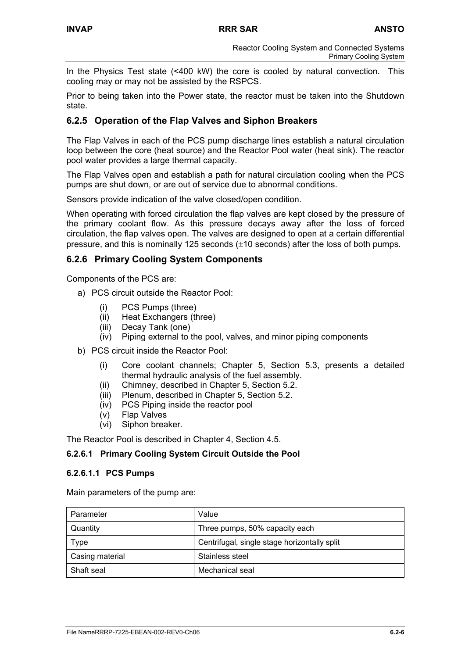In the Physics Test state (<400 kW) the core is cooled by natural convection. This cooling may or may not be assisted by the RSPCS.

Prior to being taken into the Power state, the reactor must be taken into the Shutdown state.

## **6.2.5 Operation of the Flap Valves and Siphon Breakers**

The Flap Valves in each of the PCS pump discharge lines establish a natural circulation loop between the core (heat source) and the Reactor Pool water (heat sink). The reactor pool water provides a large thermal capacity.

The Flap Valves open and establish a path for natural circulation cooling when the PCS pumps are shut down, or are out of service due to abnormal conditions.

Sensors provide indication of the valve closed/open condition.

When operating with forced circulation the flap valves are kept closed by the pressure of the primary coolant flow. As this pressure decays away after the loss of forced circulation, the flap valves open. The valves are designed to open at a certain differential pressure, and this is nominally 125 seconds (±10 seconds) after the loss of both pumps.

## **6.2.6 Primary Cooling System Components**

Components of the PCS are:

- a) PCS circuit outside the Reactor Pool:
	- (i) PCS Pumps (three)
	- (ii) Heat Exchangers (three)
	- (iii) Decay Tank (one)
	- (iv) Piping external to the pool, valves, and minor piping components
- b) PCS circuit inside the Reactor Pool:
	- (i) Core coolant channels; Chapter 5, Section 5.3, presents a detailed thermal hydraulic analysis of the fuel assembly.
	- (ii) Chimney, described in Chapter 5, Section 5.2.
	- (iii) Plenum, described in Chapter 5, Section 5.2.
	- (iv) PCS Piping inside the reactor pool
	- (v) Flap Valves
	- (vi) Siphon breaker.

The Reactor Pool is described in Chapter 4, Section 4.5.

#### **6.2.6.1 Primary Cooling System Circuit Outside the Pool**

#### **6.2.6.1.1 PCS Pumps**

Main parameters of the pump are:

| Parameter       | Value                                        |
|-----------------|----------------------------------------------|
| Quantity        | Three pumps, 50% capacity each               |
| Type            | Centrifugal, single stage horizontally split |
| Casing material | Stainless steel                              |
| Shaft seal      | Mechanical seal                              |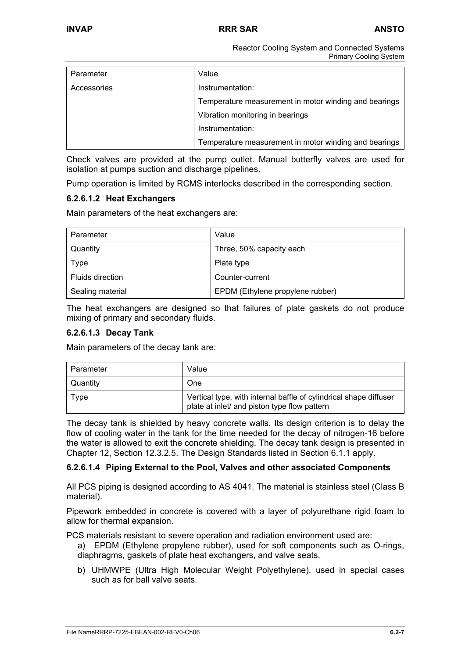Reactor Cooling System and Connected Systems Primary Cooling System

| Parameter   | Value                                                 |
|-------------|-------------------------------------------------------|
| Accessories | Instrumentation:                                      |
|             | Temperature measurement in motor winding and bearings |
|             | Vibration monitoring in bearings                      |
|             | Instrumentation:                                      |
|             | Temperature measurement in motor winding and bearings |

Check valves are provided at the pump outlet. Manual butterfly valves are used for isolation at pumps suction and discharge pipelines.

Pump operation is limited by RCMS interlocks described in the corresponding section.

#### **6.2.6.1.2 Heat Exchangers**

Main parameters of the heat exchangers are:

| Parameter        | Value                            |  |
|------------------|----------------------------------|--|
| Quantity         | Three, 50% capacity each         |  |
| Type             | Plate type                       |  |
| Fluids direction | Counter-current                  |  |
| Sealing material | EPDM (Ethylene propylene rubber) |  |

The heat exchangers are designed so that failures of plate gaskets do not produce mixing of primary and secondary fluids.

#### **6.2.6.1.3 Decay Tank**

Main parameters of the decay tank are:

| Parameter | Value                                                                                                             |
|-----------|-------------------------------------------------------------------------------------------------------------------|
| Quantity  | One                                                                                                               |
| Type      | Vertical type, with internal baffle of cylindrical shape diffuser<br>plate at inlet/ and piston type flow pattern |

The decay tank is shielded by heavy concrete walls. Its design criterion is to delay the flow of cooling water in the tank for the time needed for the decay of nitrogen-16 before the water is allowed to exit the concrete shielding. The decay tank design is presented in Chapter 12, Section 12.3.2.5. The Design Standards listed in Section 6.1.1 apply.

#### **6.2.6.1.4 Piping External to the Pool, Valves and other associated Components**

All PCS piping is designed according to AS 4041. The material is stainless steel (Class B material).

Pipework embedded in concrete is covered with a layer of polyurethane rigid foam to allow for thermal expansion.

PCS materials resistant to severe operation and radiation environment used are:

- a) EPDM (Ethylene propylene rubber), used for soft components such as O-rings, diaphragms, gaskets of plate heat exchangers, and valve seats.
- b) UHMWPE (Ultra High Molecular Weight Polyethylene), used in special cases such as for ball valve seats.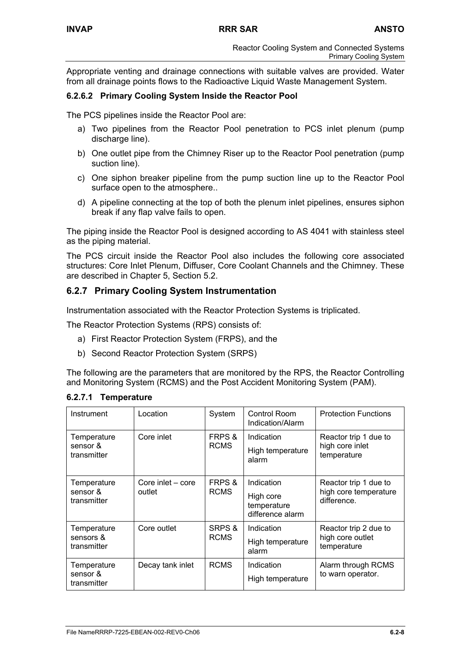Appropriate venting and drainage connections with suitable valves are provided. Water from all drainage points flows to the Radioactive Liquid Waste Management System.

## **6.2.6.2 Primary Cooling System Inside the Reactor Pool**

The PCS pipelines inside the Reactor Pool are:

- a) Two pipelines from the Reactor Pool penetration to PCS inlet plenum (pump discharge line).
- b) One outlet pipe from the Chimney Riser up to the Reactor Pool penetration (pump suction line).
- c) One siphon breaker pipeline from the pump suction line up to the Reactor Pool surface open to the atmosphere..
- d) A pipeline connecting at the top of both the plenum inlet pipelines, ensures siphon break if any flap valve fails to open.

The piping inside the Reactor Pool is designed according to AS 4041 with stainless steel as the piping material.

The PCS circuit inside the Reactor Pool also includes the following core associated structures: Core Inlet Plenum, Diffuser, Core Coolant Channels and the Chimney. These are described in Chapter 5, Section 5.2.

## **6.2.7 Primary Cooling System Instrumentation**

Instrumentation associated with the Reactor Protection Systems is triplicated.

The Reactor Protection Systems (RPS) consists of:

- a) First Reactor Protection System (FRPS), and the
- b) Second Reactor Protection System (SRPS)

The following are the parameters that are monitored by the RPS, the Reactor Controlling and Monitoring System (RCMS) and the Post Accident Monitoring System (PAM).

| Instrument                              | Location                    | System                | Control Room<br>Indication/Alarm                           | <b>Protection Functions</b>                                   |
|-----------------------------------------|-----------------------------|-----------------------|------------------------------------------------------------|---------------------------------------------------------------|
| Temperature<br>sensor &<br>transmitter  | Core inlet                  | FRPS &<br><b>RCMS</b> | Indication<br>High temperature<br>alarm                    | Reactor trip 1 due to<br>high core inlet<br>temperature       |
| Temperature<br>sensor &<br>transmitter  | Core inlet - core<br>outlet | FRPS &<br><b>RCMS</b> | Indication<br>High core<br>temperature<br>difference alarm | Reactor trip 1 due to<br>high core temperature<br>difference. |
| Temperature<br>sensors &<br>transmitter | Core outlet                 | SRPS &<br><b>RCMS</b> | Indication<br>High temperature<br>alarm                    | Reactor trip 2 due to<br>high core outlet<br>temperature      |
| Temperature<br>sensor &<br>transmitter  | Decay tank inlet            | <b>RCMS</b>           | Indication<br>High temperature                             | Alarm through RCMS<br>to warn operator.                       |

**6.2.7.1 Temperature**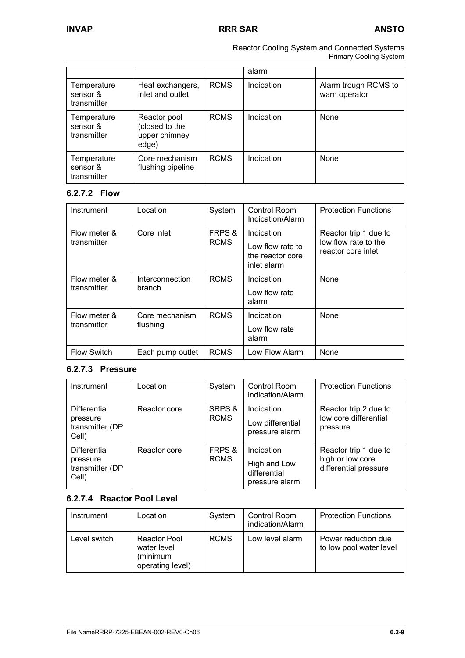Reactor Cooling System and Connected Systems Primary Cooling System

|                                        |                                                          |             | alarm      |                                       |
|----------------------------------------|----------------------------------------------------------|-------------|------------|---------------------------------------|
| Temperature<br>sensor &<br>transmitter | Heat exchangers,<br>inlet and outlet                     | <b>RCMS</b> | Indication | Alarm trough RCMS to<br>warn operator |
| Temperature<br>sensor &<br>transmitter | Reactor pool<br>(closed to the<br>upper chimney<br>edge) | <b>RCMS</b> | Indication | None                                  |
| Temperature<br>sensor &<br>transmitter | Core mechanism<br>flushing pipeline                      | <b>RCMS</b> | Indication | None                                  |

## **6.2.7.2 Flow**

| Instrument                  | Location                   | System                | <b>Control Room</b><br>Indication/Alarm                           | <b>Protection Functions</b>                                         |
|-----------------------------|----------------------------|-----------------------|-------------------------------------------------------------------|---------------------------------------------------------------------|
| Flow meter &<br>transmitter | Core inlet                 | FRPS &<br><b>RCMS</b> | Indication<br>Low flow rate to<br>the reactor core<br>inlet alarm | Reactor trip 1 due to<br>low flow rate to the<br>reactor core inlet |
| Flow meter &<br>transmitter | Interconnection<br>branch  | <b>RCMS</b>           | Indication<br>Low flow rate<br>alarm                              | None                                                                |
| Flow meter &<br>transmitter | Core mechanism<br>flushing | <b>RCMS</b>           | Indication<br>Low flow rate<br>alarm                              | None                                                                |
| <b>Flow Switch</b>          | Each pump outlet           | <b>RCMS</b>           | Low Flow Alarm                                                    | None                                                                |

## **6.2.7.3 Pressure**

| Instrument                                                  | Location     | System                | Control Room<br>indication/Alarm                             | <b>Protection Functions</b>                                        |
|-------------------------------------------------------------|--------------|-----------------------|--------------------------------------------------------------|--------------------------------------------------------------------|
| <b>Differential</b><br>pressure<br>transmitter (DP<br>Cell) | Reactor core | SRPS &<br><b>RCMS</b> | Indication<br>Low differential<br>pressure alarm             | Reactor trip 2 due to<br>low core differential<br>pressure         |
| <b>Differential</b><br>pressure<br>transmitter (DP<br>Cell) | Reactor core | FRPS &<br><b>RCMS</b> | Indication<br>High and Low<br>differential<br>pressure alarm | Reactor trip 1 due to<br>high or low core<br>differential pressure |

## **6.2.7.4 Reactor Pool Level**

| Instrument   | Location                                                           | System      | Control Room<br>indication/Alarm | <b>Protection Functions</b>                    |
|--------------|--------------------------------------------------------------------|-------------|----------------------------------|------------------------------------------------|
| Level switch | <b>Reactor Pool</b><br>water level<br>(minimum<br>operating level) | <b>RCMS</b> | Low level alarm                  | Power reduction due<br>to low pool water level |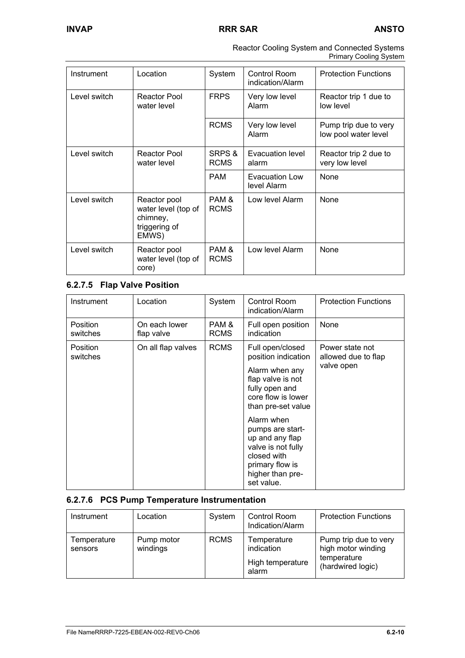| Reactor Cooling System and Connected Systems |
|----------------------------------------------|
| <b>Primary Cooling System</b>                |

| Instrument   | Location                                                                  | System                | Control Room<br>indication/Alarm | <b>Protection Functions</b>                   |
|--------------|---------------------------------------------------------------------------|-----------------------|----------------------------------|-----------------------------------------------|
| Level switch | Reactor Pool<br>water level                                               | <b>FRPS</b>           | Very low level<br>Alarm          | Reactor trip 1 due to<br>low level            |
|              |                                                                           | <b>RCMS</b>           | Very low level<br>Alarm          | Pump trip due to very<br>low pool water level |
| Level switch | Reactor Pool<br>water level                                               | SRPS &<br><b>RCMS</b> | Evacuation level<br>alarm        | Reactor trip 2 due to<br>very low level       |
|              |                                                                           | <b>PAM</b>            | Evacuation Low<br>level Alarm    | None                                          |
| Level switch | Reactor pool<br>water level (top of<br>chimney,<br>triggering of<br>EMWS) | PAM &<br><b>RCMS</b>  | Low level Alarm                  | None                                          |
| Level switch | Reactor pool<br>water level (top of<br>core)                              | PAM &<br><b>RCMS</b>  | Low level Alarm                  | None                                          |

## **6.2.7.5 Flap Valve Position**

| Instrument                  | Location                    | System               | Control Room<br>indication/Alarm                                                                                                                                                                                                                                                            | <b>Protection Functions</b>                          |
|-----------------------------|-----------------------------|----------------------|---------------------------------------------------------------------------------------------------------------------------------------------------------------------------------------------------------------------------------------------------------------------------------------------|------------------------------------------------------|
| <b>Position</b><br>switches | On each lower<br>flap valve | PAM &<br><b>RCMS</b> | Full open position<br>indication                                                                                                                                                                                                                                                            | None                                                 |
| Position<br>switches        | On all flap valves          | <b>RCMS</b>          | Full open/closed<br>position indication<br>Alarm when any<br>flap valve is not<br>fully open and<br>core flow is lower<br>than pre-set value<br>Alarm when<br>pumps are start-<br>up and any flap<br>valve is not fully<br>closed with<br>primary flow is<br>higher than pre-<br>set value. | Power state not<br>allowed due to flap<br>valve open |

## **6.2.7.6 PCS Pump Temperature Instrumentation**

| Instrument             | Location               | System      | Control Room<br>Indication/Alarm                       | <b>Protection Functions</b>                                                     |
|------------------------|------------------------|-------------|--------------------------------------------------------|---------------------------------------------------------------------------------|
| Temperature<br>sensors | Pump motor<br>windings | <b>RCMS</b> | Temperature<br>indication<br>High temperature<br>alarm | Pump trip due to very<br>high motor winding<br>temperature<br>(hardwired logic) |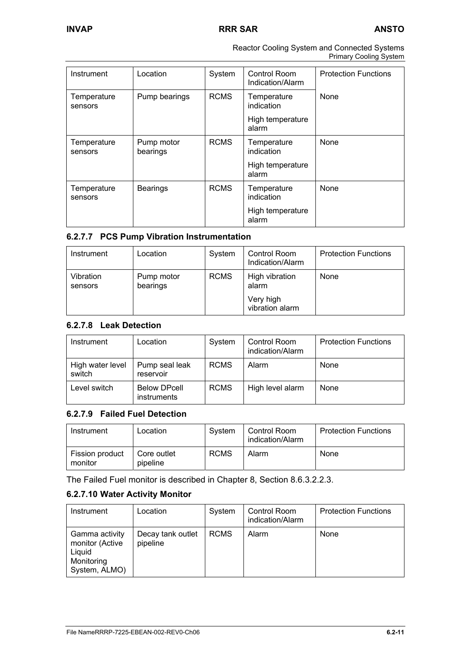| Reactor Cooling System and Connected Systems |
|----------------------------------------------|
| <b>Primary Cooling System</b>                |

| Instrument             | Location               | System      | Control Room<br>Indication/Alarm | <b>Protection Functions</b> |
|------------------------|------------------------|-------------|----------------------------------|-----------------------------|
| Temperature<br>sensors | Pump bearings          | <b>RCMS</b> | Temperature<br>indication        | None                        |
|                        |                        |             | High temperature<br>alarm        |                             |
| Temperature<br>sensors | Pump motor<br>bearings | <b>RCMS</b> | Temperature<br>indication        | None                        |
|                        |                        |             | High temperature<br>alarm        |                             |
| Temperature<br>sensors | <b>Bearings</b>        | <b>RCMS</b> | Temperature<br>indication        | None                        |
|                        |                        |             | High temperature<br>alarm        |                             |

## **6.2.7.7 PCS Pump Vibration Instrumentation**

| Instrument           | Location               | System      | Control Room<br>Indication/Alarm | <b>Protection Functions</b> |
|----------------------|------------------------|-------------|----------------------------------|-----------------------------|
| Vibration<br>sensors | Pump motor<br>bearings | <b>RCMS</b> | High vibration<br>alarm          | None                        |
|                      |                        |             | Very high<br>vibration alarm     |                             |

## **6.2.7.8 Leak Detection**

| Instrument                 | Location                                  | System      | Control Room<br>indication/Alarm | <b>Protection Functions</b> |
|----------------------------|-------------------------------------------|-------------|----------------------------------|-----------------------------|
| High water level<br>switch | Pump seal leak<br>reservoir               | <b>RCMS</b> | Alarm                            | None                        |
| Level switch               | <b>Below DPcell</b><br><i>instruments</i> | <b>RCMS</b> | High level alarm                 | None                        |

## **6.2.7.9 Failed Fuel Detection**

| Instrument                 | Location                | System      | Control Room<br>indication/Alarm | <b>Protection Functions</b> |
|----------------------------|-------------------------|-------------|----------------------------------|-----------------------------|
| Fission product<br>monitor | Core outlet<br>pipeline | <b>RCMS</b> | Alarm                            | None                        |

The Failed Fuel monitor is described in Chapter 8, Section 8.6.3.2.2.3.

## **6.2.7.10 Water Activity Monitor**

| Instrument                                                                 | Location                      | System      | Control Room<br>indication/Alarm | <b>Protection Functions</b> |
|----------------------------------------------------------------------------|-------------------------------|-------------|----------------------------------|-----------------------------|
| Gamma activity<br>monitor (Active<br>Liquid<br>Monitoring<br>System, ALMO) | Decay tank outlet<br>pipeline | <b>RCMS</b> | Alarm                            | None                        |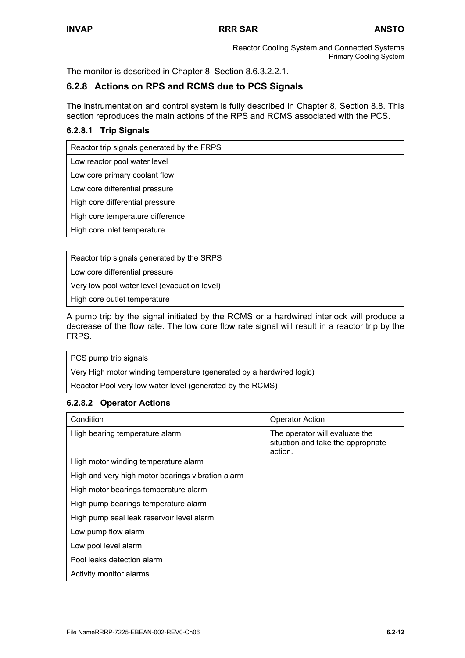The monitor is described in Chapter 8, Section 8.6.3.2.2.1.

## **6.2.8 Actions on RPS and RCMS due to PCS Signals**

The instrumentation and control system is fully described in Chapter 8, Section 8.8. This section reproduces the main actions of the RPS and RCMS associated with the PCS.

## **6.2.8.1 Trip Signals**

Reactor trip signals generated by the FRPS

Low reactor pool water level

Low core primary coolant flow

Low core differential pressure

High core differential pressure

High core temperature difference

High core inlet temperature

Reactor trip signals generated by the SRPS

Low core differential pressure

Very low pool water level (evacuation level)

High core outlet temperature

A pump trip by the signal initiated by the RCMS or a hardwired interlock will produce a decrease of the flow rate. The low core flow rate signal will result in a reactor trip by the FRPS.

PCS pump trip signals

Very High motor winding temperature (generated by a hardwired logic)

Reactor Pool very low water level (generated by the RCMS)

## **6.2.8.2 Operator Actions**

| Condition                                         | <b>Operator Action</b>                                                          |
|---------------------------------------------------|---------------------------------------------------------------------------------|
| High bearing temperature alarm                    | The operator will evaluate the<br>situation and take the appropriate<br>action. |
| High motor winding temperature alarm              |                                                                                 |
| High and very high motor bearings vibration alarm |                                                                                 |
| High motor bearings temperature alarm             |                                                                                 |
| High pump bearings temperature alarm              |                                                                                 |
| High pump seal leak reservoir level alarm         |                                                                                 |
| Low pump flow alarm                               |                                                                                 |
| Low pool level alarm                              |                                                                                 |
| Pool leaks detection alarm                        |                                                                                 |
| Activity monitor alarms                           |                                                                                 |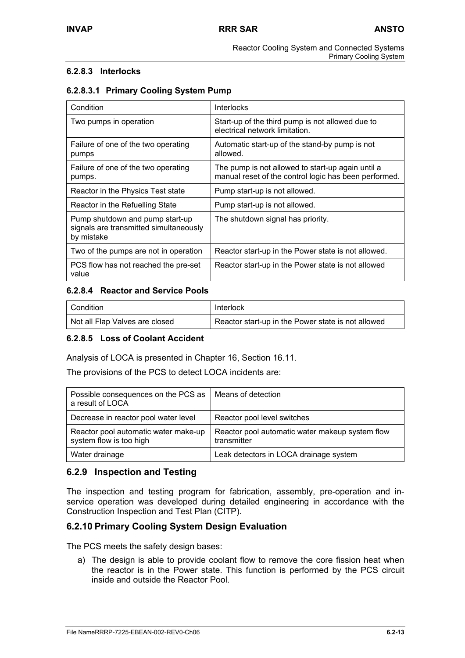## **6.2.8.3 Interlocks**

## **6.2.8.3.1 Primary Cooling System Pump**

| Condition                                                                               | <b>Interlocks</b>                                                                                          |  |
|-----------------------------------------------------------------------------------------|------------------------------------------------------------------------------------------------------------|--|
| Two pumps in operation                                                                  | Start-up of the third pump is not allowed due to<br>electrical network limitation.                         |  |
| Failure of one of the two operating<br>pumps                                            | Automatic start-up of the stand-by pump is not<br>allowed.                                                 |  |
| Failure of one of the two operating<br>pumps.                                           | The pump is not allowed to start-up again until a<br>manual reset of the control logic has been performed. |  |
| Reactor in the Physics Test state                                                       | Pump start-up is not allowed.                                                                              |  |
| Reactor in the Refuelling State                                                         | Pump start-up is not allowed.                                                                              |  |
| Pump shutdown and pump start-up<br>signals are transmitted simultaneously<br>by mistake | The shutdown signal has priority.                                                                          |  |
| Two of the pumps are not in operation                                                   | Reactor start-up in the Power state is not allowed.                                                        |  |
| PCS flow has not reached the pre-set<br>value                                           | Reactor start-up in the Power state is not allowed                                                         |  |

## **6.2.8.4 Reactor and Service Pools**

| Condition                      | Interlock                                          |  |  |
|--------------------------------|----------------------------------------------------|--|--|
| Not all Flap Valves are closed | Reactor start-up in the Power state is not allowed |  |  |

## **6.2.8.5 Loss of Coolant Accident**

Analysis of LOCA is presented in Chapter 16, Section 16.11.

The provisions of the PCS to detect LOCA incidents are:

| Possible consequences on the PCS as<br>a result of LOCA         | Means of detection                                             |
|-----------------------------------------------------------------|----------------------------------------------------------------|
| Decrease in reactor pool water level                            | Reactor pool level switches                                    |
| Reactor pool automatic water make-up<br>system flow is too high | Reactor pool automatic water makeup system flow<br>transmitter |
| Water drainage                                                  | Leak detectors in LOCA drainage system                         |

## **6.2.9 Inspection and Testing**

The inspection and testing program for fabrication, assembly, pre-operation and inservice operation was developed during detailed engineering in accordance with the Construction Inspection and Test Plan (CITP).

## **6.2.10 Primary Cooling System Design Evaluation**

The PCS meets the safety design bases:

a) The design is able to provide coolant flow to remove the core fission heat when the reactor is in the Power state. This function is performed by the PCS circuit inside and outside the Reactor Pool.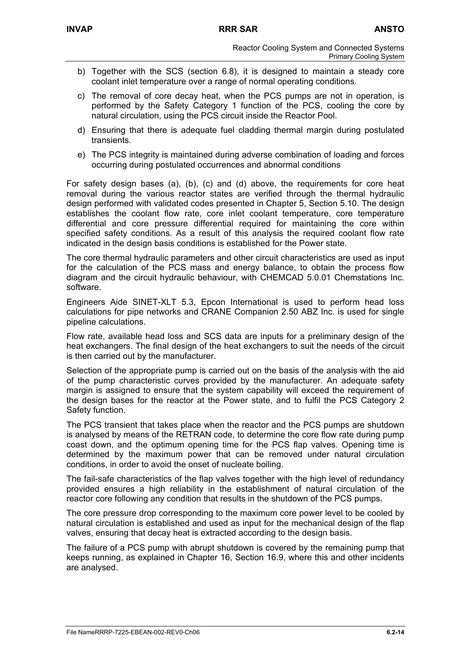- b) Together with the SCS (section 6.8), it is designed to maintain a steady core coolant inlet temperature over a range of normal operating conditions.
- c) The removal of core decay heat, when the PCS pumps are not in operation, is performed by the Safety Category 1 function of the PCS, cooling the core by natural circulation, using the PCS circuit inside the Reactor Pool.
- d) Ensuring that there is adequate fuel cladding thermal margin during postulated transients.
- e) The PCS integrity is maintained during adverse combination of loading and forces occurring during postulated occurrences and abnormal conditions

For safety design bases (a), (b), (c) and (d) above, the requirements for core heat removal during the various reactor states are verified through the thermal hydraulic design performed with validated codes presented in Chapter 5, Section 5.10. The design establishes the coolant flow rate, core inlet coolant temperature, core temperature differential and core pressure differential required for maintaining the core within specified safety conditions. As a result of this analysis the required coolant flow rate indicated in the design basis conditions is established for the Power state.

The core thermal hydraulic parameters and other circuit characteristics are used as input for the calculation of the PCS mass and energy balance, to obtain the process flow diagram and the circuit hydraulic behaviour, with CHEMCAD 5.0.01 Chemstations Inc. software.

Engineers Aide SINET-XLT 5.3, Epcon International is used to perform head loss calculations for pipe networks and CRANE Companion 2.50 ABZ Inc. is used for single pipeline calculations.

Flow rate, available head loss and SCS data are inputs for a preliminary design of the heat exchangers. The final design of the heat exchangers to suit the needs of the circuit is then carried out by the manufacturer.

Selection of the appropriate pump is carried out on the basis of the analysis with the aid of the pump characteristic curves provided by the manufacturer. An adequate safety margin is assigned to ensure that the system capability will exceed the requirement of the design bases for the reactor at the Power state, and to fulfil the PCS Category 2 Safety function.

The PCS transient that takes place when the reactor and the PCS pumps are shutdown is analysed by means of the RETRAN code, to determine the core flow rate during pump coast down, and the optimum opening time for the PCS flap valves. Opening time is determined by the maximum power that can be removed under natural circulation conditions, in order to avoid the onset of nucleate boiling.

The fail-safe characteristics of the flap valves together with the high level of redundancy provided ensures a high reliability in the establishment of natural circulation of the reactor core following any condition that results in the shutdown of the PCS pumps.

The core pressure drop corresponding to the maximum core power level to be cooled by natural circulation is established and used as input for the mechanical design of the flap valves, ensuring that decay heat is extracted according to the design basis.

The failure of a PCS pump with abrupt shutdown is covered by the remaining pump that keeps running, as explained in Chapter 16, Section 16.9, where this and other incidents are analysed.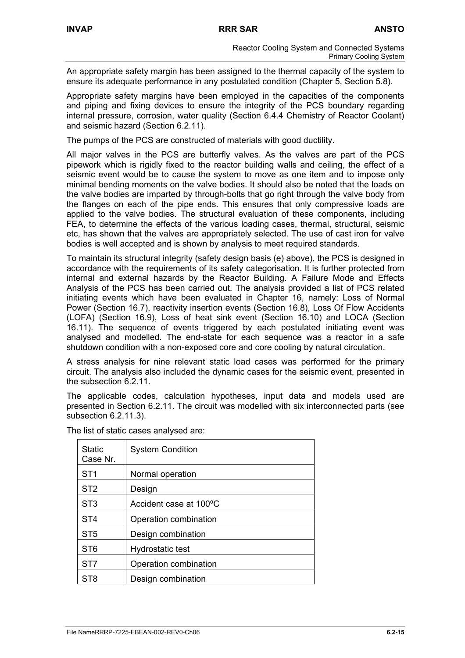An appropriate safety margin has been assigned to the thermal capacity of the system to ensure its adequate performance in any postulated condition (Chapter 5, Section 5.8).

Appropriate safety margins have been employed in the capacities of the components and piping and fixing devices to ensure the integrity of the PCS boundary regarding internal pressure, corrosion, water quality (Section 6.4.4 Chemistry of Reactor Coolant) and seismic hazard (Section 6.2.11).

The pumps of the PCS are constructed of materials with good ductility.

All major valves in the PCS are butterfly valves. As the valves are part of the PCS pipework which is rigidly fixed to the reactor building walls and ceiling, the effect of a seismic event would be to cause the system to move as one item and to impose only minimal bending moments on the valve bodies. It should also be noted that the loads on the valve bodies are imparted by through-bolts that go right through the valve body from the flanges on each of the pipe ends. This ensures that only compressive loads are applied to the valve bodies. The structural evaluation of these components, including FEA, to determine the effects of the various loading cases, thermal, structural, seismic etc, has shown that the valves are appropriately selected. The use of cast iron for valve bodies is well accepted and is shown by analysis to meet required standards.

To maintain its structural integrity (safety design basis (e) above), the PCS is designed in accordance with the requirements of its safety categorisation. It is further protected from internal and external hazards by the Reactor Building. A Failure Mode and Effects Analysis of the PCS has been carried out. The analysis provided a list of PCS related initiating events which have been evaluated in Chapter 16, namely: Loss of Normal Power (Section 16.7), reactivity insertion events (Section 16.8), Loss Of Flow Accidents (LOFA) (Section 16.9), Loss of heat sink event (Section 16.10) and LOCA (Section 16.11). The sequence of events triggered by each postulated initiating event was analysed and modelled. The end-state for each sequence was a reactor in a safe shutdown condition with a non-exposed core and core cooling by natural circulation.

A stress analysis for nine relevant static load cases was performed for the primary circuit. The analysis also included the dynamic cases for the seismic event, presented in the subsection 6.2.11.

The applicable codes, calculation hypotheses, input data and models used are presented in Section 6.2.11. The circuit was modelled with six interconnected parts (see subsection 6.2.11.3).

| <b>Static</b><br>Case Nr. | <b>System Condition</b> |
|---------------------------|-------------------------|
| ST1                       | Normal operation        |
| ST <sub>2</sub>           | Design                  |
| ST <sub>3</sub>           | Accident case at 100°C  |
| ST <sub>4</sub>           | Operation combination   |
| ST <sub>5</sub>           | Design combination      |
| ST <sub>6</sub>           | Hydrostatic test        |
| ST <sub>7</sub>           | Operation combination   |
| ST <sub>8</sub>           | Design combination      |

The list of static cases analysed are: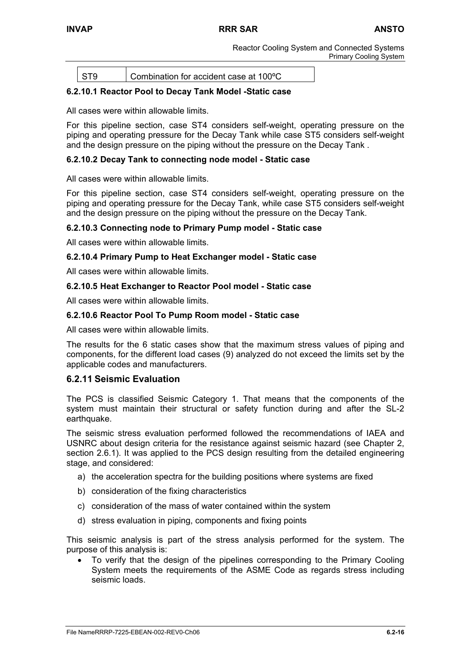ST9 Combination for accident case at 100ºC

## **6.2.10.1 Reactor Pool to Decay Tank Model -Static case**

All cases were within allowable limits.

For this pipeline section, case ST4 considers self-weight, operating pressure on the piping and operating pressure for the Decay Tank while case ST5 considers self-weight and the design pressure on the piping without the pressure on the Decay Tank .

## **6.2.10.2 Decay Tank to connecting node model - Static case**

All cases were within allowable limits.

For this pipeline section, case ST4 considers self-weight, operating pressure on the piping and operating pressure for the Decay Tank, while case ST5 considers self-weight and the design pressure on the piping without the pressure on the Decay Tank.

## **6.2.10.3 Connecting node to Primary Pump model - Static case**

All cases were within allowable limits.

## **6.2.10.4 Primary Pump to Heat Exchanger model - Static case**

All cases were within allowable limits.

#### **6.2.10.5 Heat Exchanger to Reactor Pool model - Static case**

All cases were within allowable limits.

#### **6.2.10.6 Reactor Pool To Pump Room model - Static case**

All cases were within allowable limits.

The results for the 6 static cases show that the maximum stress values of piping and components, for the different load cases (9) analyzed do not exceed the limits set by the applicable codes and manufacturers.

## **6.2.11 Seismic Evaluation**

The PCS is classified Seismic Category 1. That means that the components of the system must maintain their structural or safety function during and after the SL-2 earthquake.

The seismic stress evaluation performed followed the recommendations of IAEA and USNRC about design criteria for the resistance against seismic hazard (see Chapter 2, section 2.6.1). It was applied to the PCS design resulting from the detailed engineering stage, and considered:

- a) the acceleration spectra for the building positions where systems are fixed
- b) consideration of the fixing characteristics
- c) consideration of the mass of water contained within the system
- d) stress evaluation in piping, components and fixing points

This seismic analysis is part of the stress analysis performed for the system. The purpose of this analysis is:

• To verify that the design of the pipelines corresponding to the Primary Cooling System meets the requirements of the ASME Code as regards stress including seismic loads.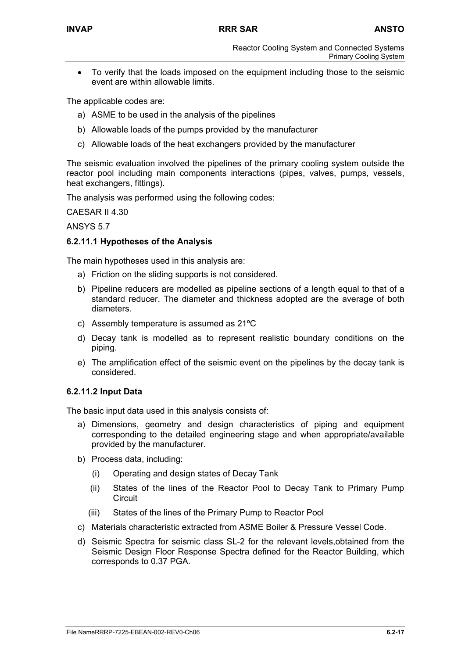• To verify that the loads imposed on the equipment including those to the seismic event are within allowable limits.

The applicable codes are:

- a) ASME to be used in the analysis of the pipelines
- b) Allowable loads of the pumps provided by the manufacturer
- c) Allowable loads of the heat exchangers provided by the manufacturer

The seismic evaluation involved the pipelines of the primary cooling system outside the reactor pool including main components interactions (pipes, valves, pumps, vessels, heat exchangers, fittings).

The analysis was performed using the following codes:

CAESAR II 4.30

ANSYS 5.7

## **6.2.11.1 Hypotheses of the Analysis**

The main hypotheses used in this analysis are:

- a) Friction on the sliding supports is not considered.
- b) Pipeline reducers are modelled as pipeline sections of a length equal to that of a standard reducer. The diameter and thickness adopted are the average of both diameters.
- c) Assembly temperature is assumed as 21ºC
- d) Decay tank is modelled as to represent realistic boundary conditions on the piping.
- e) The amplification effect of the seismic event on the pipelines by the decay tank is considered.

#### **6.2.11.2 Input Data**

The basic input data used in this analysis consists of:

- a) Dimensions, geometry and design characteristics of piping and equipment corresponding to the detailed engineering stage and when appropriate/available provided by the manufacturer.
- b) Process data, including:
	- (i) Operating and design states of Decay Tank
	- (ii) States of the lines of the Reactor Pool to Decay Tank to Primary Pump **Circuit**
	- (iii) States of the lines of the Primary Pump to Reactor Pool
- c) Materials characteristic extracted from ASME Boiler & Pressure Vessel Code.
- d) Seismic Spectra for seismic class SL-2 for the relevant levels,obtained from the Seismic Design Floor Response Spectra defined for the Reactor Building, which corresponds to 0.37 PGA.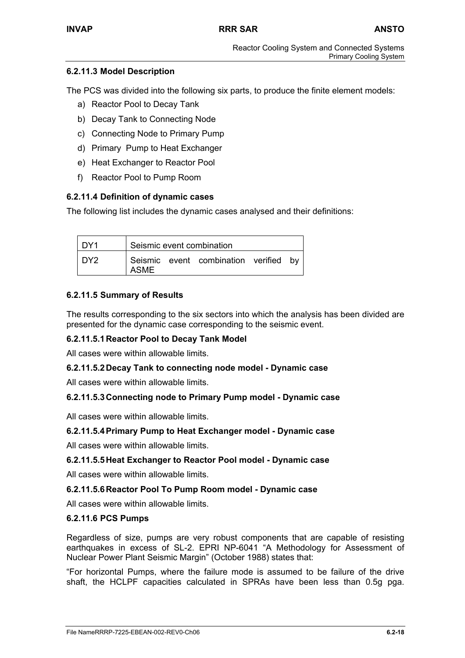## **6.2.11.3 Model Description**

The PCS was divided into the following six parts, to produce the finite element models:

- a) Reactor Pool to Decay Tank
- b) Decay Tank to Connecting Node
- c) Connecting Node to Primary Pump
- d) Primary Pump to Heat Exchanger
- e) Heat Exchanger to Reactor Pool
- f) Reactor Pool to Pump Room

## **6.2.11.4 Definition of dynamic cases**

The following list includes the dynamic cases analysed and their definitions:

| l DY1            | Seismic event combination |  |                                       |  |  |
|------------------|---------------------------|--|---------------------------------------|--|--|
| IDY <sub>2</sub> | ASME                      |  | Seismic event combination verified by |  |  |

## **6.2.11.5 Summary of Results**

The results corresponding to the six sectors into which the analysis has been divided are presented for the dynamic case corresponding to the seismic event.

## **6.2.11.5.1 Reactor Pool to Decay Tank Model**

All cases were within allowable limits.

## **6.2.11.5.2 Decay Tank to connecting node model - Dynamic case**

All cases were within allowable limits.

## **6.2.11.5.3 Connecting node to Primary Pump model - Dynamic case**

All cases were within allowable limits.

## **6.2.11.5.4 Primary Pump to Heat Exchanger model - Dynamic case**

All cases were within allowable limits.

## **6.2.11.5.5 Heat Exchanger to Reactor Pool model - Dynamic case**

All cases were within allowable limits.

## **6.2.11.5.6 Reactor Pool To Pump Room model - Dynamic case**

All cases were within allowable limits.

## **6.2.11.6 PCS Pumps**

Regardless of size, pumps are very robust components that are capable of resisting earthquakes in excess of SL-2. EPRI NP-6041 "A Methodology for Assessment of Nuclear Power Plant Seismic Margin" (October 1988) states that:

"For horizontal Pumps, where the failure mode is assumed to be failure of the drive shaft, the HCLPF capacities calculated in SPRAs have been less than 0.5g pga.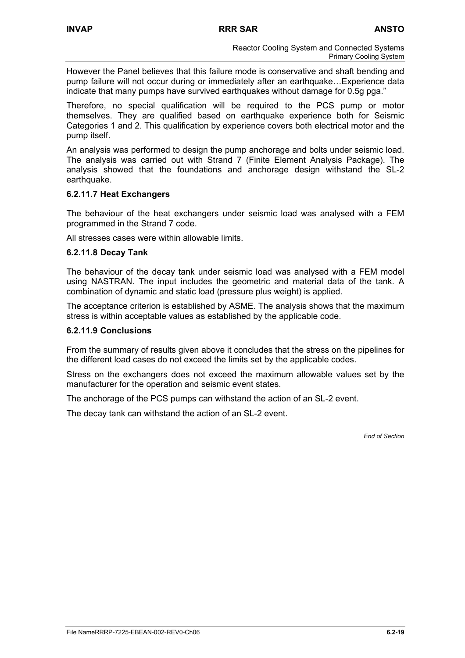However the Panel believes that this failure mode is conservative and shaft bending and pump failure will not occur during or immediately after an earthquake…Experience data indicate that many pumps have survived earthquakes without damage for 0.5g pga."

Therefore, no special qualification will be required to the PCS pump or motor themselves. They are qualified based on earthquake experience both for Seismic Categories 1 and 2. This qualification by experience covers both electrical motor and the pump itself.

An analysis was performed to design the pump anchorage and bolts under seismic load. The analysis was carried out with Strand 7 (Finite Element Analysis Package). The analysis showed that the foundations and anchorage design withstand the SL-2 earthquake.

## **6.2.11.7 Heat Exchangers**

The behaviour of the heat exchangers under seismic load was analysed with a FEM programmed in the Strand 7 code.

All stresses cases were within allowable limits.

#### **6.2.11.8 Decay Tank**

The behaviour of the decay tank under seismic load was analysed with a FEM model using NASTRAN. The input includes the geometric and material data of the tank. A combination of dynamic and static load (pressure plus weight) is applied.

The acceptance criterion is established by ASME. The analysis shows that the maximum stress is within acceptable values as established by the applicable code.

#### **6.2.11.9 Conclusions**

From the summary of results given above it concludes that the stress on the pipelines for the different load cases do not exceed the limits set by the applicable codes.

Stress on the exchangers does not exceed the maximum allowable values set by the manufacturer for the operation and seismic event states.

The anchorage of the PCS pumps can withstand the action of an SL-2 event.

The decay tank can withstand the action of an SL-2 event.

*End of Section*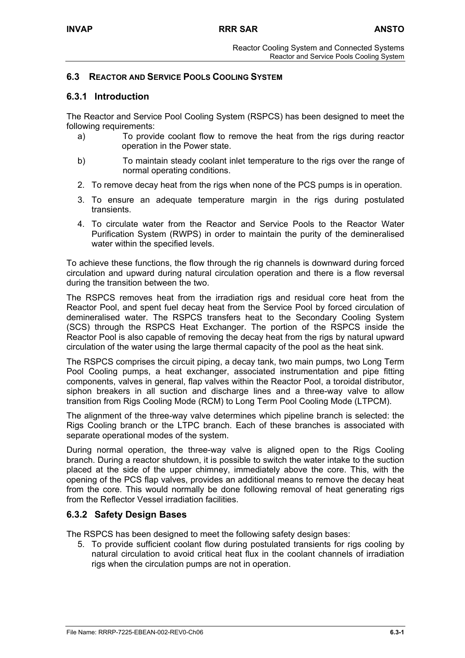## **6.3 REACTOR AND SERVICE POOLS COOLING SYSTEM**

## **6.3.1 Introduction**

The Reactor and Service Pool Cooling System (RSPCS) has been designed to meet the following requirements:

- a) To provide coolant flow to remove the heat from the rigs during reactor operation in the Power state.
- b) To maintain steady coolant inlet temperature to the rigs over the range of normal operating conditions.
- 2. To remove decay heat from the rigs when none of the PCS pumps is in operation.
- 3. To ensure an adequate temperature margin in the rigs during postulated transients.
- 4. To circulate water from the Reactor and Service Pools to the Reactor Water Purification System (RWPS) in order to maintain the purity of the demineralised water within the specified levels.

To achieve these functions, the flow through the rig channels is downward during forced circulation and upward during natural circulation operation and there is a flow reversal during the transition between the two.

The RSPCS removes heat from the irradiation rigs and residual core heat from the Reactor Pool, and spent fuel decay heat from the Service Pool by forced circulation of demineralised water. The RSPCS transfers heat to the Secondary Cooling System (SCS) through the RSPCS Heat Exchanger. The portion of the RSPCS inside the Reactor Pool is also capable of removing the decay heat from the rigs by natural upward circulation of the water using the large thermal capacity of the pool as the heat sink.

The RSPCS comprises the circuit piping, a decay tank, two main pumps, two Long Term Pool Cooling pumps, a heat exchanger, associated instrumentation and pipe fitting components, valves in general, flap valves within the Reactor Pool, a toroidal distributor, siphon breakers in all suction and discharge lines and a three-way valve to allow transition from Rigs Cooling Mode (RCM) to Long Term Pool Cooling Mode (LTPCM).

The alignment of the three-way valve determines which pipeline branch is selected: the Rigs Cooling branch or the LTPC branch. Each of these branches is associated with separate operational modes of the system.

During normal operation, the three-way valve is aligned open to the Rigs Cooling branch. During a reactor shutdown, it is possible to switch the water intake to the suction placed at the side of the upper chimney, immediately above the core. This, with the opening of the PCS flap valves, provides an additional means to remove the decay heat from the core. This would normally be done following removal of heat generating rigs from the Reflector Vessel irradiation facilities.

## **6.3.2 Safety Design Bases**

The RSPCS has been designed to meet the following safety design bases:

5. To provide sufficient coolant flow during postulated transients for rigs cooling by natural circulation to avoid critical heat flux in the coolant channels of irradiation rigs when the circulation pumps are not in operation.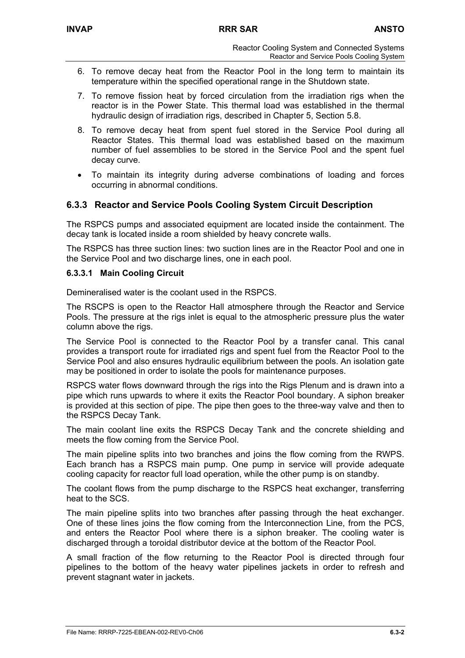- 6. To remove decay heat from the Reactor Pool in the long term to maintain its temperature within the specified operational range in the Shutdown state.
- 7. To remove fission heat by forced circulation from the irradiation rigs when the reactor is in the Power State. This thermal load was established in the thermal hydraulic design of irradiation rigs, described in Chapter 5, Section 5.8.
- 8. To remove decay heat from spent fuel stored in the Service Pool during all Reactor States. This thermal load was established based on the maximum number of fuel assemblies to be stored in the Service Pool and the spent fuel decay curve.
- To maintain its integrity during adverse combinations of loading and forces occurring in abnormal conditions.

## **6.3.3 Reactor and Service Pools Cooling System Circuit Description**

The RSPCS pumps and associated equipment are located inside the containment. The decay tank is located inside a room shielded by heavy concrete walls.

The RSPCS has three suction lines: two suction lines are in the Reactor Pool and one in the Service Pool and two discharge lines, one in each pool.

## **6.3.3.1 Main Cooling Circuit**

Demineralised water is the coolant used in the RSPCS.

The RSCPS is open to the Reactor Hall atmosphere through the Reactor and Service Pools. The pressure at the rigs inlet is equal to the atmospheric pressure plus the water column above the rigs.

The Service Pool is connected to the Reactor Pool by a transfer canal. This canal provides a transport route for irradiated rigs and spent fuel from the Reactor Pool to the Service Pool and also ensures hydraulic equilibrium between the pools. An isolation gate may be positioned in order to isolate the pools for maintenance purposes.

RSPCS water flows downward through the rigs into the Rigs Plenum and is drawn into a pipe which runs upwards to where it exits the Reactor Pool boundary. A siphon breaker is provided at this section of pipe. The pipe then goes to the three-way valve and then to the RSPCS Decay Tank.

The main coolant line exits the RSPCS Decay Tank and the concrete shielding and meets the flow coming from the Service Pool.

The main pipeline splits into two branches and joins the flow coming from the RWPS. Each branch has a RSPCS main pump. One pump in service will provide adequate cooling capacity for reactor full load operation, while the other pump is on standby.

The coolant flows from the pump discharge to the RSPCS heat exchanger, transferring heat to the SCS.

The main pipeline splits into two branches after passing through the heat exchanger. One of these lines joins the flow coming from the Interconnection Line, from the PCS, and enters the Reactor Pool where there is a siphon breaker. The cooling water is discharged through a toroidal distributor device at the bottom of the Reactor Pool.

A small fraction of the flow returning to the Reactor Pool is directed through four pipelines to the bottom of the heavy water pipelines jackets in order to refresh and prevent stagnant water in jackets.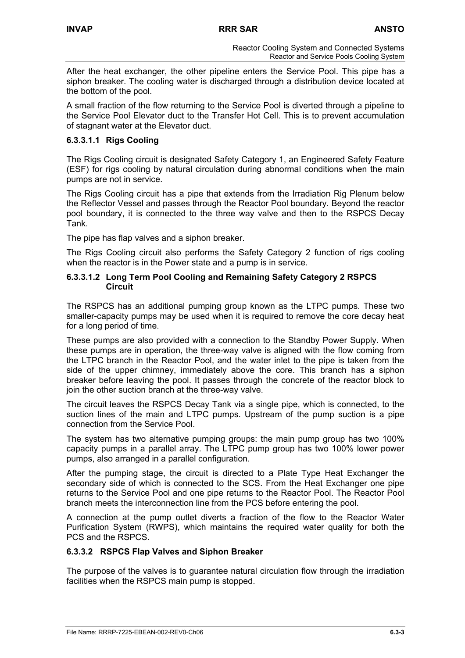After the heat exchanger, the other pipeline enters the Service Pool. This pipe has a siphon breaker. The cooling water is discharged through a distribution device located at the bottom of the pool.

A small fraction of the flow returning to the Service Pool is diverted through a pipeline to the Service Pool Elevator duct to the Transfer Hot Cell. This is to prevent accumulation of stagnant water at the Elevator duct.

## **6.3.3.1.1 Rigs Cooling**

The Rigs Cooling circuit is designated Safety Category 1, an Engineered Safety Feature (ESF) for rigs cooling by natural circulation during abnormal conditions when the main pumps are not in service.

The Rigs Cooling circuit has a pipe that extends from the Irradiation Rig Plenum below the Reflector Vessel and passes through the Reactor Pool boundary. Beyond the reactor pool boundary, it is connected to the three way valve and then to the RSPCS Decay Tank.

The pipe has flap valves and a siphon breaker.

The Rigs Cooling circuit also performs the Safety Category 2 function of rigs cooling when the reactor is in the Power state and a pump is in service.

## **6.3.3.1.2 Long Term Pool Cooling and Remaining Safety Category 2 RSPCS Circuit**

The RSPCS has an additional pumping group known as the LTPC pumps. These two smaller-capacity pumps may be used when it is required to remove the core decay heat for a long period of time.

These pumps are also provided with a connection to the Standby Power Supply. When these pumps are in operation, the three-way valve is aligned with the flow coming from the LTPC branch in the Reactor Pool, and the water inlet to the pipe is taken from the side of the upper chimney, immediately above the core. This branch has a siphon breaker before leaving the pool. It passes through the concrete of the reactor block to join the other suction branch at the three-way valve.

The circuit leaves the RSPCS Decay Tank via a single pipe, which is connected, to the suction lines of the main and LTPC pumps. Upstream of the pump suction is a pipe connection from the Service Pool.

The system has two alternative pumping groups: the main pump group has two 100% capacity pumps in a parallel array. The LTPC pump group has two 100% lower power pumps, also arranged in a parallel configuration.

After the pumping stage, the circuit is directed to a Plate Type Heat Exchanger the secondary side of which is connected to the SCS. From the Heat Exchanger one pipe returns to the Service Pool and one pipe returns to the Reactor Pool. The Reactor Pool branch meets the interconnection line from the PCS before entering the pool.

A connection at the pump outlet diverts a fraction of the flow to the Reactor Water Purification System (RWPS), which maintains the required water quality for both the PCS and the RSPCS.

## **6.3.3.2 RSPCS Flap Valves and Siphon Breaker**

The purpose of the valves is to guarantee natural circulation flow through the irradiation facilities when the RSPCS main pump is stopped.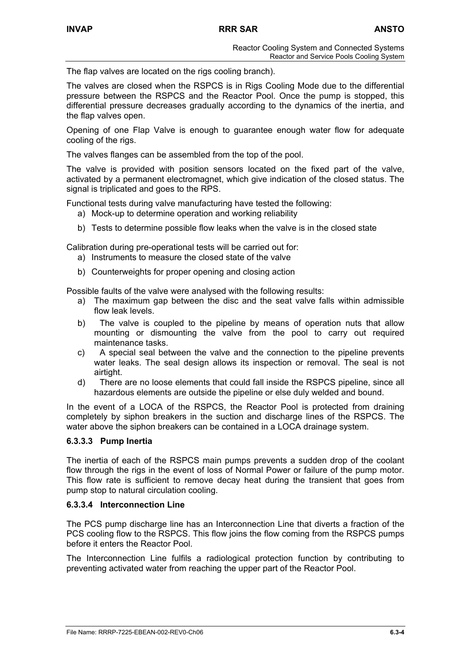The flap valves are located on the rigs cooling branch).

The valves are closed when the RSPCS is in Rigs Cooling Mode due to the differential pressure between the RSPCS and the Reactor Pool. Once the pump is stopped, this differential pressure decreases gradually according to the dynamics of the inertia, and the flap valves open.

Opening of one Flap Valve is enough to guarantee enough water flow for adequate cooling of the rigs.

The valves flanges can be assembled from the top of the pool.

The valve is provided with position sensors located on the fixed part of the valve, activated by a permanent electromagnet, which give indication of the closed status. The signal is triplicated and goes to the RPS.

Functional tests during valve manufacturing have tested the following:

- a) Mock-up to determine operation and working reliability
- b) Tests to determine possible flow leaks when the valve is in the closed state

Calibration during pre-operational tests will be carried out for:

- a) Instruments to measure the closed state of the valve
- b) Counterweights for proper opening and closing action

Possible faults of the valve were analysed with the following results:

- a) The maximum gap between the disc and the seat valve falls within admissible flow leak levels.
- b) The valve is coupled to the pipeline by means of operation nuts that allow mounting or dismounting the valve from the pool to carry out required maintenance tasks.
- c) A special seal between the valve and the connection to the pipeline prevents water leaks. The seal design allows its inspection or removal. The seal is not airtight.
- d) There are no loose elements that could fall inside the RSPCS pipeline, since all hazardous elements are outside the pipeline or else duly welded and bound.

In the event of a LOCA of the RSPCS, the Reactor Pool is protected from draining completely by siphon breakers in the suction and discharge lines of the RSPCS. The water above the siphon breakers can be contained in a LOCA drainage system.

## **6.3.3.3 Pump Inertia**

The inertia of each of the RSPCS main pumps prevents a sudden drop of the coolant flow through the rigs in the event of loss of Normal Power or failure of the pump motor. This flow rate is sufficient to remove decay heat during the transient that goes from pump stop to natural circulation cooling.

#### **6.3.3.4 Interconnection Line**

The PCS pump discharge line has an Interconnection Line that diverts a fraction of the PCS cooling flow to the RSPCS. This flow joins the flow coming from the RSPCS pumps before it enters the Reactor Pool.

The Interconnection Line fulfils a radiological protection function by contributing to preventing activated water from reaching the upper part of the Reactor Pool.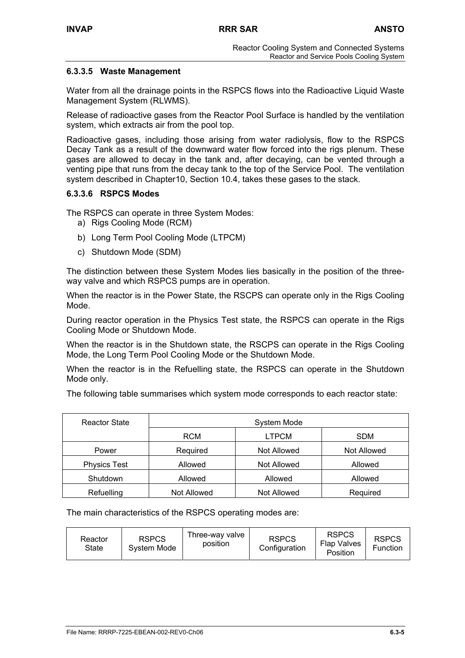## **6.3.3.5 Waste Management**

Water from all the drainage points in the RSPCS flows into the Radioactive Liquid Waste Management System (RLWMS).

Release of radioactive gases from the Reactor Pool Surface is handled by the ventilation system, which extracts air from the pool top.

Radioactive gases, including those arising from water radiolysis, flow to the RSPCS Decay Tank as a result of the downward water flow forced into the rigs plenum. These gases are allowed to decay in the tank and, after decaying, can be vented through a venting pipe that runs from the decay tank to the top of the Service Pool. The ventilation system described in Chapter10, Section 10.4, takes these gases to the stack.

## **6.3.3.6 RSPCS Modes**

The RSPCS can operate in three System Modes:

- a) Rigs Cooling Mode (RCM)
- b) Long Term Pool Cooling Mode (LTPCM)
- c) Shutdown Mode (SDM)

The distinction between these System Modes lies basically in the position of the threeway valve and which RSPCS pumps are in operation.

When the reactor is in the Power State, the RSCPS can operate only in the Rigs Cooling Mode.

During reactor operation in the Physics Test state, the RSPCS can operate in the Rigs Cooling Mode or Shutdown Mode.

When the reactor is in the Shutdown state, the RSCPS can operate in the Rigs Cooling Mode, the Long Term Pool Cooling Mode or the Shutdown Mode.

When the reactor is in the Refuelling state, the RSPCS can operate in the Shutdown Mode only.

The following table summarises which system mode corresponds to each reactor state:

| <b>Reactor State</b> | System Mode |              |             |  |
|----------------------|-------------|--------------|-------------|--|
|                      | <b>RCM</b>  | <b>LTPCM</b> | <b>SDM</b>  |  |
| Power                | Required    | Not Allowed  | Not Allowed |  |
| <b>Physics Test</b>  | Allowed     | Not Allowed  | Allowed     |  |
| Shutdown<br>Allowed  |             | Allowed      | Allowed     |  |
| Refuelling           | Not Allowed | Not Allowed  | Required    |  |

The main characteristics of the RSPCS operating modes are:

| Reactor<br>State | <b>RSPCS</b><br>System Mode | Three-way valve<br>position | <b>RSPCS</b><br>Configuration | <b>RSPCS</b><br><b>Flap Valves</b><br>Position | <b>RSPCS</b><br>Function |
|------------------|-----------------------------|-----------------------------|-------------------------------|------------------------------------------------|--------------------------|
|------------------|-----------------------------|-----------------------------|-------------------------------|------------------------------------------------|--------------------------|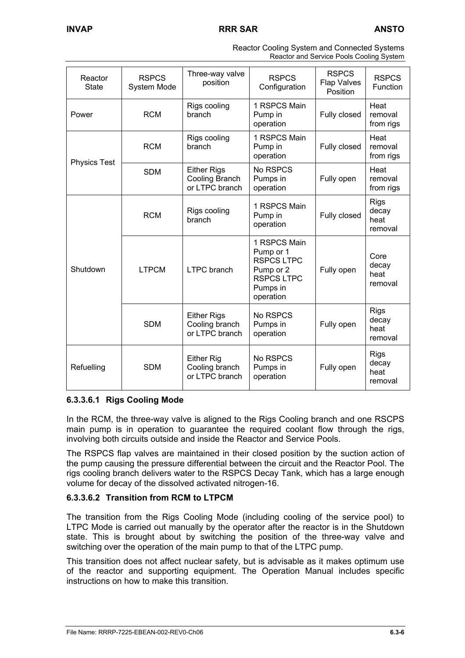| Reactor<br><b>State</b> | <b>RSPCS</b><br>System Mode                                         | Three-way valve<br>position                                   | <b>RSPCS</b><br>Configuration                                                                             | <b>RSPCS</b><br><b>Flap Valves</b><br>Position | <b>RSPCS</b><br>Function                |
|-------------------------|---------------------------------------------------------------------|---------------------------------------------------------------|-----------------------------------------------------------------------------------------------------------|------------------------------------------------|-----------------------------------------|
| Power                   | Rigs cooling<br><b>RCM</b><br>branch                                |                                                               | 1 RSPCS Main<br>Pump in<br>operation                                                                      | Fully closed                                   | Heat<br>removal<br>from rigs            |
| <b>Physics Test</b>     | <b>RCM</b>                                                          | Rigs cooling<br>branch                                        | 1 RSPCS Main<br>Pump in<br>operation                                                                      | Fully closed                                   | Heat<br>removal<br>from rigs            |
|                         | <b>SDM</b>                                                          | <b>Either Rigs</b><br><b>Cooling Branch</b><br>or LTPC branch | No RSPCS<br>Pumps in<br>operation                                                                         | Fully open                                     | Heat<br>removal<br>from rigs            |
|                         | <b>RCM</b>                                                          | Rigs cooling<br>branch                                        | 1 RSPCS Main<br>Pump in<br>operation                                                                      | Fully closed                                   | <b>Rigs</b><br>decay<br>heat<br>removal |
| Shutdown                | <b>LTPCM</b>                                                        | <b>LTPC</b> branch                                            | 1 RSPCS Main<br>Pump or 1<br><b>RSPCS LTPC</b><br>Pump or 2<br><b>RSPCS LTPC</b><br>Pumps in<br>operation | Fully open                                     | Core<br>decay<br>heat<br>removal        |
|                         | <b>SDM</b>                                                          | <b>Either Rigs</b><br>Cooling branch<br>or LTPC branch        | No RSPCS<br>Pumps in<br>operation                                                                         | Fully open                                     | <b>Rigs</b><br>decay<br>heat<br>removal |
| Refuelling              | <b>Either Rig</b><br><b>SDM</b><br>Cooling branch<br>or LTPC branch |                                                               | No RSPCS<br>Pumps in<br>operation                                                                         | Fully open                                     | <b>Rigs</b><br>decay<br>heat<br>removal |

| Reactor Cooling System and Connected Systems |  |
|----------------------------------------------|--|
| Reactor and Service Pools Cooling System     |  |

# **6.3.3.6.1 Rigs Cooling Mode**

In the RCM, the three-way valve is aligned to the Rigs Cooling branch and one RSCPS main pump is in operation to guarantee the required coolant flow through the rigs, involving both circuits outside and inside the Reactor and Service Pools.

The RSPCS flap valves are maintained in their closed position by the suction action of the pump causing the pressure differential between the circuit and the Reactor Pool. The rigs cooling branch delivers water to the RSPCS Decay Tank, which has a large enough volume for decay of the dissolved activated nitrogen-16.

# **6.3.3.6.2 Transition from RCM to LTPCM**

The transition from the Rigs Cooling Mode (including cooling of the service pool) to LTPC Mode is carried out manually by the operator after the reactor is in the Shutdown state. This is brought about by switching the position of the three-way valve and switching over the operation of the main pump to that of the LTPC pump.

This transition does not affect nuclear safety, but is advisable as it makes optimum use of the reactor and supporting equipment. The Operation Manual includes specific instructions on how to make this transition.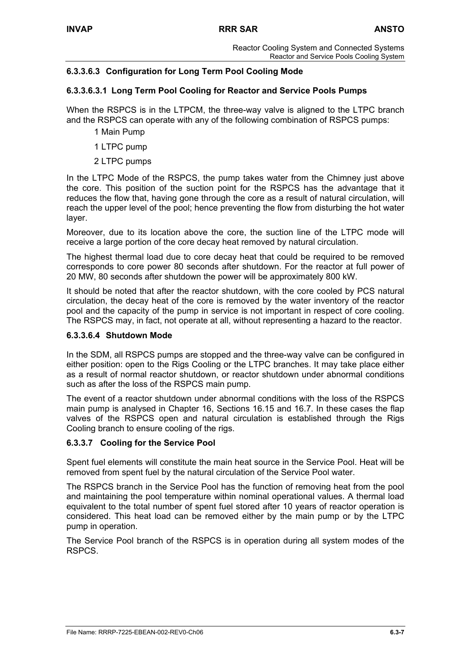# **6.3.3.6.3 Configuration for Long Term Pool Cooling Mode**

# **6.3.3.6.3.1 Long Term Pool Cooling for Reactor and Service Pools Pumps**

When the RSPCS is in the LTPCM, the three-way valve is aligned to the LTPC branch and the RSPCS can operate with any of the following combination of RSPCS pumps:

- 1 Main Pump
- 1 LTPC pump
- 2 LTPC pumps

In the LTPC Mode of the RSPCS, the pump takes water from the Chimney just above the core. This position of the suction point for the RSPCS has the advantage that it reduces the flow that, having gone through the core as a result of natural circulation, will reach the upper level of the pool; hence preventing the flow from disturbing the hot water layer.

Moreover, due to its location above the core, the suction line of the LTPC mode will receive a large portion of the core decay heat removed by natural circulation.

The highest thermal load due to core decay heat that could be required to be removed corresponds to core power 80 seconds after shutdown. For the reactor at full power of 20 MW, 80 seconds after shutdown the power will be approximately 800 kW.

It should be noted that after the reactor shutdown, with the core cooled by PCS natural circulation, the decay heat of the core is removed by the water inventory of the reactor pool and the capacity of the pump in service is not important in respect of core cooling. The RSPCS may, in fact, not operate at all, without representing a hazard to the reactor.

# **6.3.3.6.4 Shutdown Mode**

In the SDM, all RSPCS pumps are stopped and the three-way valve can be configured in either position: open to the Rigs Cooling or the LTPC branches. It may take place either as a result of normal reactor shutdown, or reactor shutdown under abnormal conditions such as after the loss of the RSPCS main pump.

The event of a reactor shutdown under abnormal conditions with the loss of the RSPCS main pump is analysed in Chapter 16, Sections 16.15 and 16.7. In these cases the flap valves of the RSPCS open and natural circulation is established through the Rigs Cooling branch to ensure cooling of the rigs.

# **6.3.3.7 Cooling for the Service Pool**

Spent fuel elements will constitute the main heat source in the Service Pool. Heat will be removed from spent fuel by the natural circulation of the Service Pool water.

The RSPCS branch in the Service Pool has the function of removing heat from the pool and maintaining the pool temperature within nominal operational values. A thermal load equivalent to the total number of spent fuel stored after 10 years of reactor operation is considered. This heat load can be removed either by the main pump or by the LTPC pump in operation.

The Service Pool branch of the RSPCS is in operation during all system modes of the RSPCS.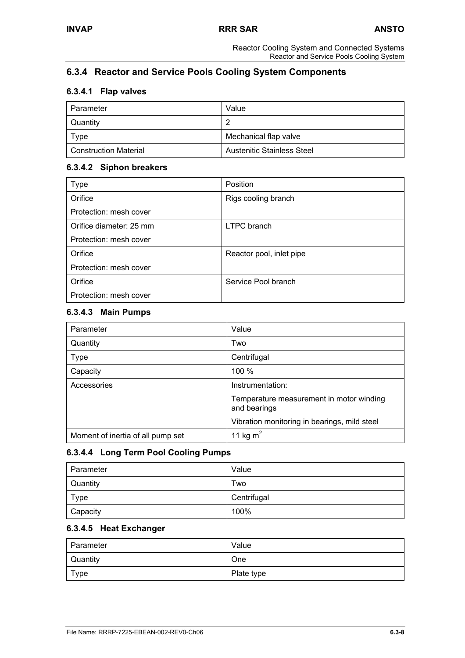# **6.3.4 Reactor and Service Pools Cooling System Components**

# **6.3.4.1 Flap valves**

| Parameter                    | Value                             |
|------------------------------|-----------------------------------|
| Quantity                     |                                   |
| Type                         | Mechanical flap valve             |
| <b>Construction Material</b> | <b>Austenitic Stainless Steel</b> |

### **6.3.4.2 Siphon breakers**

| Type                    | Position                 |
|-------------------------|--------------------------|
| Orifice                 | Rigs cooling branch      |
| Protection: mesh cover  |                          |
| Orifice diameter: 25 mm | <b>LTPC</b> branch       |
| Protection: mesh cover  |                          |
| Orifice                 | Reactor pool, inlet pipe |
| Protection: mesh cover  |                          |
| Orifice                 | Service Pool branch      |
| Protection: mesh cover  |                          |

### **6.3.4.3 Main Pumps**

| Parameter                         | Value                                                    |  |
|-----------------------------------|----------------------------------------------------------|--|
| Quantity                          | Two                                                      |  |
| <b>Type</b>                       | Centrifugal                                              |  |
| Capacity                          | 100 %                                                    |  |
| Accessories                       | Instrumentation:                                         |  |
|                                   | Temperature measurement in motor winding<br>and bearings |  |
|                                   | Vibration monitoring in bearings, mild steel             |  |
| Moment of inertia of all pump set | 11 kg $m2$                                               |  |

# **6.3.4.4 Long Term Pool Cooling Pumps**

| Parameter   | Value       |
|-------------|-------------|
| Quantity    | Two         |
| <b>Type</b> | Centrifugal |
| Capacity    | 100%        |

### **6.3.4.5 Heat Exchanger**

| l Parameter     | Value      |
|-----------------|------------|
| <b>Quantity</b> | <b>One</b> |
| Type            | Plate type |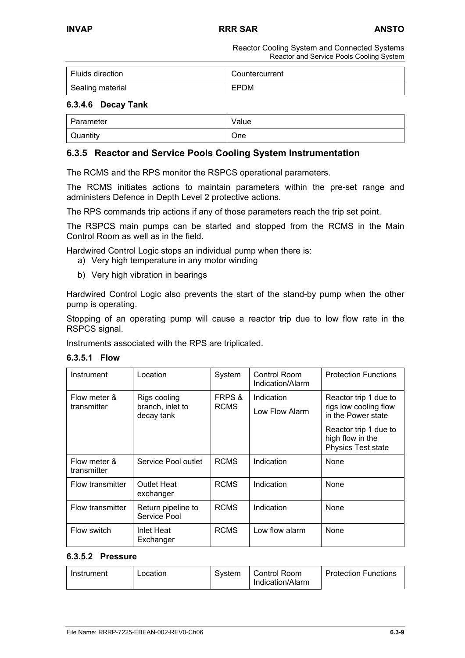| Fluids direction | Countercurrent |
|------------------|----------------|
| Sealing material | EPDM           |

### **6.3.4.6 Decay Tank**

| ∣ Parameter | Value |
|-------------|-------|
| Quantity    | One   |

# **6.3.5 Reactor and Service Pools Cooling System Instrumentation**

The RCMS and the RPS monitor the RSPCS operational parameters.

The RCMS initiates actions to maintain parameters within the pre-set range and administers Defence in Depth Level 2 protective actions.

The RPS commands trip actions if any of those parameters reach the trip set point.

The RSPCS main pumps can be started and stopped from the RCMS in the Main Control Room as well as in the field.

Hardwired Control Logic stops an individual pump when there is:

- a) Very high temperature in any motor winding
- b) Very high vibration in bearings

Hardwired Control Logic also prevents the start of the stand-by pump when the other pump is operating.

Stopping of an operating pump will cause a reactor trip due to low flow rate in the RSPCS signal.

Instruments associated with the RPS are triplicated.

| 6.3.5.1 | <b>Flow</b> |
|---------|-------------|
|---------|-------------|

| Instrument                  | Location                                       | System                | Control Room<br>Indication/Alarm | <b>Protection Functions</b>                                            |
|-----------------------------|------------------------------------------------|-----------------------|----------------------------------|------------------------------------------------------------------------|
| Flow meter &<br>transmitter | Rigs cooling<br>branch, inlet to<br>decay tank | FRPS &<br><b>RCMS</b> | Indication<br>Low Flow Alarm     | Reactor trip 1 due to<br>rigs low cooling flow<br>in the Power state   |
|                             |                                                |                       |                                  | Reactor trip 1 due to<br>high flow in the<br><b>Physics Test state</b> |
| Flow meter &<br>transmitter | Service Pool outlet                            | <b>RCMS</b>           | Indication                       | None                                                                   |
| Flow transmitter            | Outlet Heat<br>exchanger                       | <b>RCMS</b>           | Indication                       | <b>None</b>                                                            |
| Flow transmitter            | Return pipeline to<br>Service Pool             | <b>RCMS</b>           | Indication                       | None                                                                   |
| Flow switch                 | Inlet Heat<br>Exchanger                        | <b>RCMS</b>           | Low flow alarm                   | None                                                                   |

#### **6.3.5.2 Pressure**

| Instrument | Location | Svstem | <b>Control Room</b><br>Indication/Alarm | l Protection Functions |
|------------|----------|--------|-----------------------------------------|------------------------|
|            |          |        |                                         |                        |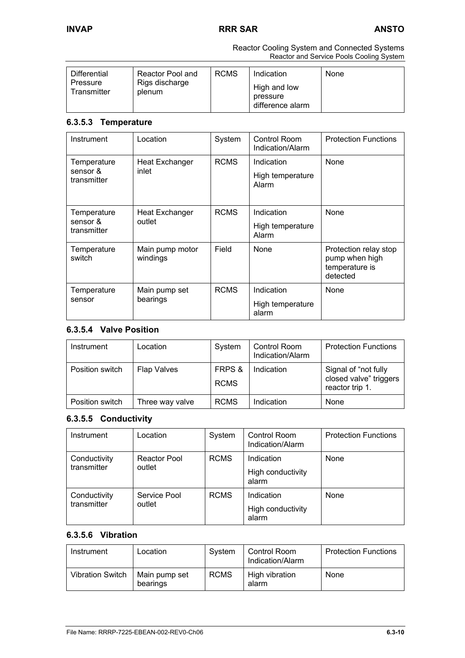| <b>RCMS</b><br>Differential<br>Reactor Pool and<br>Rigs discharge<br>Pressure<br>Transmitter<br>plenum | Indication<br>None<br>High and low<br>pressure<br>difference alarm |
|--------------------------------------------------------------------------------------------------------|--------------------------------------------------------------------|
|--------------------------------------------------------------------------------------------------------|--------------------------------------------------------------------|

### **6.3.5.3 Temperature**

| Instrument                             | Location                        | System      | Control Room<br>Indication/Alarm        | <b>Protection Functions</b>                                           |
|----------------------------------------|---------------------------------|-------------|-----------------------------------------|-----------------------------------------------------------------------|
| Temperature<br>sensor &<br>transmitter | <b>Heat Exchanger</b><br>inlet  | <b>RCMS</b> | Indication<br>High temperature<br>Alarm | <b>None</b>                                                           |
| Temperature<br>sensor &<br>transmitter | <b>Heat Exchanger</b><br>outlet | <b>RCMS</b> | Indication<br>High temperature<br>Alarm | <b>None</b>                                                           |
| Temperature<br>switch                  | Main pump motor<br>windings     | Field       | <b>None</b>                             | Protection relay stop<br>pump when high<br>temperature is<br>detected |
| Temperature<br>sensor                  | Main pump set<br>bearings       | <b>RCMS</b> | Indication<br>High temperature<br>alarm | None                                                                  |

# **6.3.5.4 Valve Position**

| Instrument      | Location        | System                | <b>Control Room</b><br>Indication/Alarm | <b>Protection Functions</b>                                       |
|-----------------|-----------------|-----------------------|-----------------------------------------|-------------------------------------------------------------------|
| Position switch | Flap Valves     | FRPS &<br><b>RCMS</b> | Indication                              | Signal of "not fully<br>closed valve" triggers<br>reactor trip 1. |
| Position switch | Three way valve | <b>RCMS</b>           | Indication                              | None                                                              |

# **6.3.5.5 Conductivity**

| Instrument                  | Location               | System      | Control Room<br>Indication/Alarm         | <b>Protection Functions</b> |
|-----------------------------|------------------------|-------------|------------------------------------------|-----------------------------|
| Conductivity<br>transmitter | Reactor Pool<br>outlet | <b>RCMS</b> | Indication<br>High conductivity<br>alarm | None                        |
| Conductivity<br>transmitter | Service Pool<br>outlet | <b>RCMS</b> | Indication<br>High conductivity<br>alarm | None                        |

# **6.3.5.6 Vibration**

| Instrument              | Location                  | Svstem      | Control Room<br>Indication/Alarm | <b>Protection Functions</b> |
|-------------------------|---------------------------|-------------|----------------------------------|-----------------------------|
| <b>Vibration Switch</b> | Main pump set<br>bearings | <b>RCMS</b> | High vibration<br>alarm          | None                        |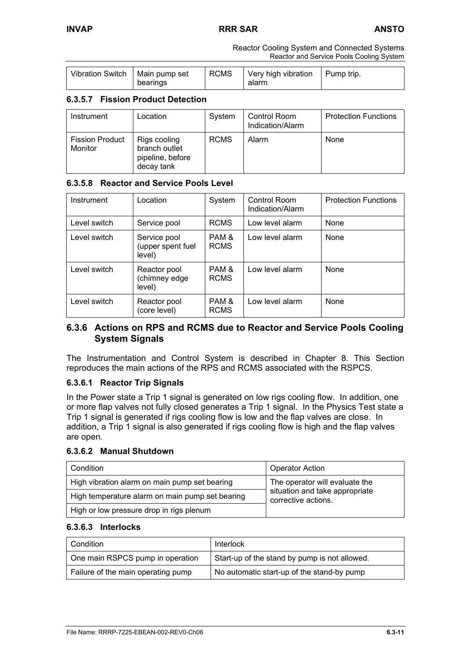| Vibration Switch   Main pump set | bearings | RCMS | Very high vibration<br>alarm | Pump trip. |
|----------------------------------|----------|------|------------------------------|------------|
|                                  |          |      |                              |            |

# **6.3.5.7 Fission Product Detection**

| Instrument                        | Location                                                        | System      | Control Room<br>Indication/Alarm | <b>Protection Functions</b> |
|-----------------------------------|-----------------------------------------------------------------|-------------|----------------------------------|-----------------------------|
| <b>Fission Product</b><br>Monitor | Rigs cooling<br>branch outlet<br>pipeline, before<br>decay tank | <b>RCMS</b> | Alarm                            | None                        |

# **6.3.5.8 Reactor and Service Pools Level**

| Instrument   | Location                                    | System               | Control Room<br>Indication/Alarm | <b>Protection Functions</b> |
|--------------|---------------------------------------------|----------------------|----------------------------------|-----------------------------|
| Level switch | Service pool                                | <b>RCMS</b>          | Low level alarm                  | None                        |
| Level switch | Service pool<br>(upper spent fuel<br>level) | PAM &<br><b>RCMS</b> | Low level alarm                  | None                        |
| Level switch | Reactor pool<br>(chimney edge<br>level)     | PAM &<br><b>RCMS</b> | Low level alarm                  | <b>None</b>                 |
| Level switch | Reactor pool<br>(core level)                | PAM &<br><b>RCMS</b> | Low level alarm                  | None                        |

# **6.3.6 Actions on RPS and RCMS due to Reactor and Service Pools Cooling System Signals**

The Instrumentation and Control System is described in Chapter 8. This Section reproduces the main actions of the RPS and RCMS associated with the RSPCS.

# **6.3.6.1 Reactor Trip Signals**

In the Power state a Trip 1 signal is generated on low rigs cooling flow. In addition, one or more flap valves not fully closed generates a Trip 1 signal. In the Physics Test state a Trip 1 signal is generated if rigs cooling flow is low and the flap valves are close. In addition, a Trip 1 signal is also generated if rigs cooling flow is high and the flap valves are open.

### **6.3.6.2 Manual Shutdown**

| Condition                                       | <b>Operator Action</b>                                |
|-------------------------------------------------|-------------------------------------------------------|
| High vibration alarm on main pump set bearing   | The operator will evaluate the                        |
| High temperature alarm on main pump set bearing | situation and take appropriate<br>corrective actions. |
| High or low pressure drop in rigs plenum        |                                                       |

### **6.3.6.3 Interlocks**

| Condition                          | Interlock                                     |
|------------------------------------|-----------------------------------------------|
| One main RSPCS pump in operation   | Start-up of the stand by pump is not allowed. |
| Failure of the main operating pump | No automatic start-up of the stand-by pump    |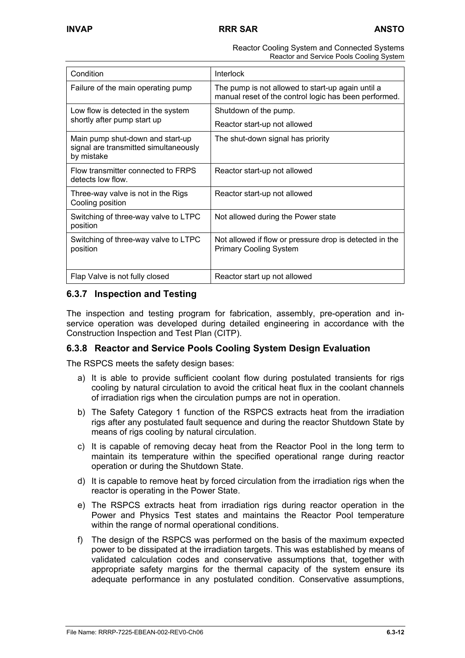| Condition                                                                               | <b>Interlock</b>                                                                                           |
|-----------------------------------------------------------------------------------------|------------------------------------------------------------------------------------------------------------|
| Failure of the main operating pump                                                      | The pump is not allowed to start-up again until a<br>manual reset of the control logic has been performed. |
| Low flow is detected in the system                                                      | Shutdown of the pump.                                                                                      |
| shortly after pump start up                                                             | Reactor start-up not allowed                                                                               |
| Main pump shut-down and start-up<br>signal are transmitted simultaneously<br>by mistake | The shut-down signal has priority                                                                          |
| Flow transmitter connected to FRPS<br>detects low flow.                                 | Reactor start-up not allowed                                                                               |
| Three-way valve is not in the Rigs<br>Cooling position                                  | Reactor start-up not allowed                                                                               |
| Switching of three-way valve to LTPC<br>position                                        | Not allowed during the Power state                                                                         |
| Switching of three-way valve to LTPC<br>position                                        | Not allowed if flow or pressure drop is detected in the<br><b>Primary Cooling System</b>                   |
| Flap Valve is not fully closed                                                          | Reactor start up not allowed                                                                               |

# **6.3.7 Inspection and Testing**

The inspection and testing program for fabrication, assembly, pre-operation and inservice operation was developed during detailed engineering in accordance with the Construction Inspection and Test Plan (CITP).

# **6.3.8 Reactor and Service Pools Cooling System Design Evaluation**

The RSPCS meets the safety design bases:

- a) It is able to provide sufficient coolant flow during postulated transients for rigs cooling by natural circulation to avoid the critical heat flux in the coolant channels of irradiation rigs when the circulation pumps are not in operation.
- b) The Safety Category 1 function of the RSPCS extracts heat from the irradiation rigs after any postulated fault sequence and during the reactor Shutdown State by means of rigs cooling by natural circulation.
- c) It is capable of removing decay heat from the Reactor Pool in the long term to maintain its temperature within the specified operational range during reactor operation or during the Shutdown State.
- d) It is capable to remove heat by forced circulation from the irradiation rigs when the reactor is operating in the Power State.
- e) The RSPCS extracts heat from irradiation rigs during reactor operation in the Power and Physics Test states and maintains the Reactor Pool temperature within the range of normal operational conditions.
- f) The design of the RSPCS was performed on the basis of the maximum expected power to be dissipated at the irradiation targets. This was established by means of validated calculation codes and conservative assumptions that, together with appropriate safety margins for the thermal capacity of the system ensure its adequate performance in any postulated condition. Conservative assumptions,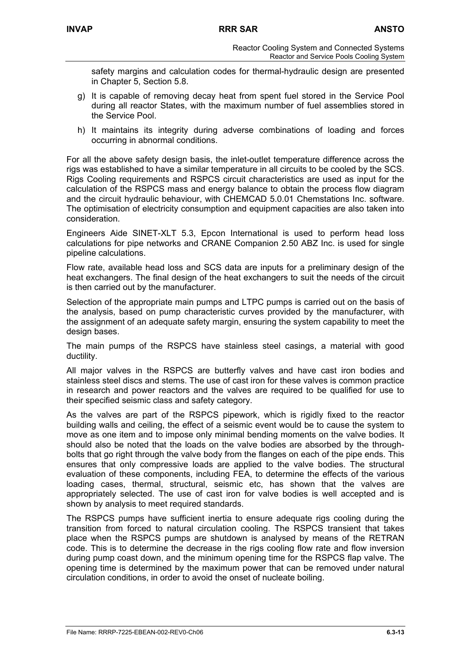safety margins and calculation codes for thermal-hydraulic design are presented in Chapter 5, Section 5.8.

- g) It is capable of removing decay heat from spent fuel stored in the Service Pool during all reactor States, with the maximum number of fuel assemblies stored in the Service Pool.
- h) It maintains its integrity during adverse combinations of loading and forces occurring in abnormal conditions.

For all the above safety design basis, the inlet-outlet temperature difference across the rigs was established to have a similar temperature in all circuits to be cooled by the SCS. Rigs Cooling requirements and RSPCS circuit characteristics are used as input for the calculation of the RSPCS mass and energy balance to obtain the process flow diagram and the circuit hydraulic behaviour, with CHEMCAD 5.0.01 Chemstations Inc. software. The optimisation of electricity consumption and equipment capacities are also taken into consideration.

Engineers Aide SINET-XLT 5.3, Epcon International is used to perform head loss calculations for pipe networks and CRANE Companion 2.50 ABZ Inc. is used for single pipeline calculations.

Flow rate, available head loss and SCS data are inputs for a preliminary design of the heat exchangers. The final design of the heat exchangers to suit the needs of the circuit is then carried out by the manufacturer.

Selection of the appropriate main pumps and LTPC pumps is carried out on the basis of the analysis, based on pump characteristic curves provided by the manufacturer, with the assignment of an adequate safety margin, ensuring the system capability to meet the design bases.

The main pumps of the RSPCS have stainless steel casings, a material with good ductility.

All major valves in the RSPCS are butterfly valves and have cast iron bodies and stainless steel discs and stems. The use of cast iron for these valves is common practice in research and power reactors and the valves are required to be qualified for use to their specified seismic class and safety category.

As the valves are part of the RSPCS pipework, which is rigidly fixed to the reactor building walls and ceiling, the effect of a seismic event would be to cause the system to move as one item and to impose only minimal bending moments on the valve bodies. It should also be noted that the loads on the valve bodies are absorbed by the throughbolts that go right through the valve body from the flanges on each of the pipe ends. This ensures that only compressive loads are applied to the valve bodies. The structural evaluation of these components, including FEA, to determine the effects of the various loading cases, thermal, structural, seismic etc, has shown that the valves are appropriately selected. The use of cast iron for valve bodies is well accepted and is shown by analysis to meet required standards.

The RSPCS pumps have sufficient inertia to ensure adequate rigs cooling during the transition from forced to natural circulation cooling. The RSPCS transient that takes place when the RSPCS pumps are shutdown is analysed by means of the RETRAN code. This is to determine the decrease in the rigs cooling flow rate and flow inversion during pump coast down, and the minimum opening time for the RSPCS flap valve. The opening time is determined by the maximum power that can be removed under natural circulation conditions, in order to avoid the onset of nucleate boiling.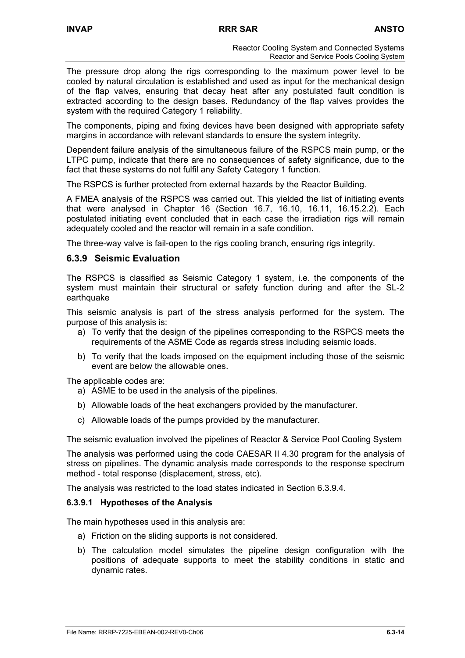The pressure drop along the rigs corresponding to the maximum power level to be cooled by natural circulation is established and used as input for the mechanical design of the flap valves, ensuring that decay heat after any postulated fault condition is extracted according to the design bases. Redundancy of the flap valves provides the system with the required Category 1 reliability.

The components, piping and fixing devices have been designed with appropriate safety margins in accordance with relevant standards to ensure the system integrity.

Dependent failure analysis of the simultaneous failure of the RSPCS main pump, or the LTPC pump, indicate that there are no consequences of safety significance, due to the fact that these systems do not fulfil any Safety Category 1 function.

The RSPCS is further protected from external hazards by the Reactor Building.

A FMEA analysis of the RSPCS was carried out. This yielded the list of initiating events that were analysed in Chapter 16 (Section 16.7, 16.10, 16.11, 16.15.2.2). Each postulated initiating event concluded that in each case the irradiation rigs will remain adequately cooled and the reactor will remain in a safe condition.

The three-way valve is fail-open to the rigs cooling branch, ensuring rigs integrity.

### **6.3.9 Seismic Evaluation**

The RSPCS is classified as Seismic Category 1 system, i.e. the components of the system must maintain their structural or safety function during and after the SL-2 earthquake

This seismic analysis is part of the stress analysis performed for the system. The purpose of this analysis is:

- a) To verify that the design of the pipelines corresponding to the RSPCS meets the requirements of the ASME Code as regards stress including seismic loads.
- b) To verify that the loads imposed on the equipment including those of the seismic event are below the allowable ones.

The applicable codes are:

- a) ASME to be used in the analysis of the pipelines.
- b) Allowable loads of the heat exchangers provided by the manufacturer.
- c) Allowable loads of the pumps provided by the manufacturer.

The seismic evaluation involved the pipelines of Reactor & Service Pool Cooling System

The analysis was performed using the code CAESAR II 4.30 program for the analysis of stress on pipelines. The dynamic analysis made corresponds to the response spectrum method - total response (displacement, stress, etc).

The analysis was restricted to the load states indicated in Section 6.3.9.4.

### **6.3.9.1 Hypotheses of the Analysis**

The main hypotheses used in this analysis are:

- a) Friction on the sliding supports is not considered.
- b) The calculation model simulates the pipeline design configuration with the positions of adequate supports to meet the stability conditions in static and dynamic rates.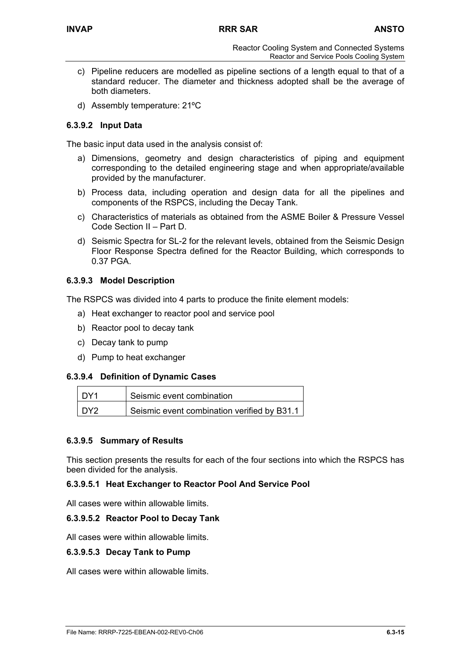- c) Pipeline reducers are modelled as pipeline sections of a length equal to that of a standard reducer. The diameter and thickness adopted shall be the average of both diameters.
- d) Assembly temperature: 21ºC

# **6.3.9.2 Input Data**

The basic input data used in the analysis consist of:

- a) Dimensions, geometry and design characteristics of piping and equipment corresponding to the detailed engineering stage and when appropriate/available provided by the manufacturer.
- b) Process data, including operation and design data for all the pipelines and components of the RSPCS, including the Decay Tank.
- c) Characteristics of materials as obtained from the ASME Boiler & Pressure Vessel Code Section II – Part D.
- d) Seismic Spectra for SL-2 for the relevant levels, obtained from the Seismic Design Floor Response Spectra defined for the Reactor Building, which corresponds to 0.37 PGA.

# **6.3.9.3 Model Description**

The RSPCS was divided into 4 parts to produce the finite element models:

- a) Heat exchanger to reactor pool and service pool
- b) Reactor pool to decay tank
- c) Decay tank to pump
- d) Pump to heat exchanger

# **6.3.9.4 Definition of Dynamic Cases**

| l DY1           | Seismic event combination                   |
|-----------------|---------------------------------------------|
| DY <sub>2</sub> | Seismic event combination verified by B31.1 |

# **6.3.9.5 Summary of Results**

This section presents the results for each of the four sections into which the RSPCS has been divided for the analysis.

### **6.3.9.5.1 Heat Exchanger to Reactor Pool And Service Pool**

All cases were within allowable limits.

### **6.3.9.5.2 Reactor Pool to Decay Tank**

All cases were within allowable limits.

### **6.3.9.5.3 Decay Tank to Pump**

All cases were within allowable limits.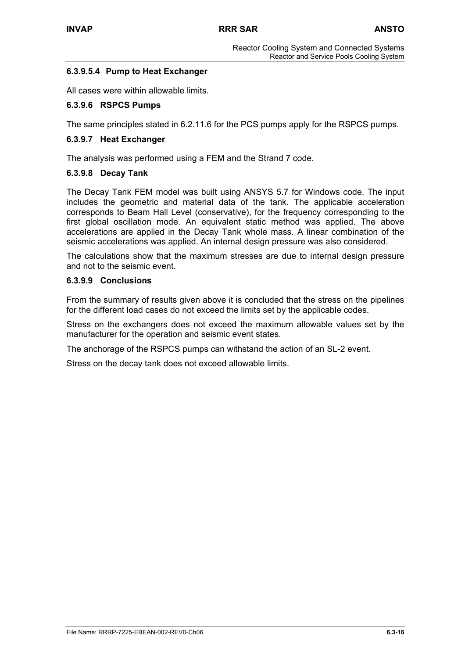# **6.3.9.5.4 Pump to Heat Exchanger**

All cases were within allowable limits.

# **6.3.9.6 RSPCS Pumps**

The same principles stated in 6.2.11.6 for the PCS pumps apply for the RSPCS pumps.

### **6.3.9.7 Heat Exchanger**

The analysis was performed using a FEM and the Strand 7 code.

### **6.3.9.8 Decay Tank**

The Decay Tank FEM model was built using ANSYS 5.7 for Windows code. The input includes the geometric and material data of the tank. The applicable acceleration corresponds to Beam Hall Level (conservative), for the frequency corresponding to the first global oscillation mode. An equivalent static method was applied. The above accelerations are applied in the Decay Tank whole mass. A linear combination of the seismic accelerations was applied. An internal design pressure was also considered.

The calculations show that the maximum stresses are due to internal design pressure and not to the seismic event.

### **6.3.9.9 Conclusions**

From the summary of results given above it is concluded that the stress on the pipelines for the different load cases do not exceed the limits set by the applicable codes.

Stress on the exchangers does not exceed the maximum allowable values set by the manufacturer for the operation and seismic event states.

The anchorage of the RSPCS pumps can withstand the action of an SL-2 event.

Stress on the decay tank does not exceed allowable limits.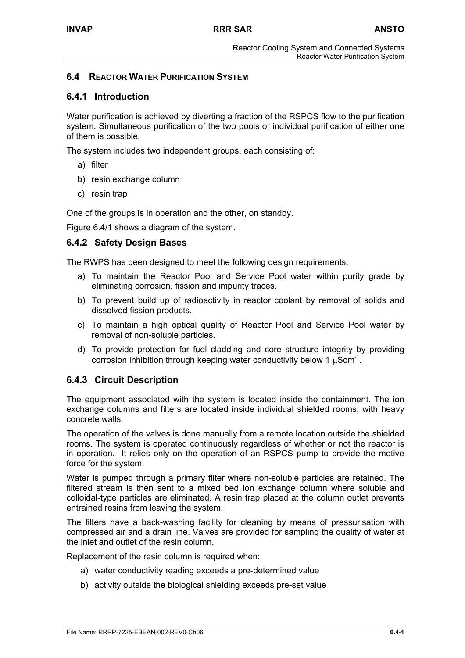# **6.4 REACTOR WATER PURIFICATION SYSTEM**

# **6.4.1 Introduction**

Water purification is achieved by diverting a fraction of the RSPCS flow to the purification system. Simultaneous purification of the two pools or individual purification of either one of them is possible.

The system includes two independent groups, each consisting of:

- a) filter
- b) resin exchange column
- c) resin trap

One of the groups is in operation and the other, on standby.

Figure 6.4/1 shows a diagram of the system.

# **6.4.2 Safety Design Bases**

The RWPS has been designed to meet the following design requirements:

- a) To maintain the Reactor Pool and Service Pool water within purity grade by eliminating corrosion, fission and impurity traces.
- b) To prevent build up of radioactivity in reactor coolant by removal of solids and dissolved fission products.
- c) To maintain a high optical quality of Reactor Pool and Service Pool water by removal of non-soluble particles.
- d) To provide protection for fuel cladding and core structure integrity by providing corrosion inhibition through keeping water conductivity below 1  $\mu$ Scm<sup>-1</sup>.

# **6.4.3 Circuit Description**

The equipment associated with the system is located inside the containment. The ion exchange columns and filters are located inside individual shielded rooms, with heavy concrete walls.

The operation of the valves is done manually from a remote location outside the shielded rooms. The system is operated continuously regardless of whether or not the reactor is in operation. It relies only on the operation of an RSPCS pump to provide the motive force for the system.

Water is pumped through a primary filter where non-soluble particles are retained. The filtered stream is then sent to a mixed bed ion exchange column where soluble and colloidal-type particles are eliminated. A resin trap placed at the column outlet prevents entrained resins from leaving the system.

The filters have a back-washing facility for cleaning by means of pressurisation with compressed air and a drain line. Valves are provided for sampling the quality of water at the inlet and outlet of the resin column.

Replacement of the resin column is required when:

- a) water conductivity reading exceeds a pre-determined value
- b) activity outside the biological shielding exceeds pre-set value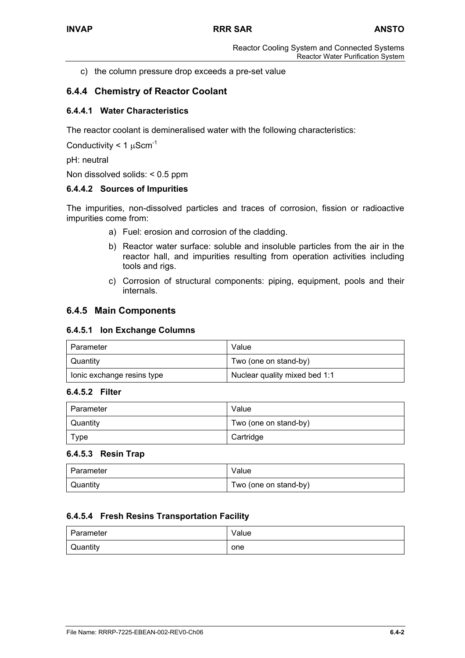c) the column pressure drop exceeds a pre-set value

# **6.4.4 Chemistry of Reactor Coolant**

## **6.4.4.1 Water Characteristics**

The reactor coolant is demineralised water with the following characteristics:

Conductivity  $< 1 \mu$ Scm<sup>-1</sup>

pH: neutral

Non dissolved solids: < 0.5 ppm

### **6.4.4.2 Sources of Impurities**

The impurities, non-dissolved particles and traces of corrosion, fission or radioactive impurities come from:

- a) Fuel: erosion and corrosion of the cladding.
- b) Reactor water surface: soluble and insoluble particles from the air in the reactor hall, and impurities resulting from operation activities including tools and rigs.
- c) Corrosion of structural components: piping, equipment, pools and their internals.

# **6.4.5 Main Components**

#### **6.4.5.1 Ion Exchange Columns**

| l Parameter                | Value                         |
|----------------------------|-------------------------------|
| Quantity                   | Two (one on stand-by)         |
| lonic exchange resins type | Nuclear quality mixed bed 1:1 |

### **6.4.5.2 Filter**

| Parameter       | Value                 |
|-----------------|-----------------------|
| <b>Quantity</b> | Two (one on stand-by) |
| <b>Type</b>     | Cartridge             |

### **6.4.5.3 Resin Trap**

| l Parameter | Value                 |
|-------------|-----------------------|
| Quantity    | Two (one on stand-by) |

### **6.4.5.4 Fresh Resins Transportation Facility**

| <b>Parameter</b> | Value |
|------------------|-------|
| <b>Quantity</b>  | one   |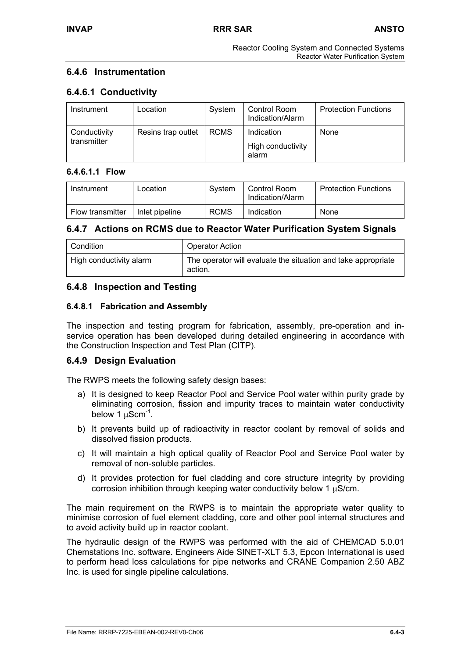# **6.4.6 Instrumentation**

# **6.4.6.1 Conductivity**

| Instrument                  | Location           | System      | Control Room<br>Indication/Alarm         | <b>Protection Functions</b> |
|-----------------------------|--------------------|-------------|------------------------------------------|-----------------------------|
| Conductivity<br>transmitter | Resins trap outlet | <b>RCMS</b> | Indication<br>High conductivity<br>alarm | None                        |

# **6.4.6.1.1 Flow**

| Instrument       | Location       | Svstem      | Control Room<br>Indication/Alarm | <b>Protection Functions</b> |
|------------------|----------------|-------------|----------------------------------|-----------------------------|
| Flow transmitter | Inlet pipeline | <b>RCMS</b> | Indication                       | None                        |

# **6.4.7 Actions on RCMS due to Reactor Water Purification System Signals**

| Condition               | Operator Action                                                          |
|-------------------------|--------------------------------------------------------------------------|
| High conductivity alarm | The operator will evaluate the situation and take appropriate<br>action. |

# **6.4.8 Inspection and Testing**

### **6.4.8.1 Fabrication and Assembly**

The inspection and testing program for fabrication, assembly, pre-operation and inservice operation has been developed during detailed engineering in accordance with the Construction Inspection and Test Plan (CITP).

# **6.4.9 Design Evaluation**

The RWPS meets the following safety design bases:

- a) It is designed to keep Reactor Pool and Service Pool water within purity grade by eliminating corrosion, fission and impurity traces to maintain water conductivity below 1  $\mu$ Scm<sup>-1</sup>.
- b) It prevents build up of radioactivity in reactor coolant by removal of solids and dissolved fission products.
- c) It will maintain a high optical quality of Reactor Pool and Service Pool water by removal of non-soluble particles.
- d) It provides protection for fuel cladding and core structure integrity by providing corrosion inhibition through keeping water conductivity below 1 µS/cm.

The main requirement on the RWPS is to maintain the appropriate water quality to minimise corrosion of fuel element cladding, core and other pool internal structures and to avoid activity build up in reactor coolant.

The hydraulic design of the RWPS was performed with the aid of CHEMCAD 5.0.01 Chemstations Inc. software. Engineers Aide SINET-XLT 5.3, Epcon International is used to perform head loss calculations for pipe networks and CRANE Companion 2.50 ABZ Inc. is used for single pipeline calculations.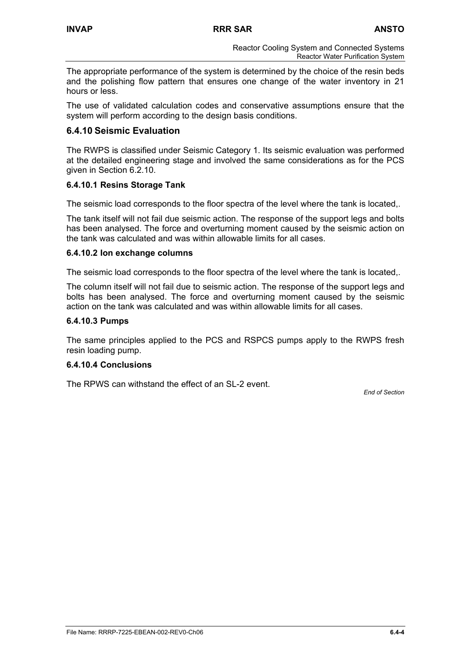The appropriate performance of the system is determined by the choice of the resin beds and the polishing flow pattern that ensures one change of the water inventory in 21 hours or less.

The use of validated calculation codes and conservative assumptions ensure that the system will perform according to the design basis conditions.

# **6.4.10 Seismic Evaluation**

The RWPS is classified under Seismic Category 1. Its seismic evaluation was performed at the detailed engineering stage and involved the same considerations as for the PCS given in Section 6.2.10.

# **6.4.10.1 Resins Storage Tank**

The seismic load corresponds to the floor spectra of the level where the tank is located,.

The tank itself will not fail due seismic action. The response of the support legs and bolts has been analysed. The force and overturning moment caused by the seismic action on the tank was calculated and was within allowable limits for all cases.

### **6.4.10.2 Ion exchange columns**

The seismic load corresponds to the floor spectra of the level where the tank is located,.

The column itself will not fail due to seismic action. The response of the support legs and bolts has been analysed. The force and overturning moment caused by the seismic action on the tank was calculated and was within allowable limits for all cases.

### **6.4.10.3 Pumps**

The same principles applied to the PCS and RSPCS pumps apply to the RWPS fresh resin loading pump.

### **6.4.10.4 Conclusions**

The RPWS can withstand the effect of an SL-2 event.

*End of Section*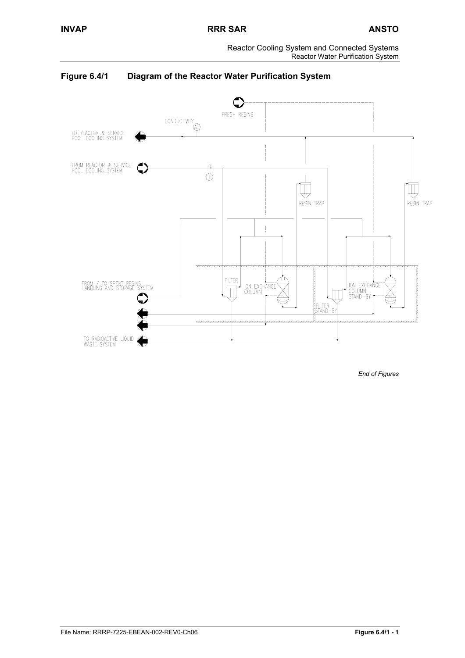Reactor Cooling System and Connected Systems Reactor Water Purification System



**Figure 6.4/1 Diagram of the Reactor Water Purification System** 

*End of Figures*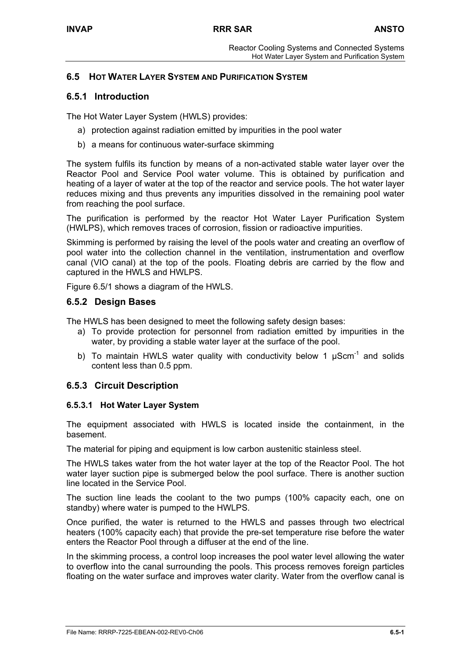# **6.5 HOT WATER LAYER SYSTEM AND PURIFICATION SYSTEM**

# **6.5.1 Introduction**

The Hot Water Layer System (HWLS) provides:

- a) protection against radiation emitted by impurities in the pool water
- b) a means for continuous water-surface skimming

The system fulfils its function by means of a non-activated stable water layer over the Reactor Pool and Service Pool water volume. This is obtained by purification and heating of a layer of water at the top of the reactor and service pools. The hot water layer reduces mixing and thus prevents any impurities dissolved in the remaining pool water from reaching the pool surface.

The purification is performed by the reactor Hot Water Layer Purification System (HWLPS), which removes traces of corrosion, fission or radioactive impurities.

Skimming is performed by raising the level of the pools water and creating an overflow of pool water into the collection channel in the ventilation, instrumentation and overflow canal (VIO canal) at the top of the pools. Floating debris are carried by the flow and captured in the HWLS and HWLPS.

Figure 6.5/1 shows a diagram of the HWLS.

### **6.5.2 Design Bases**

The HWLS has been designed to meet the following safety design bases:

- a) To provide protection for personnel from radiation emitted by impurities in the water, by providing a stable water layer at the surface of the pool.
- b) To maintain HWLS water quality with conductivity below 1  $\mu$ Scm<sup>-1</sup> and solids content less than 0.5 ppm.

# **6.5.3 Circuit Description**

### **6.5.3.1 Hot Water Layer System**

The equipment associated with HWLS is located inside the containment, in the basement.

The material for piping and equipment is low carbon austenitic stainless steel.

The HWLS takes water from the hot water layer at the top of the Reactor Pool. The hot water layer suction pipe is submerged below the pool surface. There is another suction line located in the Service Pool.

The suction line leads the coolant to the two pumps (100% capacity each, one on standby) where water is pumped to the HWLPS.

Once purified, the water is returned to the HWLS and passes through two electrical heaters (100% capacity each) that provide the pre-set temperature rise before the water enters the Reactor Pool through a diffuser at the end of the line.

In the skimming process, a control loop increases the pool water level allowing the water to overflow into the canal surrounding the pools. This process removes foreign particles floating on the water surface and improves water clarity. Water from the overflow canal is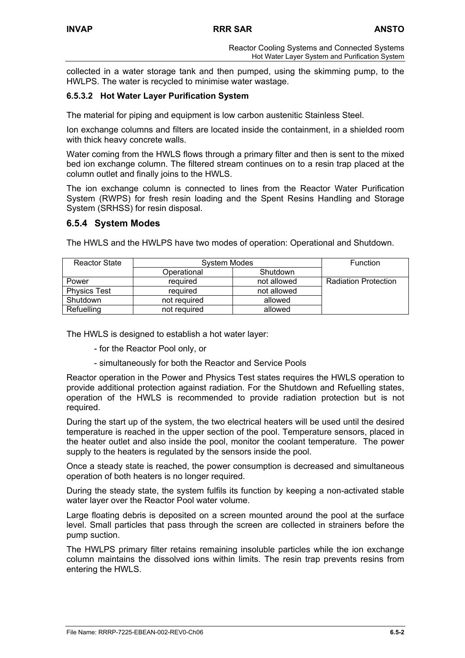collected in a water storage tank and then pumped, using the skimming pump, to the HWLPS. The water is recycled to minimise water wastage.

# **6.5.3.2 Hot Water Layer Purification System**

The material for piping and equipment is low carbon austenitic Stainless Steel.

Ion exchange columns and filters are located inside the containment, in a shielded room with thick heavy concrete walls.

Water coming from the HWLS flows through a primary filter and then is sent to the mixed bed ion exchange column. The filtered stream continues on to a resin trap placed at the column outlet and finally joins to the HWLS.

The ion exchange column is connected to lines from the Reactor Water Purification System (RWPS) for fresh resin loading and the Spent Resins Handling and Storage System (SRHSS) for resin disposal.

# **6.5.4 System Modes**

The HWLS and the HWLPS have two modes of operation: Operational and Shutdown.

| <b>Reactor State</b> | System Modes |             | <b>Function</b>             |
|----------------------|--------------|-------------|-----------------------------|
|                      | Operational  | Shutdown    |                             |
| Power                | reauired     | not allowed | <b>Radiation Protection</b> |
| <b>Physics Test</b>  | reauired     | not allowed |                             |
| Shutdown             | not required | allowed     |                             |
| Refuelling           | not required | allowed     |                             |

The HWLS is designed to establish a hot water layer:

- for the Reactor Pool only, or
- simultaneously for both the Reactor and Service Pools

Reactor operation in the Power and Physics Test states requires the HWLS operation to provide additional protection against radiation. For the Shutdown and Refuelling states, operation of the HWLS is recommended to provide radiation protection but is not required.

During the start up of the system, the two electrical heaters will be used until the desired temperature is reached in the upper section of the pool. Temperature sensors, placed in the heater outlet and also inside the pool, monitor the coolant temperature. The power supply to the heaters is regulated by the sensors inside the pool.

Once a steady state is reached, the power consumption is decreased and simultaneous operation of both heaters is no longer required.

During the steady state, the system fulfils its function by keeping a non-activated stable water layer over the Reactor Pool water volume.

Large floating debris is deposited on a screen mounted around the pool at the surface level. Small particles that pass through the screen are collected in strainers before the pump suction.

The HWLPS primary filter retains remaining insoluble particles while the ion exchange column maintains the dissolved ions within limits. The resin trap prevents resins from entering the HWLS.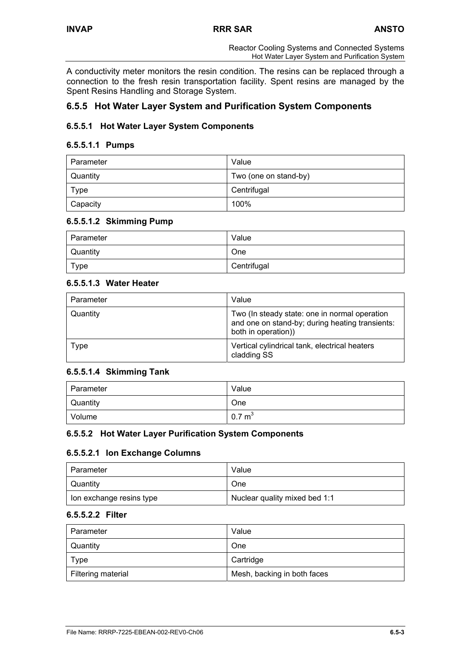A conductivity meter monitors the resin condition. The resins can be replaced through a connection to the fresh resin transportation facility. Spent resins are managed by the Spent Resins Handling and Storage System.

# **6.5.5 Hot Water Layer System and Purification System Components**

# **6.5.5.1 Hot Water Layer System Components**

#### **6.5.5.1.1 Pumps**

| Parameter | Value                 |
|-----------|-----------------------|
| Quantity  | Two (one on stand-by) |
| Type      | Centrifugal           |
| Capacity  | 100%                  |

### **6.5.5.1.2 Skimming Pump**

| Parameter       | Value       |
|-----------------|-------------|
| <b>Quantity</b> | One         |
| Type            | Centrifugal |

### **6.5.5.1.3 Water Heater**

| Parameter | Value                                                                                                                   |
|-----------|-------------------------------------------------------------------------------------------------------------------------|
| Quantity  | Two (In steady state: one in normal operation<br>and one on stand-by; during heating transients:<br>both in operation)) |
| Type      | Vertical cylindrical tank, electrical heaters<br>cladding SS                                                            |

# **6.5.5.1.4 Skimming Tank**

| Parameter | Value             |
|-----------|-------------------|
| Quantity  | One               |
| Volume    | $0.7 \text{ m}^3$ |

### **6.5.5.2 Hot Water Layer Purification System Components**

### **6.5.5.2.1 Ion Exchange Columns**

| Parameter                | Value                         |
|--------------------------|-------------------------------|
| Quantity                 | One                           |
| lon exchange resins type | Nuclear quality mixed bed 1:1 |

#### **6.5.5.2.2 Filter**

| Parameter          | Value                       |
|--------------------|-----------------------------|
| Quantity           | One                         |
| Type               | Cartridge                   |
| Filtering material | Mesh, backing in both faces |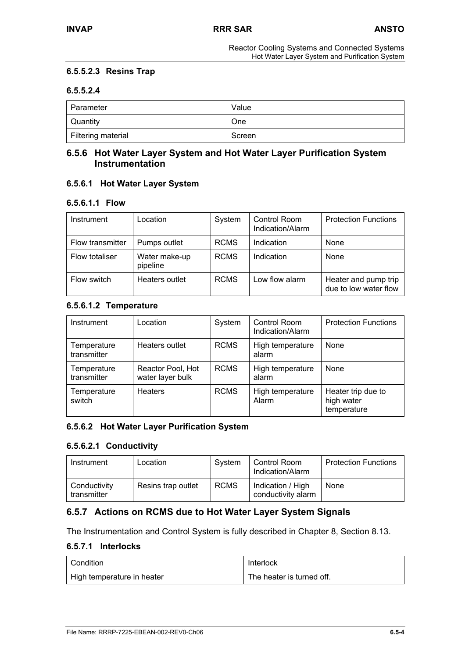### **6.5.5.2.3 Resins Trap**

### **6.5.5.2.4**

| Parameter          | Value  |
|--------------------|--------|
| Quantity           | One    |
| Filtering material | Screen |

# **6.5.6 Hot Water Layer System and Hot Water Layer Purification System Instrumentation**

### **6.5.6.1 Hot Water Layer System**

#### **6.5.6.1.1 Flow**

| Instrument       | Location                  | System      | Control Room<br>Indication/Alarm | <b>Protection Functions</b>                   |
|------------------|---------------------------|-------------|----------------------------------|-----------------------------------------------|
| Flow transmitter | Pumps outlet              | <b>RCMS</b> | Indication                       | None                                          |
| Flow totaliser   | Water make-up<br>pipeline | <b>RCMS</b> | Indication                       | None                                          |
| Flow switch      | Heaters outlet            | <b>RCMS</b> | Low flow alarm                   | Heater and pump trip<br>due to low water flow |

### **6.5.6.1.2 Temperature**

| Instrument                 | _ocation                              | System      | Control Room<br>Indication/Alarm | <b>Protection Functions</b>                     |
|----------------------------|---------------------------------------|-------------|----------------------------------|-------------------------------------------------|
| Temperature<br>transmitter | Heaters outlet                        | <b>RCMS</b> | High temperature<br>alarm        | None                                            |
| Temperature<br>transmitter | Reactor Pool, Hot<br>water layer bulk | <b>RCMS</b> | High temperature<br>alarm        | None                                            |
| Temperature<br>switch      | <b>Heaters</b>                        | <b>RCMS</b> | High temperature<br>Alarm        | Heater trip due to<br>high water<br>temperature |

#### **6.5.6.2 Hot Water Layer Purification System**

### **6.5.6.2.1 Conductivity**

| Instrument                  | Location           | System      | Control Room<br>Indication/Alarm        | <b>Protection Functions</b> |
|-----------------------------|--------------------|-------------|-----------------------------------------|-----------------------------|
| Conductivity<br>transmitter | Resins trap outlet | <b>RCMS</b> | Indication / High<br>conductivity alarm | None                        |

# **6.5.7 Actions on RCMS due to Hot Water Layer System Signals**

The Instrumentation and Control System is fully described in Chapter 8, Section 8.13.

# **6.5.7.1 Interlocks**

| l Condition                | Interlock                 |
|----------------------------|---------------------------|
| High temperature in heater | The heater is turned off. |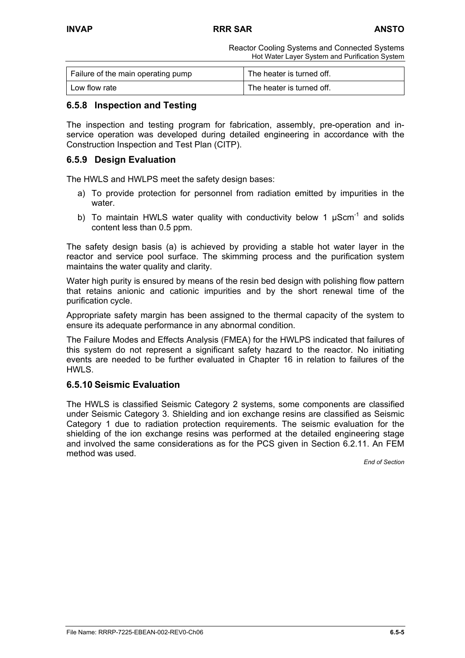Reactor Cooling Systems and Connected Systems Hot Water Layer System and Purification System

| Failure of the main operating pump | The heater is turned off. |
|------------------------------------|---------------------------|
| Low flow rate                      | The heater is turned off. |

# **6.5.8 Inspection and Testing**

The inspection and testing program for fabrication, assembly, pre-operation and inservice operation was developed during detailed engineering in accordance with the Construction Inspection and Test Plan (CITP).

# **6.5.9 Design Evaluation**

The HWLS and HWLPS meet the safety design bases:

- a) To provide protection for personnel from radiation emitted by impurities in the water.
- b) To maintain HWLS water quality with conductivity below 1  $\mu$ Scm<sup>-1</sup> and solids content less than 0.5 ppm.

The safety design basis (a) is achieved by providing a stable hot water layer in the reactor and service pool surface. The skimming process and the purification system maintains the water quality and clarity.

Water high purity is ensured by means of the resin bed design with polishing flow pattern that retains anionic and cationic impurities and by the short renewal time of the purification cycle.

Appropriate safety margin has been assigned to the thermal capacity of the system to ensure its adequate performance in any abnormal condition.

The Failure Modes and Effects Analysis (FMEA) for the HWLPS indicated that failures of this system do not represent a significant safety hazard to the reactor. No initiating events are needed to be further evaluated in Chapter 16 in relation to failures of the HWLS.

# **6.5.10 Seismic Evaluation**

The HWLS is classified Seismic Category 2 systems, some components are classified under Seismic Category 3. Shielding and ion exchange resins are classified as Seismic Category 1 due to radiation protection requirements. The seismic evaluation for the shielding of the ion exchange resins was performed at the detailed engineering stage and involved the same considerations as for the PCS given in Section 6.2.11. An FEM method was used.

*End of Section*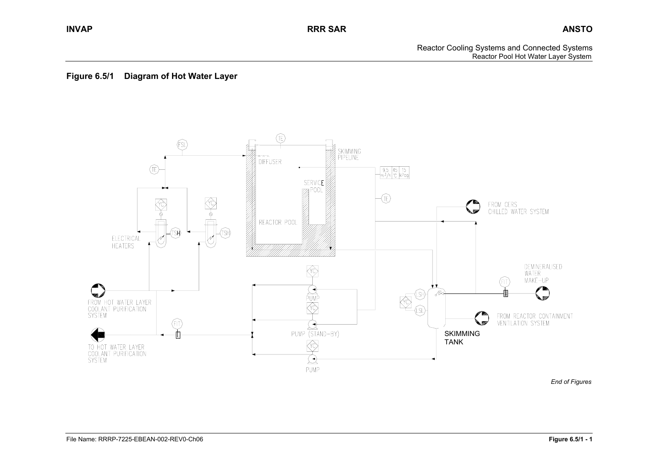Reactor Cooling Systems and Connected Systems Reactor Pool Hot Water Layer System

# **Figure 6.5/1 Diagram of Hot Water Layer**



*End of Figures*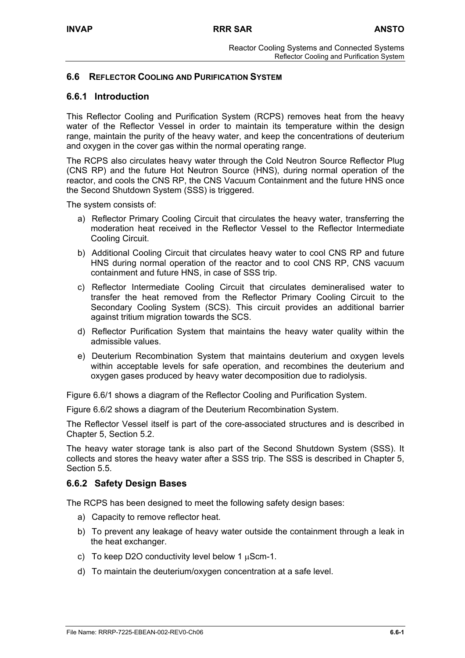# **6.6 REFLECTOR COOLING AND PURIFICATION SYSTEM**

## **6.6.1 Introduction**

This Reflector Cooling and Purification System (RCPS) removes heat from the heavy water of the Reflector Vessel in order to maintain its temperature within the design range, maintain the purity of the heavy water, and keep the concentrations of deuterium and oxygen in the cover gas within the normal operating range.

The RCPS also circulates heavy water through the Cold Neutron Source Reflector Plug (CNS RP) and the future Hot Neutron Source (HNS), during normal operation of the reactor, and cools the CNS RP, the CNS Vacuum Containment and the future HNS once the Second Shutdown System (SSS) is triggered.

The system consists of:

- a) Reflector Primary Cooling Circuit that circulates the heavy water, transferring the moderation heat received in the Reflector Vessel to the Reflector Intermediate Cooling Circuit.
- b) Additional Cooling Circuit that circulates heavy water to cool CNS RP and future HNS during normal operation of the reactor and to cool CNS RP, CNS vacuum containment and future HNS, in case of SSS trip.
- c) Reflector Intermediate Cooling Circuit that circulates demineralised water to transfer the heat removed from the Reflector Primary Cooling Circuit to the Secondary Cooling System (SCS). This circuit provides an additional barrier against tritium migration towards the SCS.
- d) Reflector Purification System that maintains the heavy water quality within the admissible values.
- e) Deuterium Recombination System that maintains deuterium and oxygen levels within acceptable levels for safe operation, and recombines the deuterium and oxygen gases produced by heavy water decomposition due to radiolysis.

Figure 6.6/1 shows a diagram of the Reflector Cooling and Purification System.

Figure 6.6/2 shows a diagram of the Deuterium Recombination System.

The Reflector Vessel itself is part of the core-associated structures and is described in Chapter 5, Section 5.2.

The heavy water storage tank is also part of the Second Shutdown System (SSS). It collects and stores the heavy water after a SSS trip. The SSS is described in Chapter 5, Section 5.5.

### **6.6.2 Safety Design Bases**

The RCPS has been designed to meet the following safety design bases:

- a) Capacity to remove reflector heat.
- b) To prevent any leakage of heavy water outside the containment through a leak in the heat exchanger.
- c) To keep D2O conductivity level below 1  $\mu$ Scm-1.
- d) To maintain the deuterium/oxygen concentration at a safe level.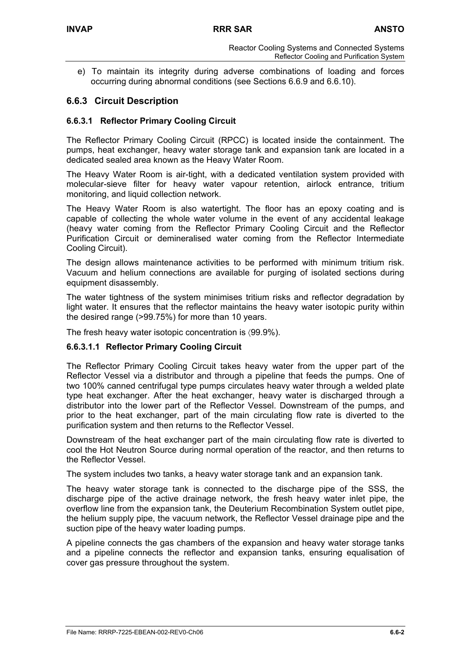e) To maintain its integrity during adverse combinations of loading and forces occurring during abnormal conditions (see Sections 6.6.9 and 6.6.10).

# **6.6.3 Circuit Description**

## **6.6.3.1 Reflector Primary Cooling Circuit**

The Reflector Primary Cooling Circuit (RPCC) is located inside the containment. The pumps, heat exchanger, heavy water storage tank and expansion tank are located in a dedicated sealed area known as the Heavy Water Room.

The Heavy Water Room is air-tight, with a dedicated ventilation system provided with molecular-sieve filter for heavy water vapour retention, airlock entrance, tritium monitoring, and liquid collection network.

The Heavy Water Room is also watertight. The floor has an epoxy coating and is capable of collecting the whole water volume in the event of any accidental leakage (heavy water coming from the Reflector Primary Cooling Circuit and the Reflector Purification Circuit or demineralised water coming from the Reflector Intermediate Cooling Circuit).

The design allows maintenance activities to be performed with minimum tritium risk. Vacuum and helium connections are available for purging of isolated sections during equipment disassembly.

The water tightness of the system minimises tritium risks and reflector degradation by light water. It ensures that the reflector maintains the heavy water isotopic purity within the desired range (>99.75%) for more than 10 years.

The fresh heavy water isotopic concentration is 〈99.9%).

### **6.6.3.1.1 Reflector Primary Cooling Circuit**

The Reflector Primary Cooling Circuit takes heavy water from the upper part of the Reflector Vessel via a distributor and through a pipeline that feeds the pumps. One of two 100% canned centrifugal type pumps circulates heavy water through a welded plate type heat exchanger. After the heat exchanger, heavy water is discharged through a distributor into the lower part of the Reflector Vessel. Downstream of the pumps, and prior to the heat exchanger, part of the main circulating flow rate is diverted to the purification system and then returns to the Reflector Vessel.

Downstream of the heat exchanger part of the main circulating flow rate is diverted to cool the Hot Neutron Source during normal operation of the reactor, and then returns to the Reflector Vessel.

The system includes two tanks, a heavy water storage tank and an expansion tank.

The heavy water storage tank is connected to the discharge pipe of the SSS, the discharge pipe of the active drainage network, the fresh heavy water inlet pipe, the overflow line from the expansion tank, the Deuterium Recombination System outlet pipe, the helium supply pipe, the vacuum network, the Reflector Vessel drainage pipe and the suction pipe of the heavy water loading pumps.

A pipeline connects the gas chambers of the expansion and heavy water storage tanks and a pipeline connects the reflector and expansion tanks, ensuring equalisation of cover gas pressure throughout the system.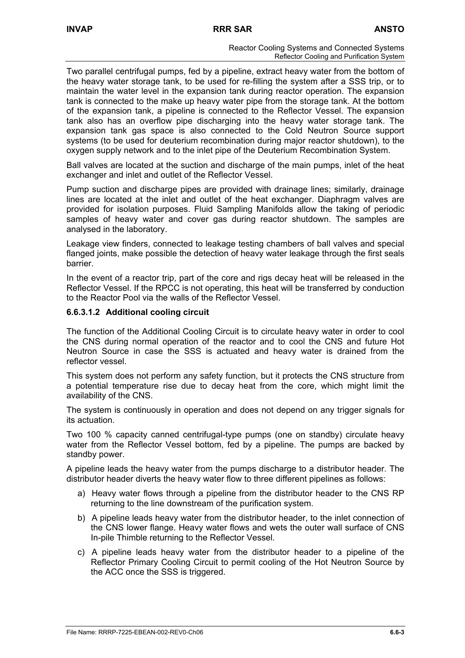Two parallel centrifugal pumps, fed by a pipeline, extract heavy water from the bottom of the heavy water storage tank, to be used for re-filling the system after a SSS trip, or to maintain the water level in the expansion tank during reactor operation. The expansion tank is connected to the make up heavy water pipe from the storage tank. At the bottom of the expansion tank, a pipeline is connected to the Reflector Vessel. The expansion tank also has an overflow pipe discharging into the heavy water storage tank. The expansion tank gas space is also connected to the Cold Neutron Source support systems (to be used for deuterium recombination during major reactor shutdown), to the oxygen supply network and to the inlet pipe of the Deuterium Recombination System.

Ball valves are located at the suction and discharge of the main pumps, inlet of the heat exchanger and inlet and outlet of the Reflector Vessel.

Pump suction and discharge pipes are provided with drainage lines; similarly, drainage lines are located at the inlet and outlet of the heat exchanger. Diaphragm valves are provided for isolation purposes. Fluid Sampling Manifolds allow the taking of periodic samples of heavy water and cover gas during reactor shutdown. The samples are analysed in the laboratory.

Leakage view finders, connected to leakage testing chambers of ball valves and special flanged joints, make possible the detection of heavy water leakage through the first seals barrier.

In the event of a reactor trip, part of the core and rigs decay heat will be released in the Reflector Vessel. If the RPCC is not operating, this heat will be transferred by conduction to the Reactor Pool via the walls of the Reflector Vessel.

### **6.6.3.1.2 Additional cooling circuit**

The function of the Additional Cooling Circuit is to circulate heavy water in order to cool the CNS during normal operation of the reactor and to cool the CNS and future Hot Neutron Source in case the SSS is actuated and heavy water is drained from the reflector vessel.

This system does not perform any safety function, but it protects the CNS structure from a potential temperature rise due to decay heat from the core, which might limit the availability of the CNS.

The system is continuously in operation and does not depend on any trigger signals for its actuation.

Two 100 % capacity canned centrifugal-type pumps (one on standby) circulate heavy water from the Reflector Vessel bottom, fed by a pipeline. The pumps are backed by standby power.

A pipeline leads the heavy water from the pumps discharge to a distributor header. The distributor header diverts the heavy water flow to three different pipelines as follows:

- a) Heavy water flows through a pipeline from the distributor header to the CNS RP returning to the line downstream of the purification system.
- b) A pipeline leads heavy water from the distributor header, to the inlet connection of the CNS lower flange. Heavy water flows and wets the outer wall surface of CNS In-pile Thimble returning to the Reflector Vessel.
- c) A pipeline leads heavy water from the distributor header to a pipeline of the Reflector Primary Cooling Circuit to permit cooling of the Hot Neutron Source by the ACC once the SSS is triggered.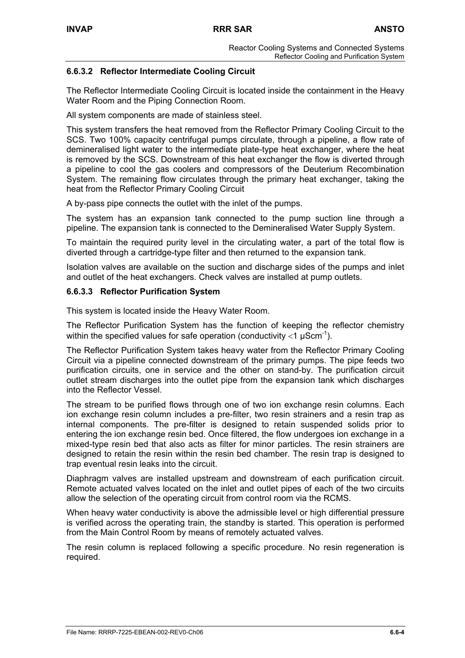# **6.6.3.2 Reflector Intermediate Cooling Circuit**

The Reflector Intermediate Cooling Circuit is located inside the containment in the Heavy Water Room and the Piping Connection Room.

All system components are made of stainless steel.

This system transfers the heat removed from the Reflector Primary Cooling Circuit to the SCS. Two 100% capacity centrifugal pumps circulate, through a pipeline, a flow rate of demineralised light water to the intermediate plate-type heat exchanger, where the heat is removed by the SCS. Downstream of this heat exchanger the flow is diverted through a pipeline to cool the gas coolers and compressors of the Deuterium Recombination System. The remaining flow circulates through the primary heat exchanger, taking the heat from the Reflector Primary Cooling Circuit

A by-pass pipe connects the outlet with the inlet of the pumps.

The system has an expansion tank connected to the pump suction line through a pipeline. The expansion tank is connected to the Demineralised Water Supply System.

To maintain the required purity level in the circulating water, a part of the total flow is diverted through a cartridge-type filter and then returned to the expansion tank.

Isolation valves are available on the suction and discharge sides of the pumps and inlet and outlet of the heat exchangers. Check valves are installed at pump outlets.

### **6.6.3.3 Reflector Purification System**

This system is located inside the Heavy Water Room.

The Reflector Purification System has the function of keeping the reflector chemistry within the specified values for safe operation (conductivity  $<$ 1  $\mu$ Scm<sup>-1</sup>).

The Reflector Purification System takes heavy water from the Reflector Primary Cooling Circuit via a pipeline connected downstream of the primary pumps. The pipe feeds two purification circuits, one in service and the other on stand-by. The purification circuit outlet stream discharges into the outlet pipe from the expansion tank which discharges into the Reflector Vessel.

The stream to be purified flows through one of two ion exchange resin columns. Each ion exchange resin column includes a pre-filter, two resin strainers and a resin trap as internal components. The pre-filter is designed to retain suspended solids prior to entering the ion exchange resin bed. Once filtered, the flow undergoes ion exchange in a mixed-type resin bed that also acts as filter for minor particles. The resin strainers are designed to retain the resin within the resin bed chamber. The resin trap is designed to trap eventual resin leaks into the circuit.

Diaphragm valves are installed upstream and downstream of each purification circuit. Remote actuated valves located on the inlet and outlet pipes of each of the two circuits allow the selection of the operating circuit from control room via the RCMS.

When heavy water conductivity is above the admissible level or high differential pressure is verified across the operating train, the standby is started. This operation is performed from the Main Control Room by means of remotely actuated valves.

The resin column is replaced following a specific procedure. No resin regeneration is required.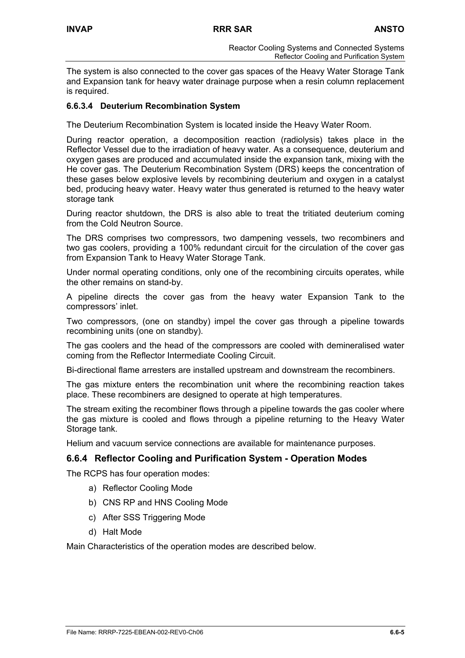The system is also connected to the cover gas spaces of the Heavy Water Storage Tank and Expansion tank for heavy water drainage purpose when a resin column replacement is required.

## **6.6.3.4 Deuterium Recombination System**

The Deuterium Recombination System is located inside the Heavy Water Room.

During reactor operation, a decomposition reaction (radiolysis) takes place in the Reflector Vessel due to the irradiation of heavy water. As a consequence, deuterium and oxygen gases are produced and accumulated inside the expansion tank, mixing with the He cover gas. The Deuterium Recombination System (DRS) keeps the concentration of these gases below explosive levels by recombining deuterium and oxygen in a catalyst bed, producing heavy water. Heavy water thus generated is returned to the heavy water storage tank

During reactor shutdown, the DRS is also able to treat the tritiated deuterium coming from the Cold Neutron Source.

The DRS comprises two compressors, two dampening vessels, two recombiners and two gas coolers, providing a 100% redundant circuit for the circulation of the cover gas from Expansion Tank to Heavy Water Storage Tank.

Under normal operating conditions, only one of the recombining circuits operates, while the other remains on stand-by.

A pipeline directs the cover gas from the heavy water Expansion Tank to the compressors' inlet.

Two compressors, (one on standby) impel the cover gas through a pipeline towards recombining units (one on standby).

The gas coolers and the head of the compressors are cooled with demineralised water coming from the Reflector Intermediate Cooling Circuit.

Bi-directional flame arresters are installed upstream and downstream the recombiners.

The gas mixture enters the recombination unit where the recombining reaction takes place. These recombiners are designed to operate at high temperatures.

The stream exiting the recombiner flows through a pipeline towards the gas cooler where the gas mixture is cooled and flows through a pipeline returning to the Heavy Water Storage tank.

Helium and vacuum service connections are available for maintenance purposes.

# **6.6.4 Reflector Cooling and Purification System - Operation Modes**

The RCPS has four operation modes:

- a) Reflector Cooling Mode
- b) CNS RP and HNS Cooling Mode
- c) After SSS Triggering Mode
- d) Halt Mode

Main Characteristics of the operation modes are described below.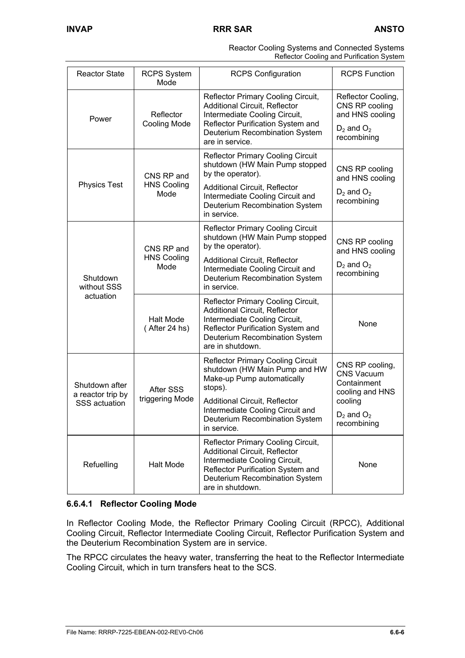| Reactor Cooling Systems and Connected Systems |
|-----------------------------------------------|
| Reflector Cooling and Purification System     |

| <b>Reactor State</b>                                        | <b>RCPS System</b><br>Mode                                                                                                                                                                             | <b>RCPS Configuration</b>                                                                                                                                                                                                                       | <b>RCPS Function</b>                                                                                                |
|-------------------------------------------------------------|--------------------------------------------------------------------------------------------------------------------------------------------------------------------------------------------------------|-------------------------------------------------------------------------------------------------------------------------------------------------------------------------------------------------------------------------------------------------|---------------------------------------------------------------------------------------------------------------------|
| Power                                                       | Reflector<br><b>Cooling Mode</b>                                                                                                                                                                       | Reflector Primary Cooling Circuit,<br><b>Additional Circuit, Reflector</b><br>Intermediate Cooling Circuit,<br>Reflector Purification System and<br>Deuterium Recombination System<br>are in service.                                           | Reflector Cooling,<br>CNS RP cooling<br>and HNS cooling<br>$D_2$ and $O_2$<br>recombining                           |
| <b>Physics Test</b>                                         | CNS RP and<br><b>HNS Cooling</b><br>Mode                                                                                                                                                               | <b>Reflector Primary Cooling Circuit</b><br>shutdown (HW Main Pump stopped<br>by the operator).<br><b>Additional Circuit, Reflector</b><br>Intermediate Cooling Circuit and<br>Deuterium Recombination System<br>in service.                    | CNS RP cooling<br>and HNS cooling<br>$D_2$ and $O_2$<br>recombining                                                 |
| Shutdown<br>without SSS                                     | CNS RP and<br><b>HNS Cooling</b><br>Mode                                                                                                                                                               | <b>Reflector Primary Cooling Circuit</b><br>shutdown (HW Main Pump stopped<br>by the operator).<br><b>Additional Circuit, Reflector</b><br>Intermediate Cooling Circuit and<br>Deuterium Recombination System<br>in service.                    | CNS RP cooling<br>and HNS cooling<br>$D_2$ and $O_2$<br>recombining                                                 |
| actuation<br><b>Halt Mode</b><br>(After 24 hs)              | Reflector Primary Cooling Circuit,<br><b>Additional Circuit, Reflector</b><br>Intermediate Cooling Circuit,<br>Reflector Purification System and<br>Deuterium Recombination System<br>are in shutdown. | None                                                                                                                                                                                                                                            |                                                                                                                     |
| Shutdown after<br>a reactor trip by<br><b>SSS</b> actuation | After SSS<br>triggering Mode                                                                                                                                                                           | <b>Reflector Primary Cooling Circuit</b><br>shutdown (HW Main Pump and HW<br>Make-up Pump automatically<br>stops).<br><b>Additional Circuit, Reflector</b><br>Intermediate Cooling Circuit and<br>Deuterium Recombination System<br>in service. | CNS RP cooling,<br><b>CNS Vacuum</b><br>Containment<br>cooling and HNS<br>cooling<br>$D_2$ and $O_2$<br>recombining |
| Refuelling                                                  | Halt Mode                                                                                                                                                                                              | Reflector Primary Cooling Circuit,<br><b>Additional Circuit, Reflector</b><br>Intermediate Cooling Circuit,<br>Reflector Purification System and<br>Deuterium Recombination System<br>are in shutdown.                                          | None                                                                                                                |

# **6.6.4.1 Reflector Cooling Mode**

In Reflector Cooling Mode, the Reflector Primary Cooling Circuit (RPCC), Additional Cooling Circuit, Reflector Intermediate Cooling Circuit, Reflector Purification System and the Deuterium Recombination System are in service.

The RPCC circulates the heavy water, transferring the heat to the Reflector Intermediate Cooling Circuit, which in turn transfers heat to the SCS.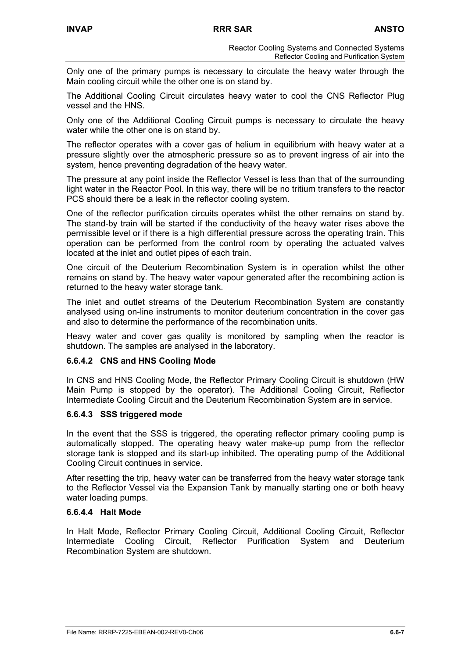Only one of the primary pumps is necessary to circulate the heavy water through the Main cooling circuit while the other one is on stand by.

The Additional Cooling Circuit circulates heavy water to cool the CNS Reflector Plug vessel and the HNS.

Only one of the Additional Cooling Circuit pumps is necessary to circulate the heavy water while the other one is on stand by.

The reflector operates with a cover gas of helium in equilibrium with heavy water at a pressure slightly over the atmospheric pressure so as to prevent ingress of air into the system, hence preventing degradation of the heavy water.

The pressure at any point inside the Reflector Vessel is less than that of the surrounding light water in the Reactor Pool. In this way, there will be no tritium transfers to the reactor PCS should there be a leak in the reflector cooling system.

One of the reflector purification circuits operates whilst the other remains on stand by. The stand-by train will be started if the conductivity of the heavy water rises above the permissible level or if there is a high differential pressure across the operating train. This operation can be performed from the control room by operating the actuated valves located at the inlet and outlet pipes of each train.

One circuit of the Deuterium Recombination System is in operation whilst the other remains on stand by. The heavy water vapour generated after the recombining action is returned to the heavy water storage tank.

The inlet and outlet streams of the Deuterium Recombination System are constantly analysed using on-line instruments to monitor deuterium concentration in the cover gas and also to determine the performance of the recombination units.

Heavy water and cover gas quality is monitored by sampling when the reactor is shutdown. The samples are analysed in the laboratory.

### **6.6.4.2 CNS and HNS Cooling Mode**

In CNS and HNS Cooling Mode, the Reflector Primary Cooling Circuit is shutdown (HW Main Pump is stopped by the operator). The Additional Cooling Circuit, Reflector Intermediate Cooling Circuit and the Deuterium Recombination System are in service.

### **6.6.4.3 SSS triggered mode**

In the event that the SSS is triggered, the operating reflector primary cooling pump is automatically stopped. The operating heavy water make-up pump from the reflector storage tank is stopped and its start-up inhibited. The operating pump of the Additional Cooling Circuit continues in service.

After resetting the trip, heavy water can be transferred from the heavy water storage tank to the Reflector Vessel via the Expansion Tank by manually starting one or both heavy water loading pumps.

### **6.6.4.4 Halt Mode**

In Halt Mode, Reflector Primary Cooling Circuit, Additional Cooling Circuit, Reflector Intermediate Cooling Circuit, Reflector Purification System and Deuterium Recombination System are shutdown.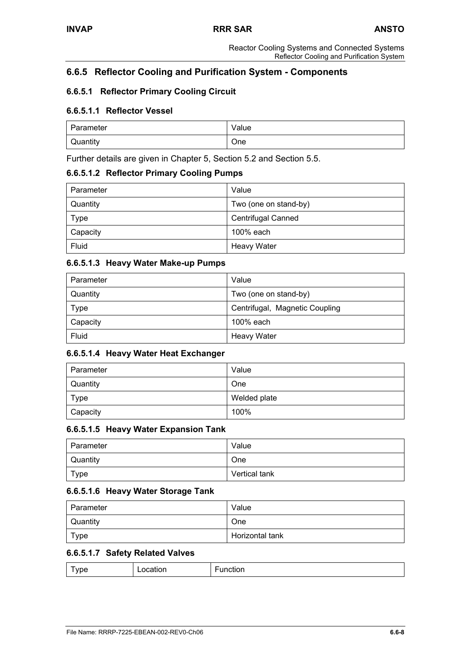# **6.6.5 Reflector Cooling and Purification System - Components**

# **6.6.5.1 Reflector Primary Cooling Circuit**

## **6.6.5.1.1 Reflector Vessel**

| Parameter | Value |
|-----------|-------|
| Quantity  | One   |

Further details are given in Chapter 5, Section 5.2 and Section 5.5.

### **6.6.5.1.2 Reflector Primary Cooling Pumps**

| Parameter   | Value                     |
|-------------|---------------------------|
| Quantity    | Two (one on stand-by)     |
| <b>Type</b> | <b>Centrifugal Canned</b> |
| Capacity    | 100% each                 |
| Fluid       | <b>Heavy Water</b>        |

### **6.6.5.1.3 Heavy Water Make-up Pumps**

| Parameter   | Value                          |
|-------------|--------------------------------|
| Quantity    | Two (one on stand-by)          |
| <b>Type</b> | Centrifugal, Magnetic Coupling |
| Capacity    | 100% each                      |
| Fluid       | <b>Heavy Water</b>             |

# **6.6.5.1.4 Heavy Water Heat Exchanger**

| Parameter   | Value        |
|-------------|--------------|
| Quantity    | One          |
| <b>Type</b> | Welded plate |
| Capacity    | 100%         |

### **6.6.5.1.5 Heavy Water Expansion Tank**

| l Parameter | Value         |
|-------------|---------------|
| Quantity    | One           |
| Type        | Vertical tank |

# **6.6.5.1.6 Heavy Water Storage Tank**

| l Parameter | Value           |
|-------------|-----------------|
| Quantity    | One             |
| Type        | Horizontal tank |

# **6.6.5.1.7 Safety Related Valves**

|--|--|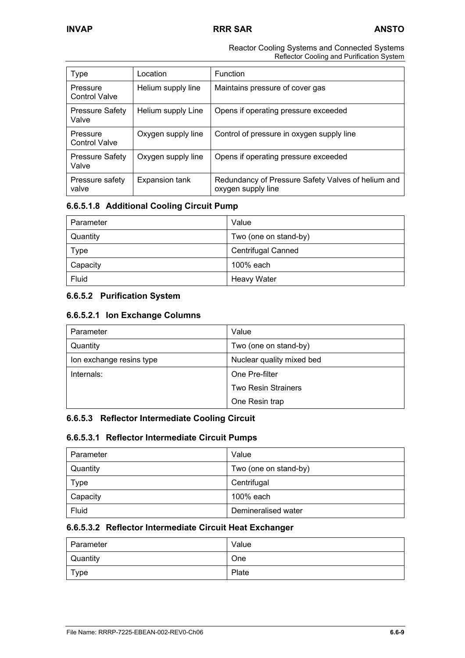#### Reactor Cooling Systems and Connected Systems Reflector Cooling and Purification System

| <b>Type</b>                      | Location           | <b>Function</b>                                                          |
|----------------------------------|--------------------|--------------------------------------------------------------------------|
| Pressure<br><b>Control Valve</b> | Helium supply line | Maintains pressure of cover gas                                          |
| <b>Pressure Safety</b><br>Valve  | Helium supply Line | Opens if operating pressure exceeded                                     |
| Pressure<br><b>Control Valve</b> | Oxygen supply line | Control of pressure in oxygen supply line                                |
| <b>Pressure Safety</b><br>Valve  | Oxygen supply line | Opens if operating pressure exceeded                                     |
| Pressure safety<br>valve         | Expansion tank     | Redundancy of Pressure Safety Valves of helium and<br>oxygen supply line |

# **6.6.5.1.8 Additional Cooling Circuit Pump**

| Parameter   | Value                     |
|-------------|---------------------------|
| Quantity    | Two (one on stand-by)     |
| <b>Type</b> | <b>Centrifugal Canned</b> |
| Capacity    | 100% each                 |
| Fluid       | <b>Heavy Water</b>        |

# **6.6.5.2 Purification System**

## **6.6.5.2.1 Ion Exchange Columns**

| Parameter                | Value                      |
|--------------------------|----------------------------|
| Quantity                 | Two (one on stand-by)      |
| Ion exchange resins type | Nuclear quality mixed bed  |
| Internals:               | One Pre-filter             |
|                          | <b>Two Resin Strainers</b> |
|                          | One Resin trap             |

# **6.6.5.3 Reflector Intermediate Cooling Circuit**

### **6.6.5.3.1 Reflector Intermediate Circuit Pumps**

| Parameter | Value                 |
|-----------|-----------------------|
| Quantity  | Two (one on stand-by) |
| Type      | Centrifugal           |
| Capacity  | 100% each             |
| Fluid     | Demineralised water   |

## **6.6.5.3.2 Reflector Intermediate Circuit Heat Exchanger**

| Parameter | Value |
|-----------|-------|
| Quantity  | One   |
| Type      | Plate |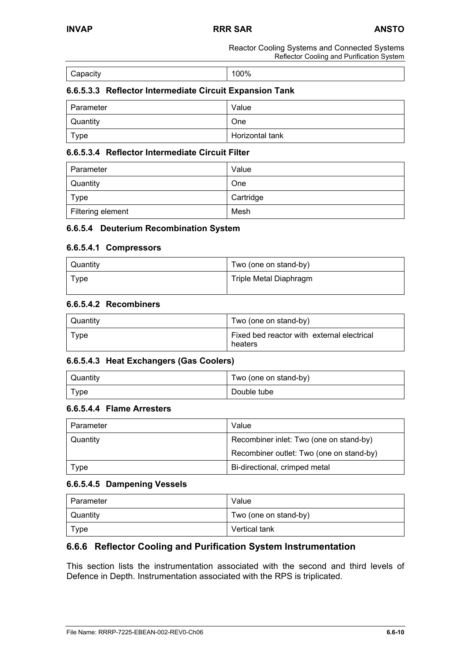Reactor Cooling Systems and Connected Systems Reflector Cooling and Purification System

| Capacity | 100% |
|----------|------|

## **6.6.5.3.3 Reflector Intermediate Circuit Expansion Tank**

| Parameter       | Value           |
|-----------------|-----------------|
| <b>Quantity</b> | <b>One</b>      |
| Type            | Horizontal tank |

#### **6.6.5.3.4 Reflector Intermediate Circuit Filter**

| Parameter         | Value     |
|-------------------|-----------|
| Quantity          | One       |
| Type              | Cartridge |
| Filtering element | Mesh      |

#### **6.6.5.4 Deuterium Recombination System**

#### **6.6.5.4.1 Compressors**

| Quantity | Two (one on stand-by)  |
|----------|------------------------|
| Type     | Triple Metal Diaphragm |

### **6.6.5.4.2 Recombiners**

| Quantity | Two (one on stand-by)                                 |
|----------|-------------------------------------------------------|
| Type     | Fixed bed reactor with external electrical<br>heaters |

### **6.6.5.4.3 Heat Exchangers (Gas Coolers)**

| Quantity | Two (one on stand-by) |
|----------|-----------------------|
| Type     | Double tube           |

#### **6.6.5.4.4 Flame Arresters**

| Parameter | Value                                    |
|-----------|------------------------------------------|
| Quantity  | Recombiner inlet: Two (one on stand-by)  |
|           | Recombiner outlet: Two (one on stand-by) |
| Type      | Bi-directional, crimped metal            |

#### **6.6.5.4.5 Dampening Vessels**

| Parameter | Value                 |
|-----------|-----------------------|
| Quantity  | Two (one on stand-by) |
| Type      | Vertical tank         |

### **6.6.6 Reflector Cooling and Purification System Instrumentation**

This section lists the instrumentation associated with the second and third levels of Defence in Depth. Instrumentation associated with the RPS is triplicated.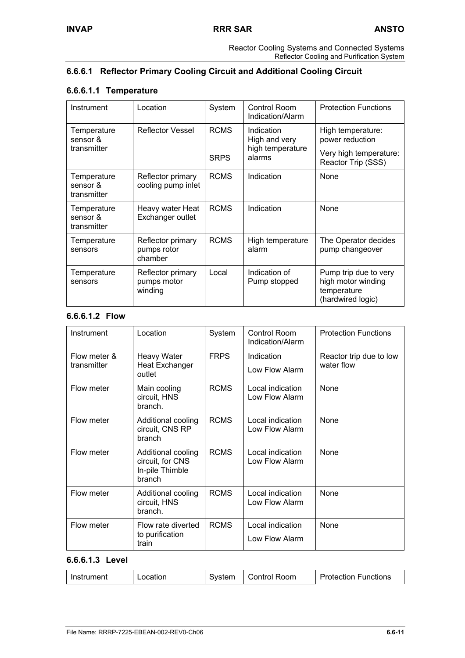# **6.6.6.1 Reflector Primary Cooling Circuit and Additional Cooling Circuit**

# **6.6.6.1.1 Temperature**

| Instrument                             | Location                                                              | System      | Control Room<br>Indication/Alarm     | <b>Protection Functions</b>                                                     |
|----------------------------------------|-----------------------------------------------------------------------|-------------|--------------------------------------|---------------------------------------------------------------------------------|
| Temperature<br>sensor &                | <b>RCMS</b><br><b>Reflector Vessel</b><br>Indication<br>High and very |             | High temperature:<br>power reduction |                                                                                 |
| transmitter                            |                                                                       | <b>SRPS</b> | high temperature<br>alarms           | Very high temperature:<br>Reactor Trip (SSS)                                    |
| Temperature<br>sensor &<br>transmitter | Reflector primary<br>cooling pump inlet                               | <b>RCMS</b> | Indication                           | None                                                                            |
| Temperature<br>sensor &<br>transmitter | Heavy water Heat<br>Exchanger outlet                                  | <b>RCMS</b> | Indication                           | None                                                                            |
| Temperature<br>sensors                 | Reflector primary<br>pumps rotor<br>chamber                           | <b>RCMS</b> | High temperature<br>alarm            | The Operator decides<br>pump changeover                                         |
| Temperature<br>sensors                 | Reflector primary<br>pumps motor<br>winding                           | Local       | Indication of<br>Pump stopped        | Pump trip due to very<br>high motor winding<br>temperature<br>(hardwired logic) |

# **6.6.6.1.2 Flow**

| Instrument                  | Location                                                            | System      | Control Room<br>Indication/Alarm   | <b>Protection Functions</b>           |
|-----------------------------|---------------------------------------------------------------------|-------------|------------------------------------|---------------------------------------|
| Flow meter &<br>transmitter | <b>Heavy Water</b><br><b>Heat Exchanger</b><br>outlet               | <b>FRPS</b> | Indication<br>Low Flow Alarm       | Reactor trip due to low<br>water flow |
| Flow meter                  | Main cooling<br>circuit, HNS<br>branch.                             | <b>RCMS</b> | Local indication<br>Low Flow Alarm | None                                  |
| Flow meter                  | Additional cooling<br>circuit, CNS RP<br>branch                     | <b>RCMS</b> | Local indication<br>Low Flow Alarm | None                                  |
| Flow meter                  | Additional cooling<br>circuit, for CNS<br>In-pile Thimble<br>branch | <b>RCMS</b> | Local indication<br>Low Flow Alarm | None                                  |
| Flow meter                  | Additional cooling<br>circuit, HNS<br>branch.                       | <b>RCMS</b> | Local indication<br>Low Flow Alarm | None                                  |
| Flow meter                  | Flow rate diverted<br>to purification<br>train                      | <b>RCMS</b> | Local indication<br>Low Flow Alarm | None                                  |

# **6.6.6.1.3 Level**

| Instrument | Location | System | Control Room | <b>Protection Functions</b> |
|------------|----------|--------|--------------|-----------------------------|
|------------|----------|--------|--------------|-----------------------------|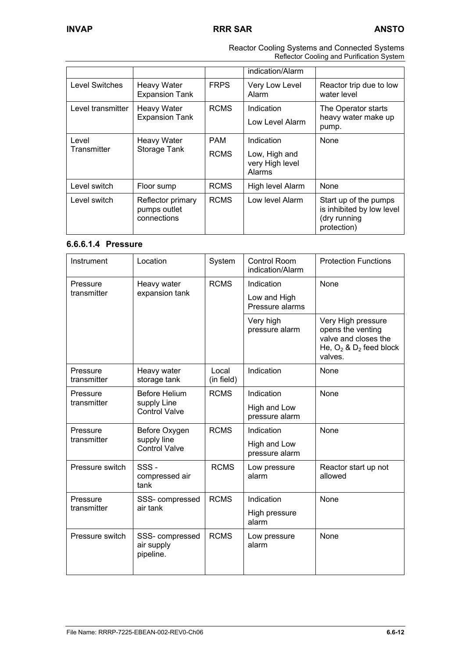|                                                            |                                                  |                                            | indication/Alarm        |                                                                                   |
|------------------------------------------------------------|--------------------------------------------------|--------------------------------------------|-------------------------|-----------------------------------------------------------------------------------|
| Level Switches                                             | <b>Heavy Water</b><br><b>Expansion Tank</b>      | <b>FRPS</b>                                | Very Low Level<br>Alarm | Reactor trip due to low<br>water level                                            |
| Level transmitter                                          | <b>Heavy Water</b><br><b>Expansion Tank</b>      | <b>RCMS</b>                                | Indication              | The Operator starts<br>heavy water make up                                        |
|                                                            |                                                  |                                            | Low Level Alarm         | pump.                                                                             |
| Level<br><b>Heavy Water</b><br>Transmitter<br>Storage Tank |                                                  | <b>PAM</b>                                 | Indication              | None                                                                              |
|                                                            | <b>RCMS</b>                                      | Low, High and<br>very High level<br>Alarms |                         |                                                                                   |
| Level switch                                               | Floor sump                                       | <b>RCMS</b>                                | High level Alarm        | None                                                                              |
| Level switch                                               | Reflector primary<br>pumps outlet<br>connections | <b>RCMS</b>                                | Low level Alarm         | Start up of the pumps<br>is inhibited by low level<br>(dry running<br>protection) |

 Reactor Cooling Systems and Connected Systems Reflector Cooling and Purification System

### **6.6.6.1.4 Pressure**

| Instrument                                                                      | Location                                   | System                         | <b>Control Room</b><br>indication/Alarm | <b>Protection Functions</b>                                                                                |
|---------------------------------------------------------------------------------|--------------------------------------------|--------------------------------|-----------------------------------------|------------------------------------------------------------------------------------------------------------|
| Heavy water<br>Pressure                                                         | <b>RCMS</b>                                | Indication                     | <b>None</b>                             |                                                                                                            |
| transmitter                                                                     | expansion tank                             |                                | Low and High<br>Pressure alarms         |                                                                                                            |
|                                                                                 |                                            |                                | Very high<br>pressure alarm             | Very High pressure<br>opens the venting<br>valve and closes the<br>He, $O_2$ & $D_2$ feed block<br>valves. |
| Pressure<br>transmitter                                                         | Heavy water<br>storage tank                | Local<br>(in field)            | Indication                              | None                                                                                                       |
| Pressure                                                                        | <b>Before Helium</b>                       | <b>RCMS</b>                    | Indication                              | None                                                                                                       |
| transmitter<br>supply Line<br><b>Control Valve</b>                              |                                            | High and Low<br>pressure alarm |                                         |                                                                                                            |
| Pressure<br>Before Oxygen<br>transmitter<br>supply line<br><b>Control Valve</b> | <b>RCMS</b>                                | Indication                     | None                                    |                                                                                                            |
|                                                                                 |                                            | High and Low<br>pressure alarm |                                         |                                                                                                            |
| Pressure switch                                                                 | SSS-<br>compressed air<br>tank             | <b>RCMS</b>                    | Low pressure<br>alarm                   | Reactor start up not<br>allowed                                                                            |
| Pressure<br>SSS- compressed                                                     | <b>RCMS</b>                                | Indication                     | None                                    |                                                                                                            |
| transmitter                                                                     | air tank                                   |                                | High pressure<br>alarm                  |                                                                                                            |
| Pressure switch                                                                 | SSS- compressed<br>air supply<br>pipeline. | <b>RCMS</b>                    | Low pressure<br>alarm                   | None                                                                                                       |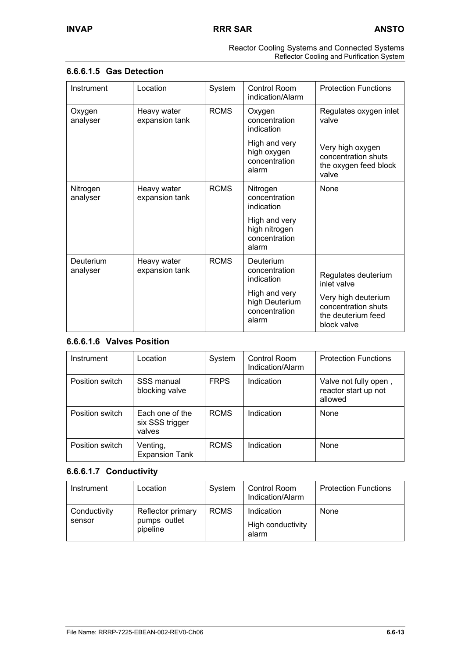| Reactor Cooling Systems and Connected Systems |
|-----------------------------------------------|
| Reflector Cooling and Purification System     |

## **6.6.6.1.5 Gas Detection**

| Instrument            | Location                      | System      | Control Room<br>indication/Alarm                          | <b>Protection Functions</b>                                                     |
|-----------------------|-------------------------------|-------------|-----------------------------------------------------------|---------------------------------------------------------------------------------|
| Oxygen<br>analyser    | Heavy water<br>expansion tank | <b>RCMS</b> | Oxygen<br>concentration<br>indication                     | Regulates oxygen inlet<br>valve                                                 |
|                       |                               |             | High and very<br>high oxygen<br>concentration<br>alarm    | Very high oxygen<br>concentration shuts<br>the oxygen feed block<br>valve       |
| Nitrogen<br>analyser  | Heavy water<br>expansion tank | <b>RCMS</b> | Nitrogen<br>concentration<br>indication                   | <b>None</b>                                                                     |
|                       |                               |             | High and very<br>high nitrogen<br>concentration<br>alarm  |                                                                                 |
| Deuterium<br>analyser | Heavy water<br>expansion tank | <b>RCMS</b> | Deuterium<br>concentration<br>indication                  | Regulates deuterium<br>inlet valve                                              |
|                       |                               |             | High and very<br>high Deuterium<br>concentration<br>alarm | Very high deuterium<br>concentration shuts<br>the deuterium feed<br>block valve |

# **6.6.6.1.6 Valves Position**

| Instrument      | Location                                     | System      | Control Room<br>Indication/Alarm | <b>Protection Functions</b>                              |
|-----------------|----------------------------------------------|-------------|----------------------------------|----------------------------------------------------------|
| Position switch | SSS manual<br>blocking valve                 | <b>FRPS</b> | Indication                       | Valve not fully open,<br>reactor start up not<br>allowed |
| Position switch | Each one of the<br>six SSS trigger<br>valves | <b>RCMS</b> | Indication                       | None                                                     |
| Position switch | Venting,<br><b>Expansion Tank</b>            | <b>RCMS</b> | Indication                       | None                                                     |

# **6.6.6.1.7 Conductivity**

| Instrument             | Location                                      | System      | <b>Control Room</b><br>Indication/Alarm  | <b>Protection Functions</b> |
|------------------------|-----------------------------------------------|-------------|------------------------------------------|-----------------------------|
| Conductivity<br>sensor | Reflector primary<br>pumps outlet<br>pipeline | <b>RCMS</b> | Indication<br>High conductivity<br>alarm | None                        |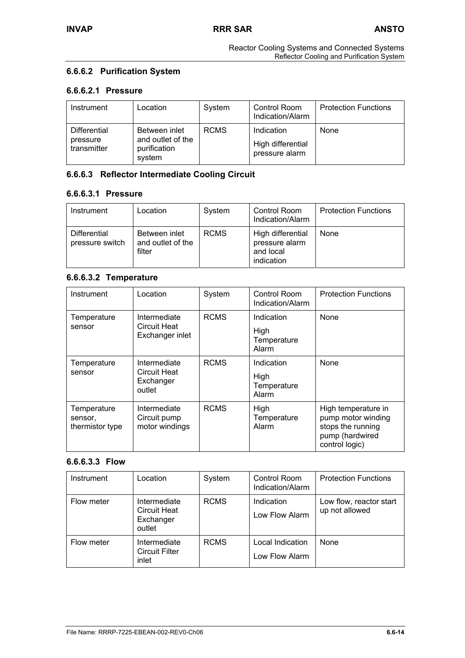# **6.6.6.2 Purification System**

### **6.6.6.2.1 Pressure**

| Instrument                              | Location                                                     | System      | Control Room<br>Indication/Alarm                  | <b>Protection Functions</b> |
|-----------------------------------------|--------------------------------------------------------------|-------------|---------------------------------------------------|-----------------------------|
| Differential<br>pressure<br>transmitter | Between inlet<br>and outlet of the<br>purification<br>system | <b>RCMS</b> | Indication<br>High differential<br>pressure alarm | None                        |

# **6.6.6.3 Reflector Intermediate Cooling Circuit**

## **6.6.6.3.1 Pressure**

| Instrument                      | Location                                     | System      | Control Room<br>Indication/Alarm                               | <b>Protection Functions</b> |
|---------------------------------|----------------------------------------------|-------------|----------------------------------------------------------------|-----------------------------|
| Differential<br>pressure switch | Between inlet<br>and outlet of the<br>filter | <b>RCMS</b> | High differential<br>pressure alarm<br>and local<br>indication | None                        |

## **6.6.6.3.2 Temperature**

| Instrument                                | Location                                            | System      | Control Room<br>Indication/Alarm           | <b>Protection Functions</b>                                                                         |
|-------------------------------------------|-----------------------------------------------------|-------------|--------------------------------------------|-----------------------------------------------------------------------------------------------------|
| Temperature<br>sensor                     | Intermediate<br>Circuit Heat<br>Exchanger inlet     | <b>RCMS</b> | Indication<br>High<br>Temperature<br>Alarm | None                                                                                                |
| Temperature<br>sensor                     | Intermediate<br>Circuit Heat<br>Exchanger<br>outlet | <b>RCMS</b> | Indication<br>High<br>Temperature<br>Alarm | <b>None</b>                                                                                         |
| Temperature<br>sensor,<br>thermistor type | Intermediate<br>Circuit pump<br>motor windings      | <b>RCMS</b> | High<br>Temperature<br>Alarm               | High temperature in<br>pump motor winding<br>stops the running<br>pump (hardwired<br>control logic) |

# **6.6.6.3.3 Flow**

| Instrument | Location                                                   | System      | <b>Control Room</b><br>Indication/Alarm | <b>Protection Functions</b>               |
|------------|------------------------------------------------------------|-------------|-----------------------------------------|-------------------------------------------|
| Flow meter | Intermediate<br><b>Circuit Heat</b><br>Exchanger<br>outlet | <b>RCMS</b> | Indication<br>Low Flow Alarm            | Low flow, reactor start<br>up not allowed |
| Flow meter | Intermediate<br><b>Circuit Filter</b><br>inlet             | <b>RCMS</b> | Local Indication<br>Low Flow Alarm      | None                                      |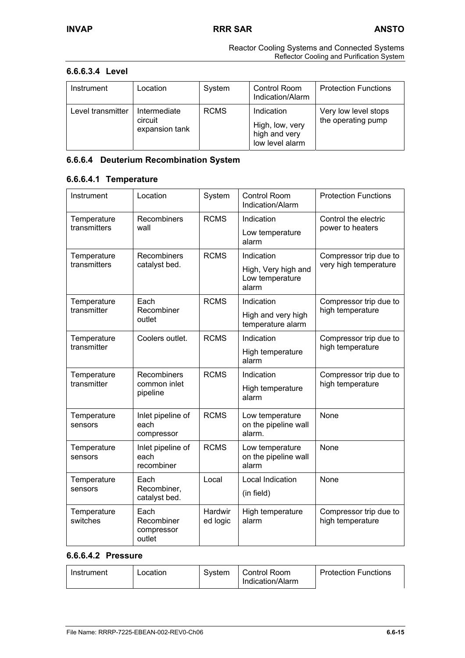### **6.6.6.3.4 Level**

| Instrument        | Location                                  | System      | Control Room<br>Indication/Alarm                                  | <b>Protection Functions</b>                |
|-------------------|-------------------------------------------|-------------|-------------------------------------------------------------------|--------------------------------------------|
| Level transmitter | Intermediate<br>circuit<br>expansion tank | <b>RCMS</b> | Indication<br>High, low, very<br>high and very<br>low level alarm | Very low level stops<br>the operating pump |

# **6.6.6.4 Deuterium Recombination System**

# **6.6.6.4.1 Temperature**

| Instrument                  | Location                                   | System                     | <b>Control Room</b><br>Indication/Alarm           | <b>Protection Functions</b>                |
|-----------------------------|--------------------------------------------|----------------------------|---------------------------------------------------|--------------------------------------------|
| Temperature<br>transmitters | Recombiners<br>wall                        | <b>RCMS</b>                | Indication                                        | Control the electric<br>power to heaters   |
|                             |                                            |                            | Low temperature<br>alarm                          |                                            |
| Temperature<br>transmitters | <b>Recombiners</b>                         | <b>RCMS</b>                | Indication                                        | Compressor trip due to                     |
|                             | catalyst bed.                              |                            | High, Very high and<br>Low temperature<br>alarm   | very high temperature                      |
| Temperature                 | Each                                       | <b>RCMS</b>                | Indication                                        | Compressor trip due to                     |
| transmitter                 | Recombiner<br>outlet                       |                            | High and very high<br>temperature alarm           | high temperature                           |
| Temperature                 | Coolers outlet.                            | <b>RCMS</b>                | Indication                                        | Compressor trip due to<br>high temperature |
| transmitter                 |                                            |                            | High temperature<br>alarm                         |                                            |
| Temperature<br>transmitter  | <b>Recombiners</b><br>common inlet         | <b>RCMS</b>                | Indication                                        | Compressor trip due to<br>high temperature |
|                             | pipeline                                   |                            | High temperature<br>alarm                         |                                            |
| Temperature<br>sensors      | Inlet pipeline of<br>each<br>compressor    | <b>RCMS</b>                | Low temperature<br>on the pipeline wall<br>alarm. | None                                       |
| Temperature<br>sensors      | Inlet pipeline of<br>each<br>recombiner    | <b>RCMS</b>                | Low temperature<br>on the pipeline wall<br>alarm  | None                                       |
| Temperature<br>sensors      | Each<br>Recombiner,                        | Local                      | Local Indication<br>(in field)                    | None                                       |
|                             | catalyst bed.                              |                            |                                                   |                                            |
| Temperature<br>switches     | Each<br>Recombiner<br>compressor<br>outlet | <b>Hardwir</b><br>ed logic | High temperature<br>alarm                         | Compressor trip due to<br>high temperature |

### **6.6.6.4.2 Pressure**

| Control Room<br><b>Protection Functions</b><br>Svstem<br>Location<br>Instrument<br>Indication/Alarm |
|-----------------------------------------------------------------------------------------------------|
|-----------------------------------------------------------------------------------------------------|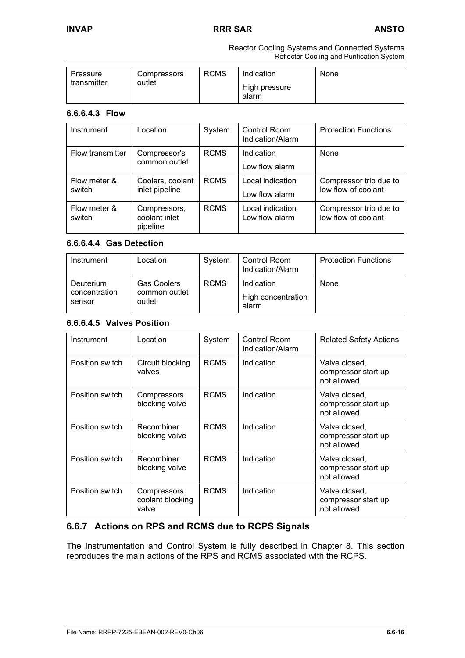### **6.6.6.4.3 Flow**

| Instrument             | Location                                  | System      | Control Room<br>Indication/Alarm   | <b>Protection Functions</b>                   |
|------------------------|-------------------------------------------|-------------|------------------------------------|-----------------------------------------------|
| Flow transmitter       | Compressor's<br>common outlet             | <b>RCMS</b> | Indication<br>Low flow alarm       | None                                          |
| Flow meter &<br>switch | Coolers, coolant<br>inlet pipeline        | <b>RCMS</b> | Local indication<br>Low flow alarm | Compressor trip due to<br>low flow of coolant |
| Flow meter &<br>switch | Compressors,<br>coolant inlet<br>pipeline | <b>RCMS</b> | Local indication<br>Low flow alarm | Compressor trip due to<br>low flow of coolant |

### **6.6.6.4.4 Gas Detection**

| Instrument                           | Location                                      | System      | Control Room<br>Indication/Alarm          | <b>Protection Functions</b> |
|--------------------------------------|-----------------------------------------------|-------------|-------------------------------------------|-----------------------------|
| Deuterium<br>concentration<br>sensor | <b>Gas Coolers</b><br>common outlet<br>outlet | <b>RCMS</b> | Indication<br>High concentration<br>alarm | None                        |

# **6.6.6.4.5 Valves Position**

| Instrument      | Location                                 | System      | Control Room<br>Indication/Alarm | <b>Related Safety Actions</b>                       |
|-----------------|------------------------------------------|-------------|----------------------------------|-----------------------------------------------------|
| Position switch | Circuit blocking<br>valves               | <b>RCMS</b> | Indication                       | Valve closed,<br>compressor start up<br>not allowed |
| Position switch | Compressors<br>blocking valve            | <b>RCMS</b> | Indication                       | Valve closed,<br>compressor start up<br>not allowed |
| Position switch | Recombiner<br>blocking valve             | <b>RCMS</b> | Indication                       | Valve closed,<br>compressor start up<br>not allowed |
| Position switch | Recombiner<br>blocking valve             | <b>RCMS</b> | Indication                       | Valve closed,<br>compressor start up<br>not allowed |
| Position switch | Compressors<br>coolant blocking<br>valve | <b>RCMS</b> | Indication                       | Valve closed,<br>compressor start up<br>not allowed |

# **6.6.7 Actions on RPS and RCMS due to RCPS Signals**

The Instrumentation and Control System is fully described in Chapter 8. This section reproduces the main actions of the RPS and RCMS associated with the RCPS.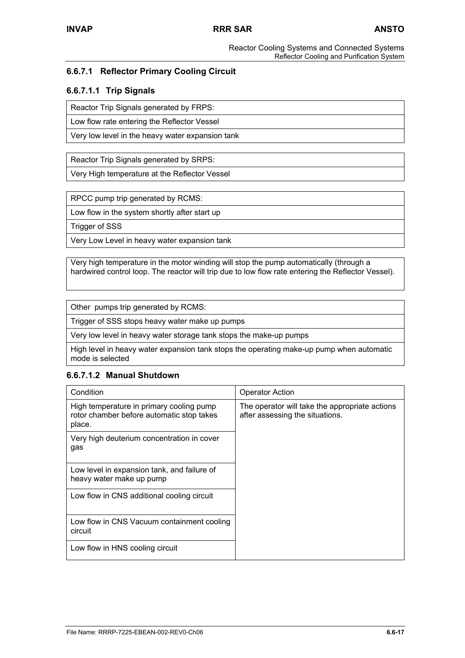# **6.6.7.1 Reflector Primary Cooling Circuit**

### **6.6.7.1.1 Trip Signals**

Reactor Trip Signals generated by FRPS:

Low flow rate entering the Reflector Vessel

Very low level in the heavy water expansion tank

Reactor Trip Signals generated by SRPS:

Very High temperature at the Reflector Vessel

RPCC pump trip generated by RCMS:

Low flow in the system shortly after start up

Trigger of SSS

Very Low Level in heavy water expansion tank

Very high temperature in the motor winding will stop the pump automatically (through a hardwired control loop. The reactor will trip due to low flow rate entering the Reflector Vessel).

Other pumps trip generated by RCMS:

Trigger of SSS stops heavy water make up pumps

Very low level in heavy water storage tank stops the make-up pumps

High level in heavy water expansion tank stops the operating make-up pump when automatic mode is selected

### **6.6.7.1.2 Manual Shutdown**

| Condition                                                                                       | <b>Operator Action</b>                                                            |
|-------------------------------------------------------------------------------------------------|-----------------------------------------------------------------------------------|
| High temperature in primary cooling pump<br>rotor chamber before automatic stop takes<br>place. | The operator will take the appropriate actions<br>after assessing the situations. |
| Very high deuterium concentration in cover<br>gas                                               |                                                                                   |
| Low level in expansion tank, and failure of<br>heavy water make up pump                         |                                                                                   |
| Low flow in CNS additional cooling circuit                                                      |                                                                                   |
| Low flow in CNS Vacuum containment cooling<br>circuit                                           |                                                                                   |
| Low flow in HNS cooling circuit                                                                 |                                                                                   |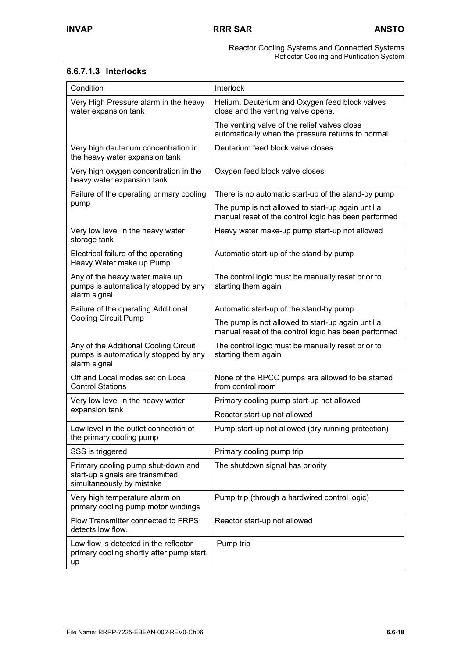# **6.6.7.1.3 Interlocks**

| Condition                                                                                           | Interlock                                                                                                 |
|-----------------------------------------------------------------------------------------------------|-----------------------------------------------------------------------------------------------------------|
| Very High Pressure alarm in the heavy<br>water expansion tank                                       | Helium, Deuterium and Oxygen feed block valves<br>close and the venting valve opens.                      |
|                                                                                                     | The venting valve of the relief valves close<br>automatically when the pressure returns to normal.        |
| Very high deuterium concentration in<br>the heavy water expansion tank                              | Deuterium feed block valve closes                                                                         |
| Very high oxygen concentration in the<br>heavy water expansion tank                                 | Oxygen feed block valve closes                                                                            |
| Failure of the operating primary cooling                                                            | There is no automatic start-up of the stand-by pump                                                       |
| pump                                                                                                | The pump is not allowed to start-up again until a<br>manual reset of the control logic has been performed |
| Very low level in the heavy water<br>storage tank                                                   | Heavy water make-up pump start-up not allowed                                                             |
| Electrical failure of the operating<br>Heavy Water make up Pump                                     | Automatic start-up of the stand-by pump                                                                   |
| Any of the heavy water make up<br>pumps is automatically stopped by any<br>alarm signal             | The control logic must be manually reset prior to<br>starting them again                                  |
| Failure of the operating Additional                                                                 | Automatic start-up of the stand-by pump                                                                   |
| <b>Cooling Circuit Pump</b>                                                                         | The pump is not allowed to start-up again until a<br>manual reset of the control logic has been performed |
| Any of the Additional Cooling Circuit<br>pumps is automatically stopped by any<br>alarm signal      | The control logic must be manually reset prior to<br>starting them again                                  |
| Off and Local modes set on Local<br><b>Control Stations</b>                                         | None of the RPCC pumps are allowed to be started<br>from control room                                     |
| Very low level in the heavy water                                                                   | Primary cooling pump start-up not allowed                                                                 |
| expansion tank                                                                                      | Reactor start-up not allowed                                                                              |
| Low level in the outlet connection of<br>the primary cooling pump                                   | Pump start-up not allowed (dry running protection)                                                        |
| SSS is triggered                                                                                    | Primary cooling pump trip                                                                                 |
| Primary cooling pump shut-down and<br>start-up signals are transmitted<br>simultaneously by mistake | The shutdown signal has priority                                                                          |
| Very high temperature alarm on<br>primary cooling pump motor windings                               | Pump trip (through a hardwired control logic)                                                             |
| Flow Transmitter connected to FRPS<br>detects low flow.                                             | Reactor start-up not allowed                                                                              |
| Low flow is detected in the reflector<br>primary cooling shortly after pump start<br>up             | Pump trip                                                                                                 |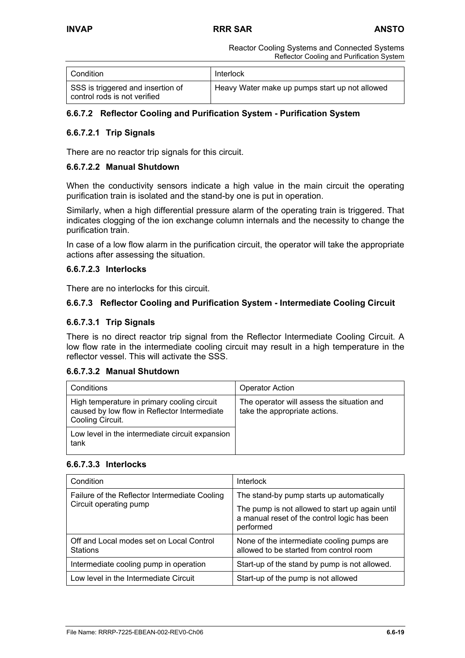| Condition                                                         | Interlock                                      |
|-------------------------------------------------------------------|------------------------------------------------|
| SSS is triggered and insertion of<br>control rods is not verified | Heavy Water make up pumps start up not allowed |

# **6.6.7.2 Reflector Cooling and Purification System - Purification System**

### **6.6.7.2.1 Trip Signals**

There are no reactor trip signals for this circuit.

### **6.6.7.2.2 Manual Shutdown**

When the conductivity sensors indicate a high value in the main circuit the operating purification train is isolated and the stand-by one is put in operation.

Similarly, when a high differential pressure alarm of the operating train is triggered. That indicates clogging of the ion exchange column internals and the necessity to change the purification train.

In case of a low flow alarm in the purification circuit, the operator will take the appropriate actions after assessing the situation.

### **6.6.7.2.3 Interlocks**

There are no interlocks for this circuit.

### **6.6.7.3 Reflector Cooling and Purification System - Intermediate Cooling Circuit**

### **6.6.7.3.1 Trip Signals**

There is no direct reactor trip signal from the Reflector Intermediate Cooling Circuit. A low flow rate in the intermediate cooling circuit may result in a high temperature in the reflector vessel. This will activate the SSS.

### **6.6.7.3.2 Manual Shutdown**

| Conditions                                                                                                      | <b>Operator Action</b>                                                      |
|-----------------------------------------------------------------------------------------------------------------|-----------------------------------------------------------------------------|
| High temperature in primary cooling circuit<br>caused by low flow in Reflector Intermediate<br>Cooling Circuit. | The operator will assess the situation and<br>take the appropriate actions. |
| Low level in the intermediate circuit expansion<br>tank                                                         |                                                                             |

### **6.6.7.3.3 Interlocks**

| Condition                                                   | <b>Interlock</b>                                                                                             |
|-------------------------------------------------------------|--------------------------------------------------------------------------------------------------------------|
| Failure of the Reflector Intermediate Cooling               | The stand-by pump starts up automatically                                                                    |
| Circuit operating pump                                      | The pump is not allowed to start up again until<br>a manual reset of the control logic has been<br>performed |
| Off and Local modes set on Local Control<br><b>Stations</b> | None of the intermediate cooling pumps are<br>allowed to be started from control room                        |
| Intermediate cooling pump in operation                      | Start-up of the stand by pump is not allowed.                                                                |
| Low level in the Intermediate Circuit                       | Start-up of the pump is not allowed                                                                          |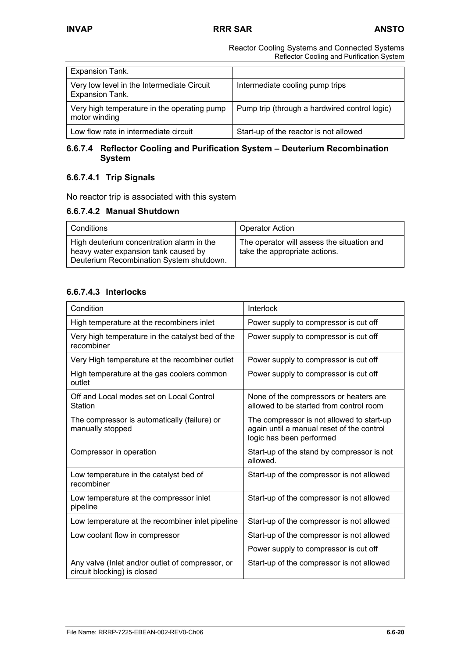| Expansion Tank.                                               |                                               |
|---------------------------------------------------------------|-----------------------------------------------|
| Very low level in the Intermediate Circuit<br>Expansion Tank. | Intermediate cooling pump trips               |
| Very high temperature in the operating pump<br>motor winding  | Pump trip (through a hardwired control logic) |
| Low flow rate in intermediate circuit                         | Start-up of the reactor is not allowed        |

### **6.6.7.4 Reflector Cooling and Purification System – Deuterium Recombination System**

# **6.6.7.4.1 Trip Signals**

No reactor trip is associated with this system

# **6.6.7.4.2 Manual Shutdown**

| l Conditions                                                                                                                  | <b>Operator Action</b>                                                      |
|-------------------------------------------------------------------------------------------------------------------------------|-----------------------------------------------------------------------------|
| High deuterium concentration alarm in the<br>heavy water expansion tank caused by<br>Deuterium Recombination System shutdown. | The operator will assess the situation and<br>take the appropriate actions. |

# **6.6.7.4.3 Interlocks**

| Condition                                                                       | Interlock                                                                                                          |
|---------------------------------------------------------------------------------|--------------------------------------------------------------------------------------------------------------------|
| High temperature at the recombiners inlet                                       | Power supply to compressor is cut off                                                                              |
| Very high temperature in the catalyst bed of the<br>recombiner                  | Power supply to compressor is cut off                                                                              |
| Very High temperature at the recombiner outlet                                  | Power supply to compressor is cut off                                                                              |
| High temperature at the gas coolers common<br>outlet                            | Power supply to compressor is cut off                                                                              |
| Off and Local modes set on Local Control<br>Station                             | None of the compressors or heaters are<br>allowed to be started from control room                                  |
| The compressor is automatically (failure) or<br>manually stopped                | The compressor is not allowed to start-up<br>again until a manual reset of the control<br>logic has been performed |
| Compressor in operation                                                         | Start-up of the stand by compressor is not<br>allowed.                                                             |
| Low temperature in the catalyst bed of<br>recombiner                            | Start-up of the compressor is not allowed                                                                          |
| Low temperature at the compressor inlet<br>pipeline                             | Start-up of the compressor is not allowed                                                                          |
| Low temperature at the recombiner inlet pipeline                                | Start-up of the compressor is not allowed                                                                          |
| Low coolant flow in compressor                                                  | Start-up of the compressor is not allowed                                                                          |
|                                                                                 | Power supply to compressor is cut off                                                                              |
| Any valve (Inlet and/or outlet of compressor, or<br>circuit blocking) is closed | Start-up of the compressor is not allowed                                                                          |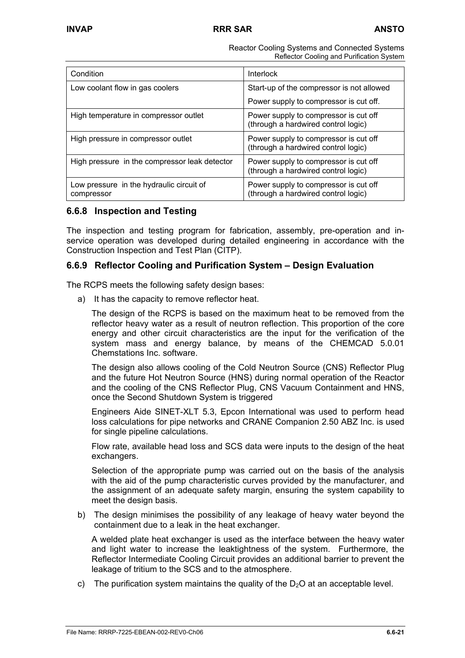| Condition                                              | Interlock                                                                    |  |
|--------------------------------------------------------|------------------------------------------------------------------------------|--|
| Low coolant flow in gas coolers                        | Start-up of the compressor is not allowed                                    |  |
|                                                        | Power supply to compressor is cut off.                                       |  |
| High temperature in compressor outlet                  | Power supply to compressor is cut off<br>(through a hardwired control logic) |  |
| High pressure in compressor outlet                     | Power supply to compressor is cut off<br>(through a hardwired control logic) |  |
| High pressure in the compressor leak detector          | Power supply to compressor is cut off<br>(through a hardwired control logic) |  |
| Low pressure in the hydraulic circuit of<br>compressor | Power supply to compressor is cut off<br>(through a hardwired control logic) |  |

# **6.6.8 Inspection and Testing**

The inspection and testing program for fabrication, assembly, pre-operation and inservice operation was developed during detailed engineering in accordance with the Construction Inspection and Test Plan (CITP).

# **6.6.9 Reflector Cooling and Purification System – Design Evaluation**

The RCPS meets the following safety design bases:

a) It has the capacity to remove reflector heat.

The design of the RCPS is based on the maximum heat to be removed from the reflector heavy water as a result of neutron reflection. This proportion of the core energy and other circuit characteristics are the input for the verification of the system mass and energy balance, by means of the CHEMCAD 5.0.01 Chemstations Inc. software.

The design also allows cooling of the Cold Neutron Source (CNS) Reflector Plug and the future Hot Neutron Source (HNS) during normal operation of the Reactor and the cooling of the CNS Reflector Plug, CNS Vacuum Containment and HNS, once the Second Shutdown System is triggered

Engineers Aide SINET-XLT 5.3, Epcon International was used to perform head loss calculations for pipe networks and CRANE Companion 2.50 ABZ Inc. is used for single pipeline calculations.

Flow rate, available head loss and SCS data were inputs to the design of the heat exchangers.

Selection of the appropriate pump was carried out on the basis of the analysis with the aid of the pump characteristic curves provided by the manufacturer, and the assignment of an adequate safety margin, ensuring the system capability to meet the design basis.

b) The design minimises the possibility of any leakage of heavy water beyond the containment due to a leak in the heat exchanger.

A welded plate heat exchanger is used as the interface between the heavy water and light water to increase the leaktightness of the system. Furthermore, the Reflector Intermediate Cooling Circuit provides an additional barrier to prevent the leakage of tritium to the SCS and to the atmosphere.

c) The purification system maintains the quality of the  $D_2O$  at an acceptable level.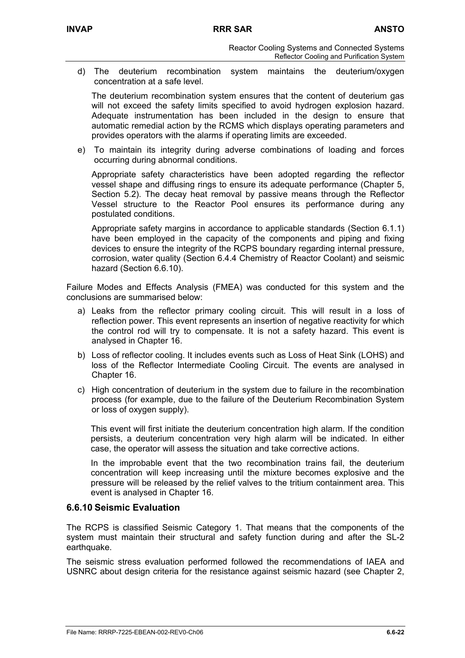d) The deuterium recombination system maintains the deuterium/oxygen concentration at a safe level.

The deuterium recombination system ensures that the content of deuterium gas will not exceed the safety limits specified to avoid hydrogen explosion hazard. Adequate instrumentation has been included in the design to ensure that automatic remedial action by the RCMS which displays operating parameters and provides operators with the alarms if operating limits are exceeded.

e) To maintain its integrity during adverse combinations of loading and forces occurring during abnormal conditions.

Appropriate safety characteristics have been adopted regarding the reflector vessel shape and diffusing rings to ensure its adequate performance (Chapter 5, Section 5.2). The decay heat removal by passive means through the Reflector Vessel structure to the Reactor Pool ensures its performance during any postulated conditions.

Appropriate safety margins in accordance to applicable standards (Section 6.1.1) have been employed in the capacity of the components and piping and fixing devices to ensure the integrity of the RCPS boundary regarding internal pressure, corrosion, water quality (Section 6.4.4 Chemistry of Reactor Coolant) and seismic hazard (Section 6.6.10).

Failure Modes and Effects Analysis (FMEA) was conducted for this system and the conclusions are summarised below:

- a) Leaks from the reflector primary cooling circuit. This will result in a loss of reflection power. This event represents an insertion of negative reactivity for which the control rod will try to compensate. It is not a safety hazard. This event is analysed in Chapter 16.
- b) Loss of reflector cooling. It includes events such as Loss of Heat Sink (LOHS) and loss of the Reflector Intermediate Cooling Circuit. The events are analysed in Chapter 16.
- c) High concentration of deuterium in the system due to failure in the recombination process (for example, due to the failure of the Deuterium Recombination System or loss of oxygen supply).

This event will first initiate the deuterium concentration high alarm. If the condition persists, a deuterium concentration very high alarm will be indicated. In either case, the operator will assess the situation and take corrective actions.

In the improbable event that the two recombination trains fail, the deuterium concentration will keep increasing until the mixture becomes explosive and the pressure will be released by the relief valves to the tritium containment area. This event is analysed in Chapter 16.

# **6.6.10 Seismic Evaluation**

The RCPS is classified Seismic Category 1. That means that the components of the system must maintain their structural and safety function during and after the SL-2 earthquake.

The seismic stress evaluation performed followed the recommendations of IAEA and USNRC about design criteria for the resistance against seismic hazard (see Chapter 2,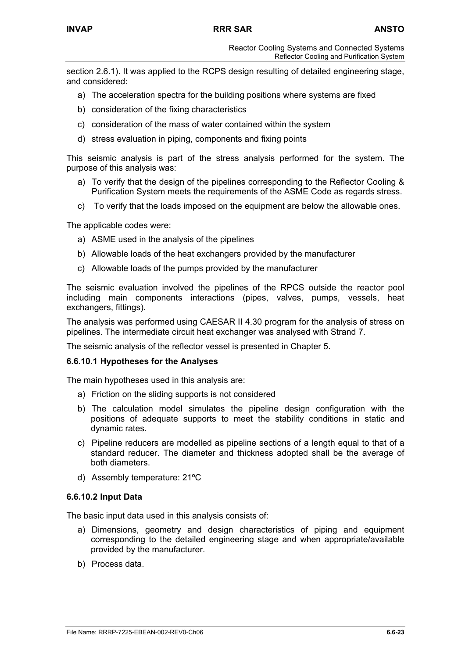section 2.6.1). It was applied to the RCPS design resulting of detailed engineering stage, and considered:

- a) The acceleration spectra for the building positions where systems are fixed
- b) consideration of the fixing characteristics
- c) consideration of the mass of water contained within the system
- d) stress evaluation in piping, components and fixing points

This seismic analysis is part of the stress analysis performed for the system. The purpose of this analysis was:

- a) To verify that the design of the pipelines corresponding to the Reflector Cooling & Purification System meets the requirements of the ASME Code as regards stress.
- c) To verify that the loads imposed on the equipment are below the allowable ones.

The applicable codes were:

- a) ASME used in the analysis of the pipelines
- b) Allowable loads of the heat exchangers provided by the manufacturer
- c) Allowable loads of the pumps provided by the manufacturer

The seismic evaluation involved the pipelines of the RPCS outside the reactor pool including main components interactions (pipes, valves, pumps, vessels, heat exchangers, fittings).

The analysis was performed using CAESAR II 4.30 program for the analysis of stress on pipelines. The intermediate circuit heat exchanger was analysed with Strand 7.

The seismic analysis of the reflector vessel is presented in Chapter 5.

### **6.6.10.1 Hypotheses for the Analyses**

The main hypotheses used in this analysis are:

- a) Friction on the sliding supports is not considered
- b) The calculation model simulates the pipeline design configuration with the positions of adequate supports to meet the stability conditions in static and dynamic rates.
- c) Pipeline reducers are modelled as pipeline sections of a length equal to that of a standard reducer. The diameter and thickness adopted shall be the average of both diameters.
- d) Assembly temperature: 21ºC

### **6.6.10.2 Input Data**

The basic input data used in this analysis consists of:

- a) Dimensions, geometry and design characteristics of piping and equipment corresponding to the detailed engineering stage and when appropriate/available provided by the manufacturer.
- b) Process data.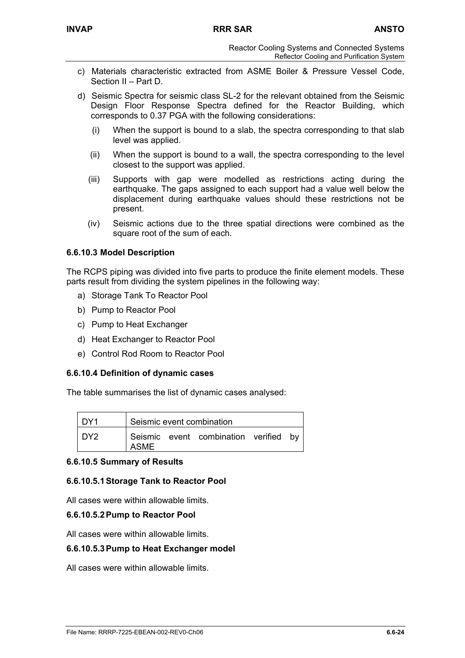- c) Materials characteristic extracted from ASME Boiler & Pressure Vessel Code, Section II – Part D.
- d) Seismic Spectra for seismic class SL-2 for the relevant obtained from the Seismic Design Floor Response Spectra defined for the Reactor Building, which corresponds to 0.37 PGA with the following considerations:
	- (i) When the support is bound to a slab, the spectra corresponding to that slab level was applied.
	- (ii) When the support is bound to a wall, the spectra corresponding to the level closest to the support was applied.
	- (iii) Supports with gap were modelled as restrictions acting during the earthquake. The gaps assigned to each support had a value well below the displacement during earthquake values should these restrictions not be present.
	- (iv) Seismic actions due to the three spatial directions were combined as the square root of the sum of each.

# **6.6.10.3 Model Description**

The RCPS piping was divided into five parts to produce the finite element models. These parts result from dividing the system pipelines in the following way:

- a) Storage Tank To Reactor Pool
- b) Pump to Reactor Pool
- c) Pump to Heat Exchanger
- d) Heat Exchanger to Reactor Pool
- e) Control Rod Room to Reactor Pool

# **6.6.10.4 Definition of dynamic cases**

The table summarises the list of dynamic cases analysed:

| DY1 |             | Seismic event combination          |      |
|-----|-------------|------------------------------------|------|
| DY2 | <b>ASME</b> | Seismic event combination verified | hv b |

# **6.6.10.5 Summary of Results**

### **6.6.10.5.1 Storage Tank to Reactor Pool**

All cases were within allowable limits.

### **6.6.10.5.2 Pump to Reactor Pool**

All cases were within allowable limits.

### **6.6.10.5.3 Pump to Heat Exchanger model**

All cases were within allowable limits.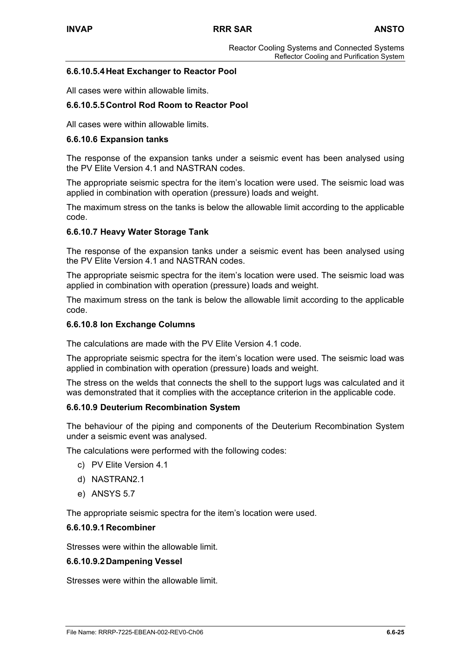### **6.6.10.5.4 Heat Exchanger to Reactor Pool**

All cases were within allowable limits.

### **6.6.10.5.5 Control Rod Room to Reactor Pool**

All cases were within allowable limits.

#### **6.6.10.6 Expansion tanks**

The response of the expansion tanks under a seismic event has been analysed using the PV Elite Version 4.1 and NASTRAN codes.

The appropriate seismic spectra for the item's location were used. The seismic load was applied in combination with operation (pressure) loads and weight.

The maximum stress on the tanks is below the allowable limit according to the applicable code.

### **6.6.10.7 Heavy Water Storage Tank**

The response of the expansion tanks under a seismic event has been analysed using the PV Elite Version 4.1 and NASTRAN codes.

The appropriate seismic spectra for the item's location were used. The seismic load was applied in combination with operation (pressure) loads and weight.

The maximum stress on the tank is below the allowable limit according to the applicable code.

#### **6.6.10.8 Ion Exchange Columns**

The calculations are made with the PV Elite Version 4.1 code.

The appropriate seismic spectra for the item's location were used. The seismic load was applied in combination with operation (pressure) loads and weight.

The stress on the welds that connects the shell to the support lugs was calculated and it was demonstrated that it complies with the acceptance criterion in the applicable code.

#### **6.6.10.9 Deuterium Recombination System**

The behaviour of the piping and components of the Deuterium Recombination System under a seismic event was analysed.

The calculations were performed with the following codes:

- c) PV Elite Version 4.1
- d) NASTRAN2.1
- e) ANSYS 5.7

The appropriate seismic spectra for the item's location were used.

### **6.6.10.9.1 Recombiner**

Stresses were within the allowable limit.

#### **6.6.10.9.2 Dampening Vessel**

Stresses were within the allowable limit.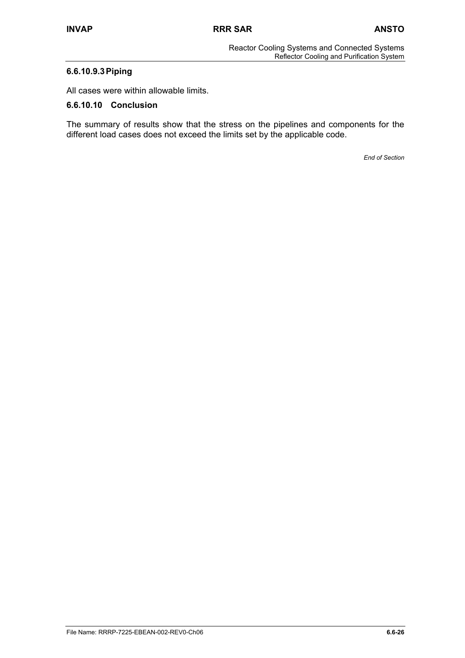# **6.6.10.9.3 Piping**

All cases were within allowable limits.

### **6.6.10.10 Conclusion**

The summary of results show that the stress on the pipelines and components for the different load cases does not exceed the limits set by the applicable code.

*End of Section*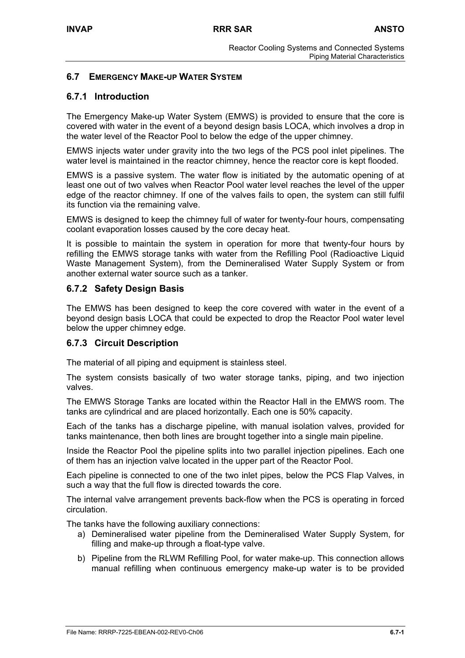# **6.7 EMERGENCY MAKE-UP WATER SYSTEM**

# **6.7.1 Introduction**

The Emergency Make-up Water System (EMWS) is provided to ensure that the core is covered with water in the event of a beyond design basis LOCA, which involves a drop in the water level of the Reactor Pool to below the edge of the upper chimney.

EMWS injects water under gravity into the two legs of the PCS pool inlet pipelines. The water level is maintained in the reactor chimney, hence the reactor core is kept flooded.

EMWS is a passive system. The water flow is initiated by the automatic opening of at least one out of two valves when Reactor Pool water level reaches the level of the upper edge of the reactor chimney. If one of the valves fails to open, the system can still fulfil its function via the remaining valve.

EMWS is designed to keep the chimney full of water for twenty-four hours, compensating coolant evaporation losses caused by the core decay heat.

It is possible to maintain the system in operation for more that twenty-four hours by refilling the EMWS storage tanks with water from the Refilling Pool (Radioactive Liquid Waste Management System), from the Demineralised Water Supply System or from another external water source such as a tanker.

# **6.7.2 Safety Design Basis**

The EMWS has been designed to keep the core covered with water in the event of a beyond design basis LOCA that could be expected to drop the Reactor Pool water level below the upper chimney edge.

# **6.7.3 Circuit Description**

The material of all piping and equipment is stainless steel.

The system consists basically of two water storage tanks, piping, and two injection valves.

The EMWS Storage Tanks are located within the Reactor Hall in the EMWS room. The tanks are cylindrical and are placed horizontally. Each one is 50% capacity.

Each of the tanks has a discharge pipeline, with manual isolation valves, provided for tanks maintenance, then both lines are brought together into a single main pipeline.

Inside the Reactor Pool the pipeline splits into two parallel injection pipelines. Each one of them has an injection valve located in the upper part of the Reactor Pool.

Each pipeline is connected to one of the two inlet pipes, below the PCS Flap Valves, in such a way that the full flow is directed towards the core.

The internal valve arrangement prevents back-flow when the PCS is operating in forced circulation.

The tanks have the following auxiliary connections:

- a) Demineralised water pipeline from the Demineralised Water Supply System, for filling and make-up through a float-type valve.
- b) Pipeline from the RLWM Refilling Pool, for water make-up. This connection allows manual refilling when continuous emergency make-up water is to be provided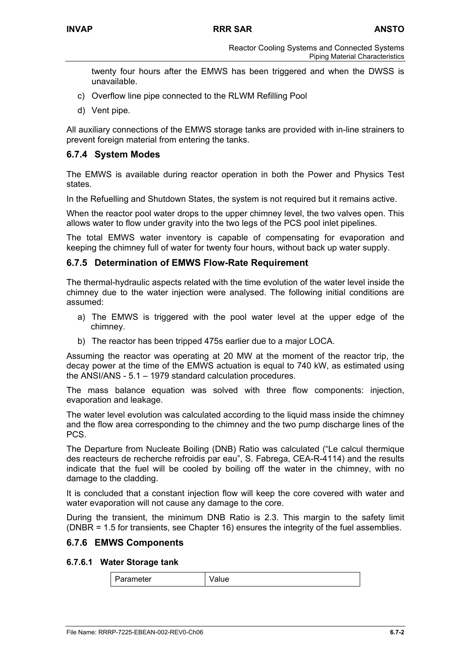Reactor Cooling Systems and Connected Systems Piping Material Characteristics

twenty four hours after the EMWS has been triggered and when the DWSS is unavailable.

- c) Overflow line pipe connected to the RLWM Refilling Pool
- d) Vent pipe.

All auxiliary connections of the EMWS storage tanks are provided with in-line strainers to prevent foreign material from entering the tanks.

# **6.7.4 System Modes**

The EMWS is available during reactor operation in both the Power and Physics Test states.

In the Refuelling and Shutdown States, the system is not required but it remains active.

When the reactor pool water drops to the upper chimney level, the two valves open. This allows water to flow under gravity into the two legs of the PCS pool inlet pipelines.

The total EMWS water inventory is capable of compensating for evaporation and keeping the chimney full of water for twenty four hours, without back up water supply.

### **6.7.5 Determination of EMWS Flow-Rate Requirement**

The thermal-hydraulic aspects related with the time evolution of the water level inside the chimney due to the water injection were analysed. The following initial conditions are assumed:

- a) The EMWS is triggered with the pool water level at the upper edge of the chimney.
- b) The reactor has been tripped 475s earlier due to a major LOCA.

Assuming the reactor was operating at 20 MW at the moment of the reactor trip, the decay power at the time of the EMWS actuation is equal to 740 kW, as estimated using the ANSI/ANS - 5.1 – 1979 standard calculation procedures.

The mass balance equation was solved with three flow components: injection, evaporation and leakage.

The water level evolution was calculated according to the liquid mass inside the chimney and the flow area corresponding to the chimney and the two pump discharge lines of the PCS.

The Departure from Nucleate Boiling (DNB) Ratio was calculated ("Le calcul thermique des reacteurs de recherche refroidis par eau", S. Fabrega, CEA-R-4114) and the results indicate that the fuel will be cooled by boiling off the water in the chimney, with no damage to the cladding.

It is concluded that a constant injection flow will keep the core covered with water and water evaporation will not cause any damage to the core.

During the transient, the minimum DNB Ratio is 2.3. This margin to the safety limit (DNBR = 1.5 for transients, see Chapter 16) ensures the integrity of the fuel assemblies.

### **6.7.6 EMWS Components**

### **6.7.6.1 Water Storage tank**

Parameter | Value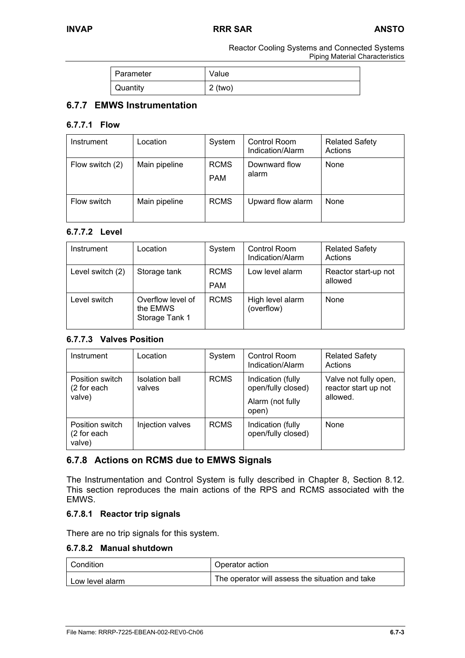Reactor Cooling Systems and Connected Systems Piping Material Characteristics

| Parameter | Value     |
|-----------|-----------|
| Quantity  | $2$ (two) |

# **6.7.7 EMWS Instrumentation**

### **6.7.7.1 Flow**

| Instrument      | _ocation      | System                    | Control Room<br>Indication/Alarm | <b>Related Safety</b><br>Actions |
|-----------------|---------------|---------------------------|----------------------------------|----------------------------------|
| Flow switch (2) | Main pipeline | <b>RCMS</b><br><b>PAM</b> | Downward flow<br>alarm           | None                             |
| Flow switch     | Main pipeline | <b>RCMS</b>               | Upward flow alarm                | None                             |

# **6.7.7.2 Level**

| Instrument       | Location                                        | System                    | <b>Control Room</b><br>Indication/Alarm | <b>Related Safety</b><br>Actions |
|------------------|-------------------------------------------------|---------------------------|-----------------------------------------|----------------------------------|
| Level switch (2) | Storage tank                                    | <b>RCMS</b><br><b>PAM</b> | Low level alarm                         | Reactor start-up not<br>allowed  |
| Level switch     | Overflow level of<br>the EMWS<br>Storage Tank 1 | <b>RCMS</b>               | High level alarm<br>(overflow)          | None                             |

# **6.7.7.3 Valves Position**

| Instrument                               | Location                 | System      | Control Room<br>Indication/Alarm                                     | <b>Related Safety</b><br>Actions                          |
|------------------------------------------|--------------------------|-------------|----------------------------------------------------------------------|-----------------------------------------------------------|
| Position switch<br>(2 for each<br>valve) | Isolation ball<br>valves | <b>RCMS</b> | Indication (fully<br>open/fully closed)<br>Alarm (not fully<br>open) | Valve not fully open,<br>reactor start up not<br>allowed. |
| Position switch<br>(2 for each<br>valve) | Injection valves         | <b>RCMS</b> | Indication (fully<br>open/fully closed)                              | None                                                      |

# **6.7.8 Actions on RCMS due to EMWS Signals**

The Instrumentation and Control System is fully described in Chapter 8, Section 8.12. This section reproduces the main actions of the RPS and RCMS associated with the EMWS.

# **6.7.8.1 Reactor trip signals**

There are no trip signals for this system.

# **6.7.8.2 Manual shutdown**

| Condition       | Operator action                                 |  |
|-----------------|-------------------------------------------------|--|
| Low level alarm | The operator will assess the situation and take |  |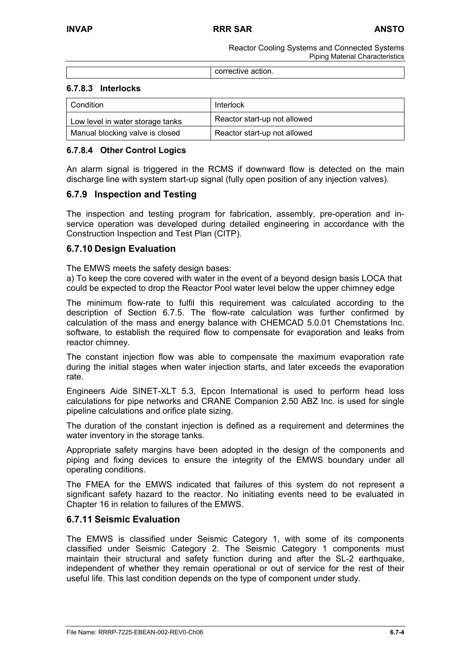Reactor Cooling Systems and Connected Systems Piping Material Characteristics

corrective action.

### **6.7.8.3 Interlocks**

| Condition                        | Interlock                    |
|----------------------------------|------------------------------|
| Low level in water storage tanks | Reactor start-up not allowed |
| Manual blocking valve is closed  | Reactor start-up not allowed |

### **6.7.8.4 Other Control Logics**

An alarm signal is triggered in the RCMS if downward flow is detected on the main discharge line with system start-up signal (fully open position of any injection valves).

# **6.7.9 Inspection and Testing**

The inspection and testing program for fabrication, assembly, pre-operation and inservice operation was developed during detailed engineering in accordance with the Construction Inspection and Test Plan (CITP).

### **6.7.10 Design Evaluation**

The EMWS meets the safety design bases:

a) To keep the core covered with water in the event of a beyond design basis LOCA that could be expected to drop the Reactor Pool water level below the upper chimney edge

The minimum flow-rate to fulfil this requirement was calculated according to the description of Section 6.7.5. The flow-rate calculation was further confirmed by calculation of the mass and energy balance with CHEMCAD 5.0.01 Chemstations Inc. software, to establish the required flow to compensate for evaporation and leaks from reactor chimney.

The constant injection flow was able to compensate the maximum evaporation rate during the initial stages when water injection starts, and later exceeds the evaporation rate.

Engineers Aide SINET-XLT 5.3, Epcon International is used to perform head loss calculations for pipe networks and CRANE Companion 2.50 ABZ Inc. is used for single pipeline calculations and orifice plate sizing.

The duration of the constant injection is defined as a requirement and determines the water inventory in the storage tanks.

Appropriate safety margins have been adopted in the design of the components and piping and fixing devices to ensure the integrity of the EMWS boundary under all operating conditions.

The FMEA for the EMWS indicated that failures of this system do not represent a significant safety hazard to the reactor. No initiating events need to be evaluated in Chapter 16 in relation to failures of the EMWS.

### **6.7.11 Seismic Evaluation**

The EMWS is classified under Seismic Category 1, with some of its components classified under Seismic Category 2. The Seismic Category 1 components must maintain their structural and safety function during and after the SL-2 earthquake, independent of whether they remain operational or out of service for the rest of their useful life. This last condition depends on the type of component under study.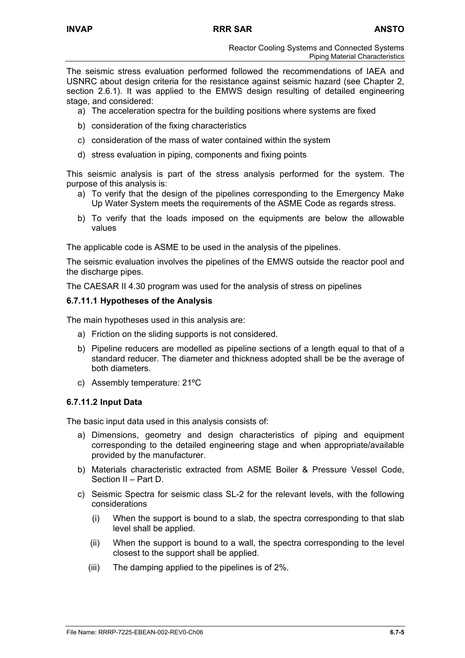The seismic stress evaluation performed followed the recommendations of IAEA and USNRC about design criteria for the resistance against seismic hazard (see Chapter 2, section 2.6.1). It was applied to the EMWS design resulting of detailed engineering stage, and considered:

- a) The acceleration spectra for the building positions where systems are fixed
- b) consideration of the fixing characteristics
- c) consideration of the mass of water contained within the system
- d) stress evaluation in piping, components and fixing points

This seismic analysis is part of the stress analysis performed for the system. The purpose of this analysis is:

- a) To verify that the design of the pipelines corresponding to the Emergency Make Up Water System meets the requirements of the ASME Code as regards stress.
- b) To verify that the loads imposed on the equipments are below the allowable values

The applicable code is ASME to be used in the analysis of the pipelines.

The seismic evaluation involves the pipelines of the EMWS outside the reactor pool and the discharge pipes.

The CAESAR II 4.30 program was used for the analysis of stress on pipelines

### **6.7.11.1 Hypotheses of the Analysis**

The main hypotheses used in this analysis are:

- a) Friction on the sliding supports is not considered.
- b) Pipeline reducers are modelled as pipeline sections of a length equal to that of a standard reducer. The diameter and thickness adopted shall be be the average of both diameters.
- c) Assembly temperature: 21ºC

### **6.7.11.2 Input Data**

The basic input data used in this analysis consists of:

- a) Dimensions, geometry and design characteristics of piping and equipment corresponding to the detailed engineering stage and when appropriate/available provided by the manufacturer.
- b) Materials characteristic extracted from ASME Boiler & Pressure Vessel Code, Section II – Part D.
- c) Seismic Spectra for seismic class SL-2 for the relevant levels, with the following considerations
	- (i) When the support is bound to a slab, the spectra corresponding to that slab level shall be applied.
	- (ii) When the support is bound to a wall, the spectra corresponding to the level closest to the support shall be applied.
	- (iii) The damping applied to the pipelines is of 2%.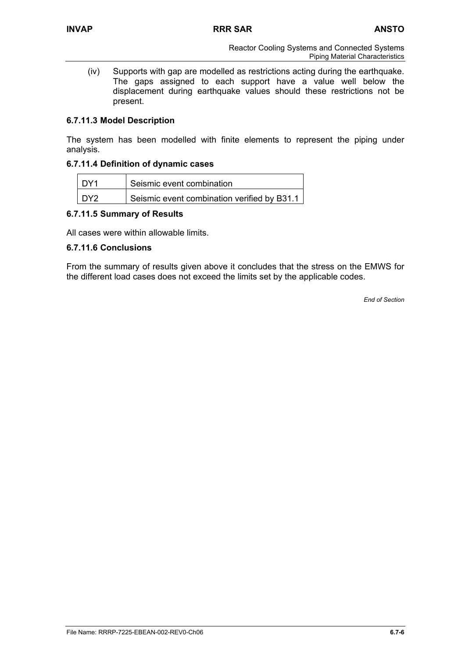(iv) Supports with gap are modelled as restrictions acting during the earthquake. The gaps assigned to each support have a value well below the displacement during earthquake values should these restrictions not be present.

# **6.7.11.3 Model Description**

The system has been modelled with finite elements to represent the piping under analysis.

### **6.7.11.4 Definition of dynamic cases**

| I DY1           | Seismic event combination                   |
|-----------------|---------------------------------------------|
| DY <sub>2</sub> | Seismic event combination verified by B31.1 |

### **6.7.11.5 Summary of Results**

All cases were within allowable limits.

### **6.7.11.6 Conclusions**

From the summary of results given above it concludes that the stress on the EMWS for the different load cases does not exceed the limits set by the applicable codes.

*End of Section*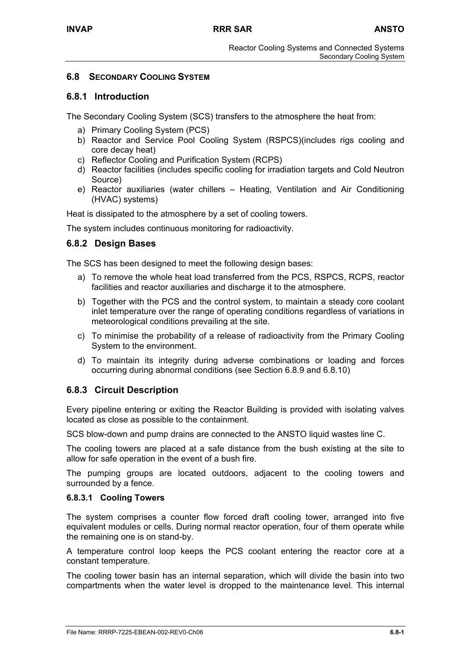# **6.8 SECONDARY COOLING SYSTEM**

# **6.8.1 Introduction**

The Secondary Cooling System (SCS) transfers to the atmosphere the heat from:

- a) Primary Cooling System (PCS)
- b) Reactor and Service Pool Cooling System (RSPCS)(includes rigs cooling and core decay heat)
- c) Reflector Cooling and Purification System (RCPS)
- d) Reactor facilities (includes specific cooling for irradiation targets and Cold Neutron Source)
- e) Reactor auxiliaries (water chillers Heating, Ventilation and Air Conditioning (HVAC) systems)

Heat is dissipated to the atmosphere by a set of cooling towers.

The system includes continuous monitoring for radioactivity.

# **6.8.2 Design Bases**

The SCS has been designed to meet the following design bases:

- a) To remove the whole heat load transferred from the PCS, RSPCS, RCPS, reactor facilities and reactor auxiliaries and discharge it to the atmosphere.
- b) Together with the PCS and the control system, to maintain a steady core coolant inlet temperature over the range of operating conditions regardless of variations in meteorological conditions prevailing at the site.
- c) To minimise the probability of a release of radioactivity from the Primary Cooling System to the environment.
- d) To maintain its integrity during adverse combinations or loading and forces occurring during abnormal conditions (see Section 6.8.9 and 6.8.10)

# **6.8.3 Circuit Description**

Every pipeline entering or exiting the Reactor Building is provided with isolating valves located as close as possible to the containment.

SCS blow-down and pump drains are connected to the ANSTO liquid wastes line C.

The cooling towers are placed at a safe distance from the bush existing at the site to allow for safe operation in the event of a bush fire.

The pumping groups are located outdoors, adjacent to the cooling towers and surrounded by a fence.

# **6.8.3.1 Cooling Towers**

The system comprises a counter flow forced draft cooling tower, arranged into five equivalent modules or cells. During normal reactor operation, four of them operate while the remaining one is on stand-by.

A temperature control loop keeps the PCS coolant entering the reactor core at a constant temperature.

The cooling tower basin has an internal separation, which will divide the basin into two compartments when the water level is dropped to the maintenance level. This internal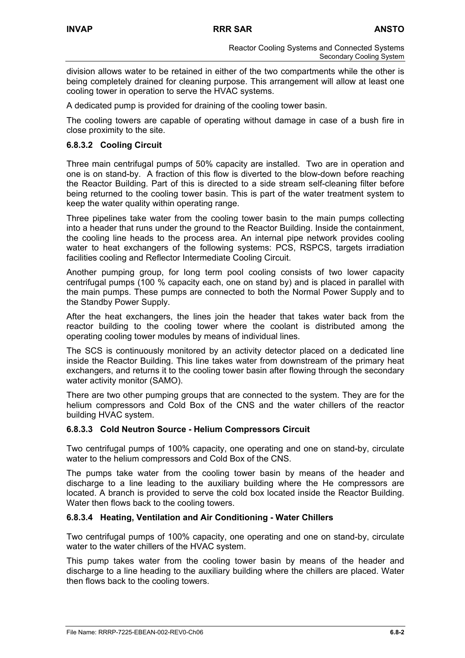division allows water to be retained in either of the two compartments while the other is being completely drained for cleaning purpose. This arrangement will allow at least one cooling tower in operation to serve the HVAC systems.

A dedicated pump is provided for draining of the cooling tower basin.

The cooling towers are capable of operating without damage in case of a bush fire in close proximity to the site.

# **6.8.3.2 Cooling Circuit**

Three main centrifugal pumps of 50% capacity are installed. Two are in operation and one is on stand-by. A fraction of this flow is diverted to the blow-down before reaching the Reactor Building. Part of this is directed to a side stream self-cleaning filter before being returned to the cooling tower basin. This is part of the water treatment system to keep the water quality within operating range.

Three pipelines take water from the cooling tower basin to the main pumps collecting into a header that runs under the ground to the Reactor Building. Inside the containment, the cooling line heads to the process area. An internal pipe network provides cooling water to heat exchangers of the following systems: PCS, RSPCS, targets irradiation facilities cooling and Reflector Intermediate Cooling Circuit.

Another pumping group, for long term pool cooling consists of two lower capacity centrifugal pumps (100 % capacity each, one on stand by) and is placed in parallel with the main pumps. These pumps are connected to both the Normal Power Supply and to the Standby Power Supply.

After the heat exchangers, the lines join the header that takes water back from the reactor building to the cooling tower where the coolant is distributed among the operating cooling tower modules by means of individual lines.

The SCS is continuously monitored by an activity detector placed on a dedicated line inside the Reactor Building. This line takes water from downstream of the primary heat exchangers, and returns it to the cooling tower basin after flowing through the secondary water activity monitor (SAMO).

There are two other pumping groups that are connected to the system. They are for the helium compressors and Cold Box of the CNS and the water chillers of the reactor building HVAC system.

# **6.8.3.3 Cold Neutron Source - Helium Compressors Circuit**

Two centrifugal pumps of 100% capacity, one operating and one on stand-by, circulate water to the helium compressors and Cold Box of the CNS.

The pumps take water from the cooling tower basin by means of the header and discharge to a line leading to the auxiliary building where the He compressors are located. A branch is provided to serve the cold box located inside the Reactor Building. Water then flows back to the cooling towers.

# **6.8.3.4 Heating, Ventilation and Air Conditioning - Water Chillers**

Two centrifugal pumps of 100% capacity, one operating and one on stand-by, circulate water to the water chillers of the HVAC system.

This pump takes water from the cooling tower basin by means of the header and discharge to a line heading to the auxiliary building where the chillers are placed. Water then flows back to the cooling towers.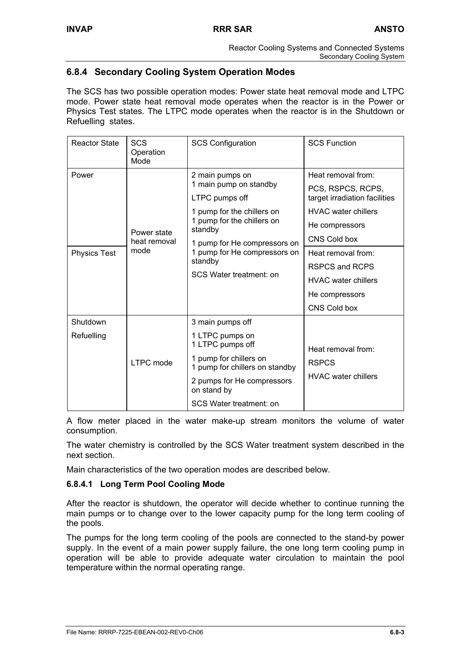# **6.8.4 Secondary Cooling System Operation Modes**

The SCS has two possible operation modes: Power state heat removal mode and LTPC mode. Power state heat removal mode operates when the reactor is in the Power or Physics Test states. The LTPC mode operates when the reactor is in the Shutdown or Refuelling states.

| Reactor State                | <b>SCS</b><br>Operation<br>Mode     | <b>SCS Configuration</b>                                                                                                                                                                                                                 | <b>SCS Function</b>                                                                                                                                                                                                                              |
|------------------------------|-------------------------------------|------------------------------------------------------------------------------------------------------------------------------------------------------------------------------------------------------------------------------------------|--------------------------------------------------------------------------------------------------------------------------------------------------------------------------------------------------------------------------------------------------|
| Power<br><b>Physics Test</b> | Power state<br>heat removal<br>mode | 2 main pumps on<br>1 main pump on standby<br>LTPC pumps off<br>1 pump for the chillers on<br>1 pump for the chillers on<br>standby<br>1 pump for He compressors on<br>1 pump for He compressors on<br>standby<br>SCS Water treatment: on | Heat removal from:<br>PCS, RSPCS, RCPS,<br>target irradiation facilities<br><b>HVAC</b> water chillers<br>He compressors<br>CNS Cold box<br>Heat removal from:<br>RSPCS and RCPS<br><b>HVAC</b> water chillers<br>He compressors<br>CNS Cold box |
| Shutdown<br>Refuelling       | LTPC mode                           | 3 main pumps off<br>1 LTPC pumps on<br>1 LTPC pumps off<br>1 pump for chillers on<br>1 pump for chillers on standby<br>2 pumps for He compressors<br>on stand by<br>SCS Water treatment: on                                              | Heat removal from:<br><b>RSPCS</b><br><b>HVAC</b> water chillers                                                                                                                                                                                 |

A flow meter placed in the water make-up stream monitors the volume of water consumption.

The water chemistry is controlled by the SCS Water treatment system described in the next section.

Main characteristics of the two operation modes are described below.

# **6.8.4.1 Long Term Pool Cooling Mode**

After the reactor is shutdown, the operator will decide whether to continue running the main pumps or to change over to the lower capacity pump for the long term cooling of the pools.

The pumps for the long term cooling of the pools are connected to the stand-by power supply. In the event of a main power supply failure, the one long term cooling pump in operation will be able to provide adequate water circulation to maintain the pool temperature within the normal operating range.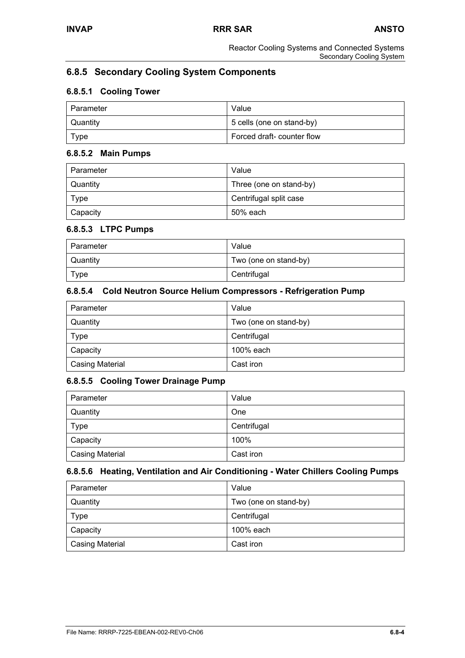# **6.8.5 Secondary Cooling System Components**

# **6.8.5.1 Cooling Tower**

| l Parameter | Value                      |
|-------------|----------------------------|
| Quantity    | 5 cells (one on stand-by)  |
| Type        | Forced draft- counter flow |

### **6.8.5.2 Main Pumps**

| Parameter | Value                   |
|-----------|-------------------------|
| Quantity  | Three (one on stand-by) |
| Type      | Centrifugal split case  |
| Capacity  | 50% each                |

### **6.8.5.3 LTPC Pumps**

| Parameter       | Value                 |
|-----------------|-----------------------|
| <b>Quantity</b> | Two (one on stand-by) |
| Type            | Centrifugal           |

### **6.8.5.4 Cold Neutron Source Helium Compressors - Refrigeration Pump**

| Parameter              | Value                 |
|------------------------|-----------------------|
| Quantity               | Two (one on stand-by) |
| Type                   | Centrifugal           |
| Capacity               | 100% each             |
| <b>Casing Material</b> | Cast iron             |

# **6.8.5.5 Cooling Tower Drainage Pump**

| Parameter              | Value       |
|------------------------|-------------|
| Quantity               | One         |
| <b>Type</b>            | Centrifugal |
| Capacity               | 100%        |
| <b>Casing Material</b> | Cast iron   |

# **6.8.5.6 Heating, Ventilation and Air Conditioning - Water Chillers Cooling Pumps**

| Parameter              | Value                 |
|------------------------|-----------------------|
| Quantity               | Two (one on stand-by) |
| Type                   | Centrifugal           |
| Capacity               | 100% each             |
| <b>Casing Material</b> | Cast iron             |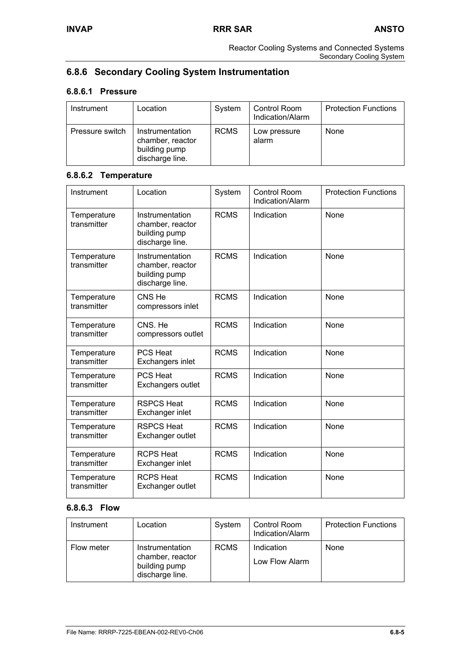# **6.8.6 Secondary Cooling System Instrumentation**

# **6.8.6.1 Pressure**

| Instrument      | Location                                                                | System      | Control Room<br>Indication/Alarm | <b>Protection Functions</b> |
|-----------------|-------------------------------------------------------------------------|-------------|----------------------------------|-----------------------------|
| Pressure switch | Instrumentation<br>chamber, reactor<br>building pump<br>discharge line. | <b>RCMS</b> | Low pressure<br>alarm            | None                        |

# **6.8.6.2 Temperature**

| Instrument                 | Location                                                                | System      | <b>Control Room</b><br>Indication/Alarm | <b>Protection Functions</b> |
|----------------------------|-------------------------------------------------------------------------|-------------|-----------------------------------------|-----------------------------|
| Temperature<br>transmitter | Instrumentation<br>chamber, reactor<br>building pump<br>discharge line. | <b>RCMS</b> | Indication                              | <b>None</b>                 |
| Temperature<br>transmitter | Instrumentation<br>chamber, reactor<br>building pump<br>discharge line. | <b>RCMS</b> | Indication                              | None                        |
| Temperature<br>transmitter | CNS He<br>compressors inlet                                             | <b>RCMS</b> | Indication                              | None                        |
| Temperature<br>transmitter | CNS. He<br>compressors outlet                                           | <b>RCMS</b> | Indication                              | None                        |
| Temperature<br>transmitter | <b>PCS Heat</b><br>Exchangers inlet                                     | <b>RCMS</b> | Indication                              | <b>None</b>                 |
| Temperature<br>transmitter | <b>PCS Heat</b><br>Exchangers outlet                                    | <b>RCMS</b> | Indication                              | <b>None</b>                 |
| Temperature<br>transmitter | <b>RSPCS Heat</b><br>Exchanger inlet                                    | <b>RCMS</b> | Indication                              | None                        |
| Temperature<br>transmitter | <b>RSPCS Heat</b><br>Exchanger outlet                                   | <b>RCMS</b> | Indication                              | None                        |
| Temperature<br>transmitter | <b>RCPS Heat</b><br>Exchanger inlet                                     | <b>RCMS</b> | Indication                              | None                        |
| Temperature<br>transmitter | <b>RCPS Heat</b><br>Exchanger outlet                                    | <b>RCMS</b> | Indication                              | None                        |

# **6.8.6.3 Flow**

| Instrument | Location                                                                | System      | Control Room<br>Indication/Alarm | <b>Protection Functions</b> |
|------------|-------------------------------------------------------------------------|-------------|----------------------------------|-----------------------------|
| Flow meter | Instrumentation<br>chamber, reactor<br>building pump<br>discharge line. | <b>RCMS</b> | Indication<br>Low Flow Alarm     | None                        |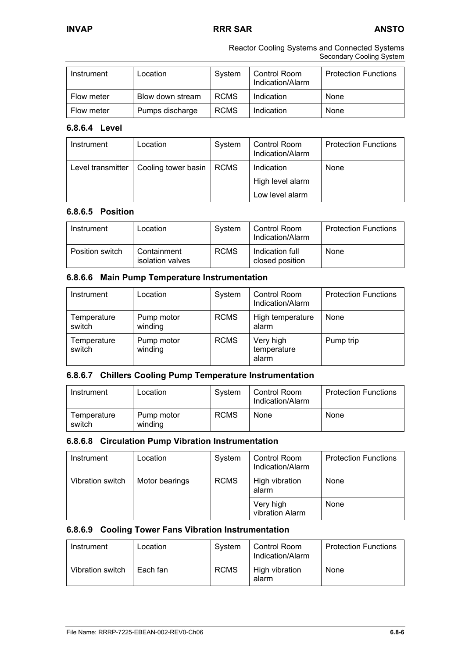Reactor Cooling Systems and Connected Systems Secondary Cooling System

| Instrument | Location         | System      | Control Room<br>Indication/Alarm | <b>Protection Functions</b> |
|------------|------------------|-------------|----------------------------------|-----------------------------|
| Flow meter | Blow down stream | <b>RCMS</b> | Indication                       | None                        |
| Flow meter | Pumps discharge  | <b>RCMS</b> | Indication                       | None                        |

# **6.8.6.4 Level**

| Instrument        | Location            | System | Control Room<br>Indication/Alarm | <b>Protection Functions</b> |
|-------------------|---------------------|--------|----------------------------------|-----------------------------|
| Level transmitter | Cooling tower basin | RCMS   | Indication                       | None                        |
|                   |                     |        | High level alarm                 |                             |
|                   |                     |        | Low level alarm                  |                             |

# **6.8.6.5 Position**

| Instrument      | Location                        | System      | Control Room<br>Indication/Alarm   | <b>Protection Functions</b> |
|-----------------|---------------------------------|-------------|------------------------------------|-----------------------------|
| Position switch | Containment<br>isolation valves | <b>RCMS</b> | Indication full<br>closed position | None                        |

# **6.8.6.6 Main Pump Temperature Instrumentation**

| Instrument            | Location              | System      | Control Room<br>Indication/Alarm  | <b>Protection Functions</b> |
|-----------------------|-----------------------|-------------|-----------------------------------|-----------------------------|
| Temperature<br>switch | Pump motor<br>winding | <b>RCMS</b> | High temperature<br>alarm         | None                        |
| Temperature<br>switch | Pump motor<br>winding | <b>RCMS</b> | Very high<br>temperature<br>alarm | Pump trip                   |

### **6.8.6.7 Chillers Cooling Pump Temperature Instrumentation**

| Instrument            | Location              | System      | Control Room<br>Indication/Alarm | <b>Protection Functions</b> |
|-----------------------|-----------------------|-------------|----------------------------------|-----------------------------|
| Temperature<br>switch | Pump motor<br>winding | <b>RCMS</b> | None                             | None                        |

### **6.8.6.8 Circulation Pump Vibration Instrumentation**

| Instrument       | Location       | System      | Control Room<br>Indication/Alarm | <b>Protection Functions</b> |
|------------------|----------------|-------------|----------------------------------|-----------------------------|
| Vibration switch | Motor bearings | <b>RCMS</b> | High vibration<br>alarm          | None                        |
|                  |                |             | Very high<br>vibration Alarm     | None                        |

# **6.8.6.9 Cooling Tower Fans Vibration Instrumentation**

| Instrument       | Location | System      | Control Room<br>Indication/Alarm | <b>Protection Functions</b> |
|------------------|----------|-------------|----------------------------------|-----------------------------|
| Vibration switch | Each fan | <b>RCMS</b> | High vibration<br>alarm          | None                        |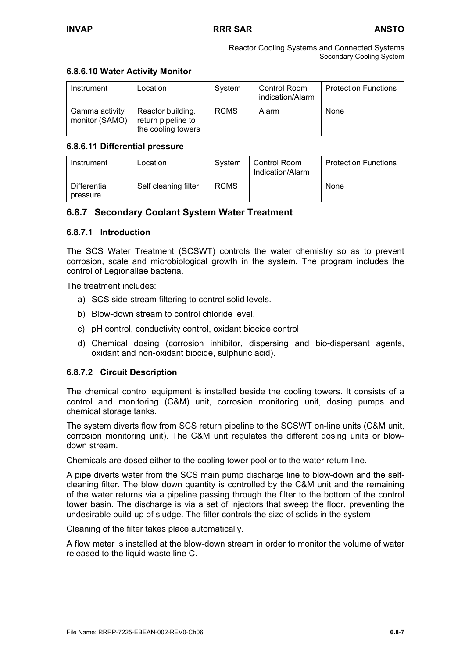### **6.8.6.10 Water Activity Monitor**

| Instrument                       | Location                                                      | System      | Control Room<br>indication/Alarm | <b>Protection Functions</b> |
|----------------------------------|---------------------------------------------------------------|-------------|----------------------------------|-----------------------------|
| Gamma activity<br>monitor (SAMO) | Reactor building.<br>return pipeline to<br>the cooling towers | <b>RCMS</b> | Alarm                            | None                        |

### **6.8.6.11 Differential pressure**

| Instrument               | Location             | System      | Control Room<br>Indication/Alarm | <b>Protection Functions</b> |
|--------------------------|----------------------|-------------|----------------------------------|-----------------------------|
| Differential<br>pressure | Self cleaning filter | <b>RCMS</b> |                                  | None                        |

# **6.8.7 Secondary Coolant System Water Treatment**

### **6.8.7.1 Introduction**

The SCS Water Treatment (SCSWT) controls the water chemistry so as to prevent corrosion, scale and microbiological growth in the system. The program includes the control of Legionallae bacteria.

The treatment includes:

- a) SCS side-stream filtering to control solid levels.
- b) Blow-down stream to control chloride level.
- c) pH control, conductivity control, oxidant biocide control
- d) Chemical dosing (corrosion inhibitor, dispersing and bio-dispersant agents, oxidant and non-oxidant biocide, sulphuric acid).

# **6.8.7.2 Circuit Description**

The chemical control equipment is installed beside the cooling towers. It consists of a control and monitoring (C&M) unit, corrosion monitoring unit, dosing pumps and chemical storage tanks.

The system diverts flow from SCS return pipeline to the SCSWT on-line units (C&M unit, corrosion monitoring unit). The C&M unit regulates the different dosing units or blowdown stream.

Chemicals are dosed either to the cooling tower pool or to the water return line.

A pipe diverts water from the SCS main pump discharge line to blow-down and the selfcleaning filter. The blow down quantity is controlled by the C&M unit and the remaining of the water returns via a pipeline passing through the filter to the bottom of the control tower basin. The discharge is via a set of injectors that sweep the floor, preventing the undesirable build-up of sludge. The filter controls the size of solids in the system

Cleaning of the filter takes place automatically.

A flow meter is installed at the blow-down stream in order to monitor the volume of water released to the liquid waste line C.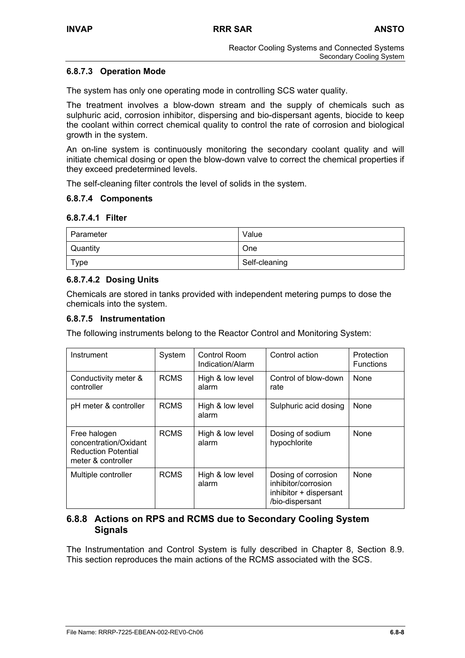# **6.8.7.3 Operation Mode**

The system has only one operating mode in controlling SCS water quality.

The treatment involves a blow-down stream and the supply of chemicals such as sulphuric acid, corrosion inhibitor, dispersing and bio-dispersant agents, biocide to keep the coolant within correct chemical quality to control the rate of corrosion and biological growth in the system.

An on-line system is continuously monitoring the secondary coolant quality and will initiate chemical dosing or open the blow-down valve to correct the chemical properties if they exceed predetermined levels.

The self-cleaning filter controls the level of solids in the system.

### **6.8.7.4 Components**

### **6.8.7.4.1 Filter**

| Parameter | Value         |
|-----------|---------------|
| Quantity  | One           |
| Type      | Self-cleaning |

### **6.8.7.4.2 Dosing Units**

Chemicals are stored in tanks provided with independent metering pumps to dose the chemicals into the system.

### **6.8.7.5 Instrumentation**

The following instruments belong to the Reactor Control and Monitoring System:

| Instrument                                                                                | System      | Control Room<br>Indication/Alarm | Control action                                                                          | Protection<br><b>Functions</b> |
|-------------------------------------------------------------------------------------------|-------------|----------------------------------|-----------------------------------------------------------------------------------------|--------------------------------|
| Conductivity meter &<br>controller                                                        | <b>RCMS</b> | High & low level<br>alarm        | Control of blow-down<br>rate                                                            | None                           |
| pH meter & controller                                                                     | <b>RCMS</b> | High & low level<br>alarm        | Sulphuric acid dosing                                                                   | None                           |
| Free halogen<br>concentration/Oxidant<br><b>Reduction Potential</b><br>meter & controller | <b>RCMS</b> | High & low level<br>alarm        | Dosing of sodium<br>hypochlorite                                                        | None                           |
| Multiple controller                                                                       | <b>RCMS</b> | High & low level<br>alarm        | Dosing of corrosion<br>inhibitor/corrosion<br>inhibitor + dispersant<br>/bio-dispersant | None                           |

# **6.8.8 Actions on RPS and RCMS due to Secondary Cooling System Signals**

The Instrumentation and Control System is fully described in Chapter 8, Section 8.9. This section reproduces the main actions of the RCMS associated with the SCS.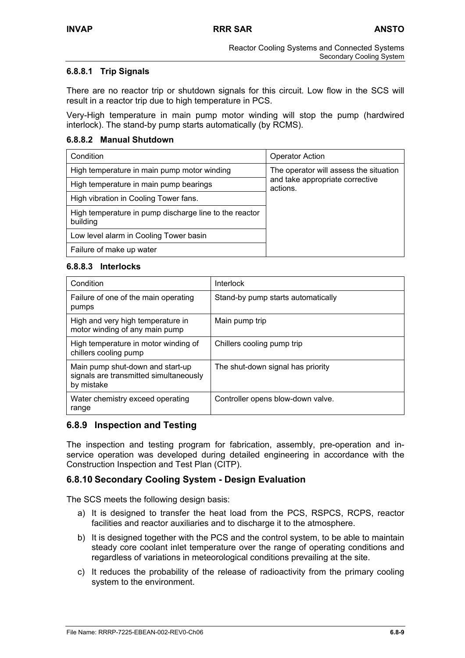### **6.8.8.1 Trip Signals**

There are no reactor trip or shutdown signals for this circuit. Low flow in the SCS will result in a reactor trip due to high temperature in PCS.

Very-High temperature in main pump motor winding will stop the pump (hardwired interlock). The stand-by pump starts automatically (by RCMS).

### **6.8.8.2 Manual Shutdown**

| Condition                                                          | <b>Operator Action</b>                      |
|--------------------------------------------------------------------|---------------------------------------------|
| High temperature in main pump motor winding                        | The operator will assess the situation      |
| High temperature in main pump bearings                             | and take appropriate corrective<br>actions. |
| High vibration in Cooling Tower fans.                              |                                             |
| High temperature in pump discharge line to the reactor<br>building |                                             |
| Low level alarm in Cooling Tower basin                             |                                             |
| Failure of make up water                                           |                                             |

### **6.8.8.3 Interlocks**

| Condition                                                                                | Interlock                          |
|------------------------------------------------------------------------------------------|------------------------------------|
| Failure of one of the main operating<br>pumps                                            | Stand-by pump starts automatically |
| High and very high temperature in<br>motor winding of any main pump                      | Main pump trip                     |
| High temperature in motor winding of<br>chillers cooling pump                            | Chillers cooling pump trip         |
| Main pump shut-down and start-up<br>signals are transmitted simultaneously<br>by mistake | The shut-down signal has priority  |
| Water chemistry exceed operating<br>range                                                | Controller opens blow-down valve.  |

# **6.8.9 Inspection and Testing**

The inspection and testing program for fabrication, assembly, pre-operation and inservice operation was developed during detailed engineering in accordance with the Construction Inspection and Test Plan (CITP).

# **6.8.10 Secondary Cooling System - Design Evaluation**

The SCS meets the following design basis:

- a) It is designed to transfer the heat load from the PCS, RSPCS, RCPS, reactor facilities and reactor auxiliaries and to discharge it to the atmosphere.
- b) It is designed together with the PCS and the control system, to be able to maintain steady core coolant inlet temperature over the range of operating conditions and regardless of variations in meteorological conditions prevailing at the site.
- c) It reduces the probability of the release of radioactivity from the primary cooling system to the environment.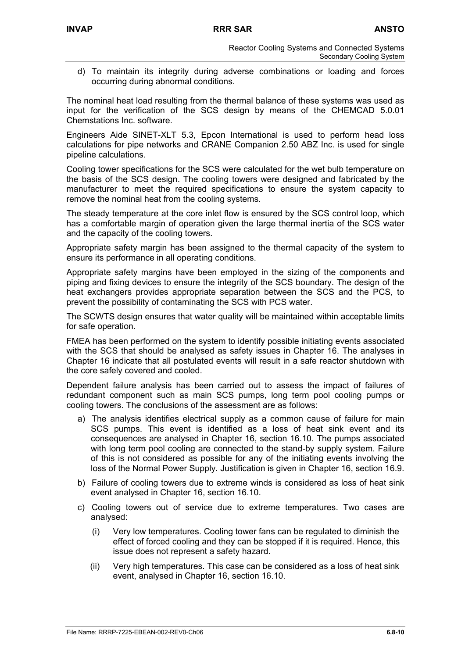d) To maintain its integrity during adverse combinations or loading and forces occurring during abnormal conditions.

The nominal heat load resulting from the thermal balance of these systems was used as input for the verification of the SCS design by means of the CHEMCAD 5.0.01 Chemstations Inc. software.

Engineers Aide SINET-XLT 5.3, Epcon International is used to perform head loss calculations for pipe networks and CRANE Companion 2.50 ABZ Inc. is used for single pipeline calculations.

Cooling tower specifications for the SCS were calculated for the wet bulb temperature on the basis of the SCS design. The cooling towers were designed and fabricated by the manufacturer to meet the required specifications to ensure the system capacity to remove the nominal heat from the cooling systems.

The steady temperature at the core inlet flow is ensured by the SCS control loop, which has a comfortable margin of operation given the large thermal inertia of the SCS water and the capacity of the cooling towers.

Appropriate safety margin has been assigned to the thermal capacity of the system to ensure its performance in all operating conditions.

Appropriate safety margins have been employed in the sizing of the components and piping and fixing devices to ensure the integrity of the SCS boundary. The design of the heat exchangers provides appropriate separation between the SCS and the PCS, to prevent the possibility of contaminating the SCS with PCS water.

The SCWTS design ensures that water quality will be maintained within acceptable limits for safe operation.

FMEA has been performed on the system to identify possible initiating events associated with the SCS that should be analysed as safety issues in Chapter 16. The analyses in Chapter 16 indicate that all postulated events will result in a safe reactor shutdown with the core safely covered and cooled.

Dependent failure analysis has been carried out to assess the impact of failures of redundant component such as main SCS pumps, long term pool cooling pumps or cooling towers. The conclusions of the assessment are as follows:

- a) The analysis identifies electrical supply as a common cause of failure for main SCS pumps. This event is identified as a loss of heat sink event and its consequences are analysed in Chapter 16, section 16.10. The pumps associated with long term pool cooling are connected to the stand-by supply system. Failure of this is not considered as possible for any of the initiating events involving the loss of the Normal Power Supply. Justification is given in Chapter 16, section 16.9.
- b) Failure of cooling towers due to extreme winds is considered as loss of heat sink event analysed in Chapter 16, section 16.10.
- c) Cooling towers out of service due to extreme temperatures. Two cases are analysed:
	- (i) Very low temperatures. Cooling tower fans can be regulated to diminish the effect of forced cooling and they can be stopped if it is required. Hence, this issue does not represent a safety hazard.
	- (ii) Very high temperatures. This case can be considered as a loss of heat sink event, analysed in Chapter 16, section 16.10.